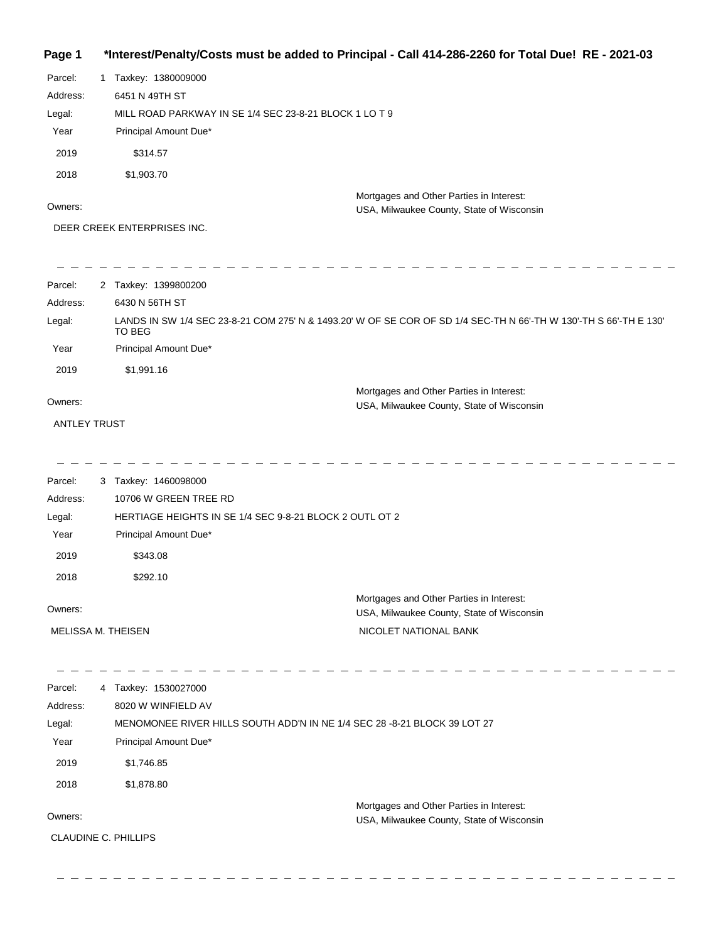## **Page 1 \*Interest/Penalty/Costs must be added to Principal - Call 414-286-2260 for Total Due! RE - 2021-03**

| Parcel:  | Taxkey: 1380009000                                                                    |
|----------|---------------------------------------------------------------------------------------|
| Address: | 6451 N 49TH ST                                                                        |
| Legal:   | MILL ROAD PARKWAY IN SE 1/4 SEC 23-8-21 BLOCK 1 LO T 9                                |
| Year     | Principal Amount Due*                                                                 |
| 2019     | \$314.57                                                                              |
| 2018     | \$1,903.70                                                                            |
| Owners:  | Mortgages and Other Parties in Interest:<br>USA, Milwaukee County, State of Wisconsin |

DEER CREEK ENTERPRISES INC.

- - - - - - - - -

| Parcel:  | 2 Taxkey: 1399800200                                                                                                        |
|----------|-----------------------------------------------------------------------------------------------------------------------------|
| Address: | 6430 N 56TH ST                                                                                                              |
| Legal:   | LANDS IN SW 1/4 SEC 23-8-21 COM 275' N & 1493.20' W OF SE COR OF SD 1/4 SEC-TH N 66'-TH W 130'-TH S 66'-TH E 130'<br>TO BEG |
| Year     | Principal Amount Due*                                                                                                       |
| 2019     | \$1,991.16                                                                                                                  |
|          | Mortgages and Other Parties in Interest:                                                                                    |
| Owners:  | USA, Milwaukee County, State of Wisconsin                                                                                   |

ANTLEY TRUST

\_\_\_\_\_\_\_\_\_\_\_\_\_\_\_\_\_\_\_\_\_\_\_ 

| Parcel:            | 3 Taxkey: 1460098000                                                                  |
|--------------------|---------------------------------------------------------------------------------------|
| Address:           | 10706 W GREEN TREE RD                                                                 |
| Legal:             | HERTIAGE HEIGHTS IN SE 1/4 SEC 9-8-21 BLOCK 2 OUTL OT 2                               |
| Year               | Principal Amount Due*                                                                 |
| 2019               | \$343.08                                                                              |
| 2018               | \$292.10                                                                              |
| Owners:            | Mortgages and Other Parties in Interest:<br>USA, Milwaukee County, State of Wisconsin |
| MELISSA M. THEISEN | NICOLET NATIONAL BANK                                                                 |

 $\equiv$   $\equiv$   $\equiv$   $\equiv$  $-$ \_\_\_\_\_\_\_\_\_\_\_\_\_\_\_\_\_\_\_\_\_\_\_  $\overline{\phantom{a}}$ Parcel: 4 Taxkey: 1530027000 Address: 8020 W WINFIELD AV Legal: MENOMONEE RIVER HILLS SOUTH ADD'N IN NE 1/4 SEC 28 -8-21 BLOCK 39 LOT 27 Year Principal Amount Due\* 2019 \$1,746.85 2018 \$1,878.80 Mortgages and Other Parties in Interest: Owners: USA, Milwaukee County, State of Wisconsin CLAUDINE C. PHILLIPS

- - - - - - - - -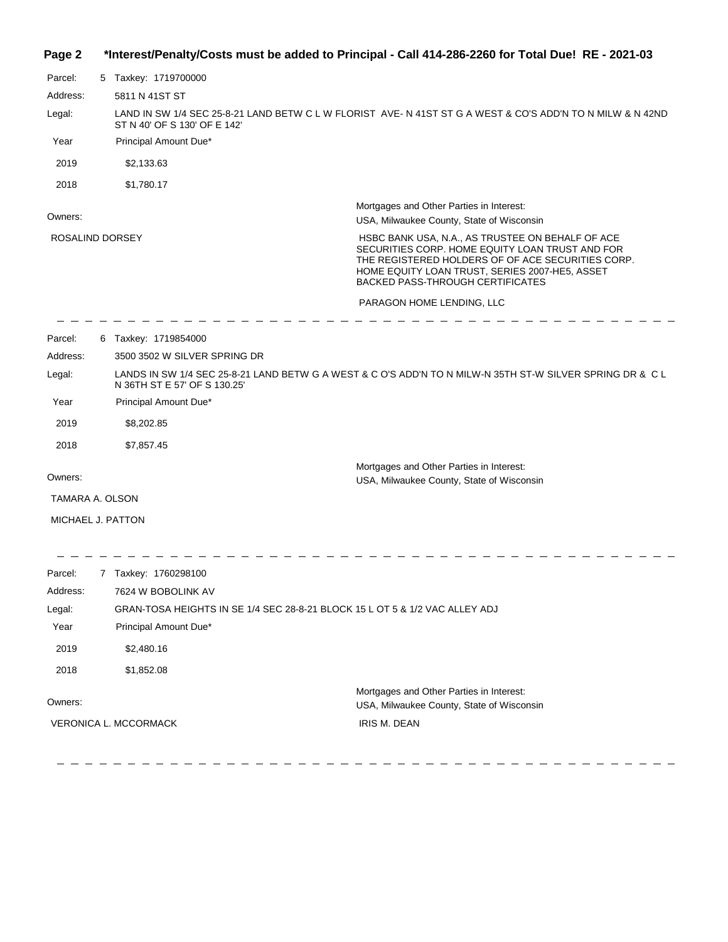## **Page 2 \*Interest/Penalty/Costs must be added to Principal - Call 414-286-2260 for Total Due! RE - 2021-03**

| Parcel:           | 5 Taxkey: 1719700000         |                                                                                                                                                                                                                                                       |
|-------------------|------------------------------|-------------------------------------------------------------------------------------------------------------------------------------------------------------------------------------------------------------------------------------------------------|
| Address:          | 5811 N 41ST ST               |                                                                                                                                                                                                                                                       |
| Legal:            | ST N 40' OF S 130' OF E 142' | LAND IN SW 1/4 SEC 25-8-21 LAND BETW C L W FLORIST AVE-N 41ST ST G A WEST & CO'S ADD'N TO N MILW & N 42ND                                                                                                                                             |
| Year              | Principal Amount Due*        |                                                                                                                                                                                                                                                       |
| 2019              | \$2,133.63                   |                                                                                                                                                                                                                                                       |
| 2018              | \$1,780.17                   |                                                                                                                                                                                                                                                       |
| Owners:           |                              | Mortgages and Other Parties in Interest:<br>USA, Milwaukee County, State of Wisconsin                                                                                                                                                                 |
| ROSALIND DORSEY   |                              | HSBC BANK USA, N.A., AS TRUSTEE ON BEHALF OF ACE<br>SECURITIES CORP. HOME EQUITY LOAN TRUST AND FOR<br>THE REGISTERED HOLDERS OF OF ACE SECURITIES CORP.<br>HOME EQUITY LOAN TRUST, SERIES 2007-HE5, ASSET<br><b>BACKED PASS-THROUGH CERTIFICATES</b> |
|                   |                              | PARAGON HOME LENDING, LLC                                                                                                                                                                                                                             |
| Parcel:           | 6 Taxkey: 1719854000         |                                                                                                                                                                                                                                                       |
| Address:          | 3500 3502 W SILVER SPRING DR |                                                                                                                                                                                                                                                       |
| Legal:            | N 36TH ST E 57' OF S 130.25' | LANDS IN SW 1/4 SEC 25-8-21 LAND BETW G A WEST & C O'S ADD'N TO N MILW-N 35TH ST-W SILVER SPRING DR & C L                                                                                                                                             |
| Year              | Principal Amount Due*        |                                                                                                                                                                                                                                                       |
| 2019              | \$8,202.85                   |                                                                                                                                                                                                                                                       |
| 2018              | \$7,857.45                   |                                                                                                                                                                                                                                                       |
| Owners:           |                              | Mortgages and Other Parties in Interest:<br>USA, Milwaukee County, State of Wisconsin                                                                                                                                                                 |
| TAMARA A. OLSON   |                              |                                                                                                                                                                                                                                                       |
| MICHAEL J. PATTON |                              |                                                                                                                                                                                                                                                       |
| Parcel:           | 7 Taxkey: 1760298100         |                                                                                                                                                                                                                                                       |
| Address:          | 7624 W BOBOLINK AV           |                                                                                                                                                                                                                                                       |
| Legal:            |                              | GRAN-TOSA HEIGHTS IN SE 1/4 SEC 28-8-21 BLOCK 15 L OT 5 & 1/2 VAC ALLEY ADJ                                                                                                                                                                           |
| Year              | Principal Amount Due*        |                                                                                                                                                                                                                                                       |
| 2019              | \$2,480.16                   |                                                                                                                                                                                                                                                       |
| 2018              | \$1,852.08                   |                                                                                                                                                                                                                                                       |
|                   |                              | Mortgages and Other Parties in Interest:                                                                                                                                                                                                              |
| Owners:           |                              | USA, Milwaukee County, State of Wisconsin                                                                                                                                                                                                             |
|                   | <b>VERONICA L. MCCORMACK</b> | IRIS M. DEAN                                                                                                                                                                                                                                          |
|                   |                              |                                                                                                                                                                                                                                                       |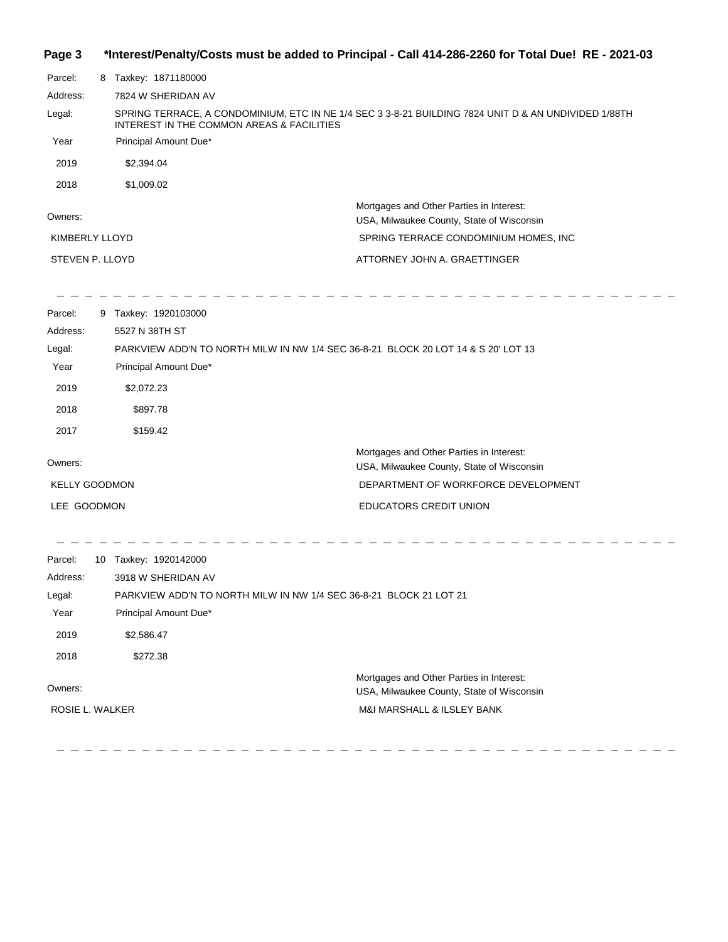#### **Page 3 \*Interest/Penalty/Costs must be added to Principal - Call 414-286-2260 for Total Due! RE - 2021-03**

| Parcel:         | 8 | Taxkey: 1871180000                                                                                                                                |
|-----------------|---|---------------------------------------------------------------------------------------------------------------------------------------------------|
| Address:        |   | 7824 W SHERIDAN AV                                                                                                                                |
| Legal:          |   | SPRING TERRACE, A CONDOMINIUM, ETC IN NE 1/4 SEC 3 3-8-21 BUILDING 7824 UNIT D & AN UNDIVIDED 1/88TH<br>INTEREST IN THE COMMON AREAS & FACILITIES |
| Year            |   | Principal Amount Due*                                                                                                                             |
| 2019            |   | \$2,394.04                                                                                                                                        |
| 2018            |   | \$1,009.02                                                                                                                                        |
| Owners:         |   | Mortgages and Other Parties in Interest:<br>USA, Milwaukee County, State of Wisconsin                                                             |
| KIMBERLY LLOYD  |   | SPRING TERRACE CONDOMINIUM HOMES, INC.                                                                                                            |
| STEVEN P. LLOYD |   | ATTORNEY JOHN A. GRAETTINGER                                                                                                                      |

 $\frac{1}{2} \left( \frac{1}{2} \right)$ 

---------

Parcel: 9 Taxkey: 1920103000 Owners: Mortgages and Other Parties in Interest: Year Principal Amount Due\* USA, Milwaukee County, State of Wisconsin PARKVIEW ADD'N TO NORTH MILW IN NW 1/4 SEC 36-8-21 BLOCK 20 LOT 14 & S 20' LOT 13 5527 N 38TH ST Address: Legal: DEPARTMENT OF WORKFORCE DEVELOPMENT EDUCATORS CREDIT UNION 2019 \$2,072.23 2018 \$897.78 2017 \$159.42 KELLY GOODMON LEE GOODMON

Parcel: 10 Taxkey: 1920142000 Owners: Mortgages and Other Parties in Interest: Year Principal Amount Due\* USA, Milwaukee County, State of Wisconsin PARKVIEW ADD'N TO NORTH MILW IN NW 1/4 SEC 36-8-21 BLOCK 21 LOT 21 3918 W SHERIDAN AV Address: Legal: M&I MARSHALL & ILSLEY BANK 2019 \$2,586.47 2018 \$272.38 ROSIE L. WALKER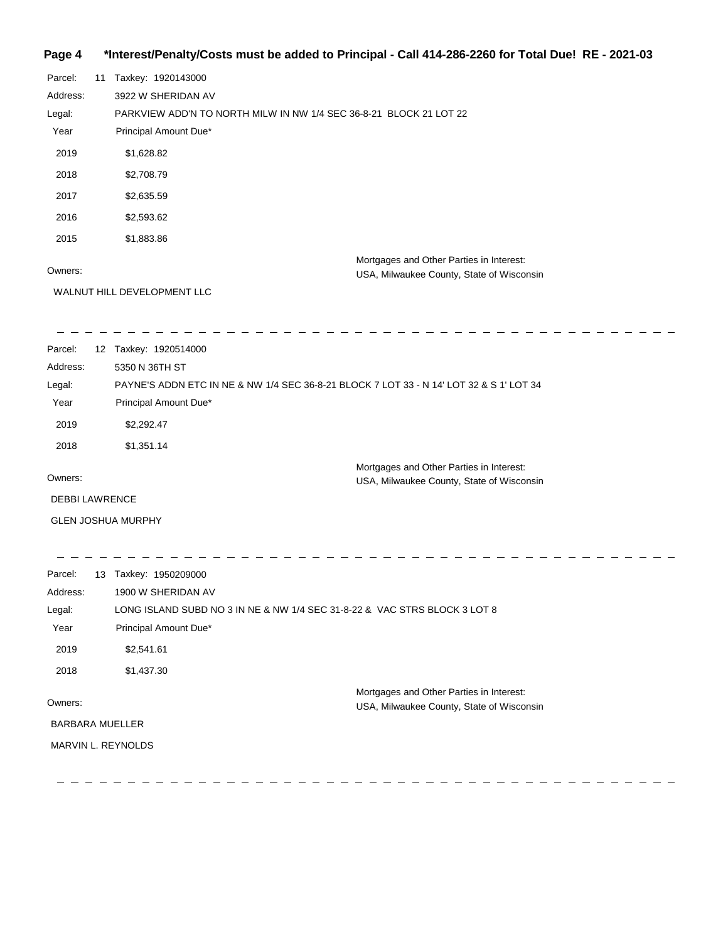## **Page 4 \*Interest/Penalty/Costs must be added to Principal - Call 414-286-2260 for Total Due! RE - 2021-03**

| Parcel:  | 11 | Taxkey: 1920143000                                                                    |
|----------|----|---------------------------------------------------------------------------------------|
| Address: |    | 3922 W SHERIDAN AV                                                                    |
| Legal:   |    | PARKVIEW ADD'N TO NORTH MILW IN NW 1/4 SEC 36-8-21 BLOCK 21 LOT 22                    |
| Year     |    | Principal Amount Due*                                                                 |
| 2019     |    | \$1,628.82                                                                            |
| 2018     |    | \$2,708.79                                                                            |
| 2017     |    | \$2,635.59                                                                            |
| 2016     |    | \$2,593.62                                                                            |
| 2015     |    | \$1,883.86                                                                            |
| Owners:  |    | Mortgages and Other Parties in Interest:<br>USA, Milwaukee County, State of Wisconsin |

WALNUT HILL DEVELOPMENT LLC

| Parcel:  | 12 | Taxkey: 1920514000                                                                      |
|----------|----|-----------------------------------------------------------------------------------------|
| Address: |    | 5350 N 36TH ST                                                                          |
| Legal:   |    | PAYNE'S ADDN ETC IN NE & NW 1/4 SEC 36-8-21 BLOCK 7 LOT 33 - N 14' LOT 32 & S 1' LOT 34 |
| Year     |    | Principal Amount Due*                                                                   |
| 2019     |    | \$2,292.47                                                                              |
| 2018     |    | \$1,351.14                                                                              |
|          |    | Mortgages and Other Parties in Interest:                                                |
| Owners:  |    | USA, Milwaukee County, State of Wisconsin                                               |

 $\overline{\phantom{a}}$ 

DEBBI LAWRENCE

GLEN JOSHUA MURPHY

| Parcel:                | 13 | Taxkey: 1950209000                                                        |
|------------------------|----|---------------------------------------------------------------------------|
| Address:               |    | 1900 W SHERIDAN AV                                                        |
| Legal:                 |    | LONG ISLAND SUBD NO 3 IN NE & NW 1/4 SEC 31-8-22 & VAC STRS BLOCK 3 LOT 8 |
| Year                   |    | Principal Amount Due*                                                     |
| 2019                   |    | \$2,541.61                                                                |
| 2018                   |    | \$1,437.30                                                                |
|                        |    | Mortgages and Other Parties in Interest:                                  |
| Owners:                |    | USA, Milwaukee County, State of Wisconsin                                 |
| <b>BARBARA MUELLER</b> |    |                                                                           |
|                        |    | MARVIN L. REYNOLDS                                                        |
|                        |    |                                                                           |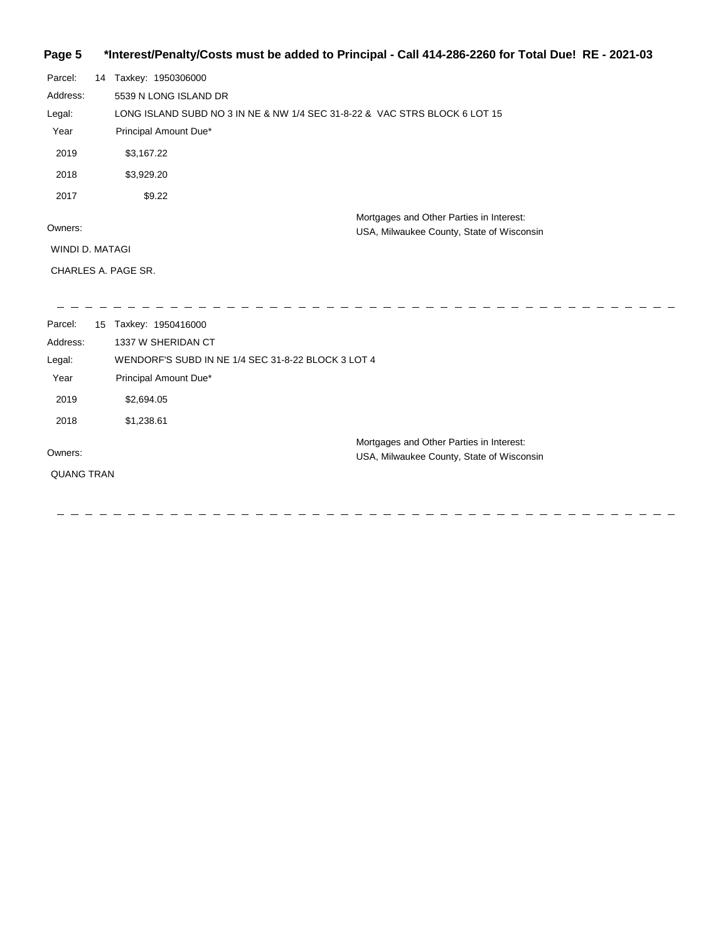# **Page 5 \*Interest/Penalty/Costs must be added to Principal - Call 414-286-2260 for Total Due! RE - 2021-03**

| Parcel:<br>Address:<br>Legal:<br>Year<br>2019         | 14 Taxkey: 1950306000<br>5539 N LONG ISLAND DR<br>LONG ISLAND SUBD NO 3 IN NE & NW 1/4 SEC 31-8-22 & VAC STRS BLOCK 6 LOT 15<br>Principal Amount Due*<br>\$3,167.22 |                                                                                       |
|-------------------------------------------------------|---------------------------------------------------------------------------------------------------------------------------------------------------------------------|---------------------------------------------------------------------------------------|
| 2018                                                  | \$3,929.20                                                                                                                                                          |                                                                                       |
| 2017<br>Owners:<br>WINDI D. MATAGI                    | \$9.22                                                                                                                                                              | Mortgages and Other Parties in Interest:<br>USA, Milwaukee County, State of Wisconsin |
|                                                       | CHARLES A. PAGE SR.                                                                                                                                                 |                                                                                       |
| Parcel:<br>Address:<br>Legal:<br>Year<br>2019<br>2018 | 15 Taxkey: 1950416000<br>1337 W SHERIDAN CT<br>WENDORF'S SUBD IN NE 1/4 SEC 31-8-22 BLOCK 3 LOT 4<br>Principal Amount Due*<br>\$2,694.05<br>\$1,238.61              |                                                                                       |
| Owners:<br><b>QUANG TRAN</b>                          |                                                                                                                                                                     | Mortgages and Other Parties in Interest:<br>USA, Milwaukee County, State of Wisconsin |

--------------

 $\frac{1}{2}$ 

-------------

 $\overline{\phantom{0}}$ 

 $\equiv$ 

 $\sim$ 

 $\overline{\phantom{0}}$  $\overline{\phantom{m}}$  $\equiv$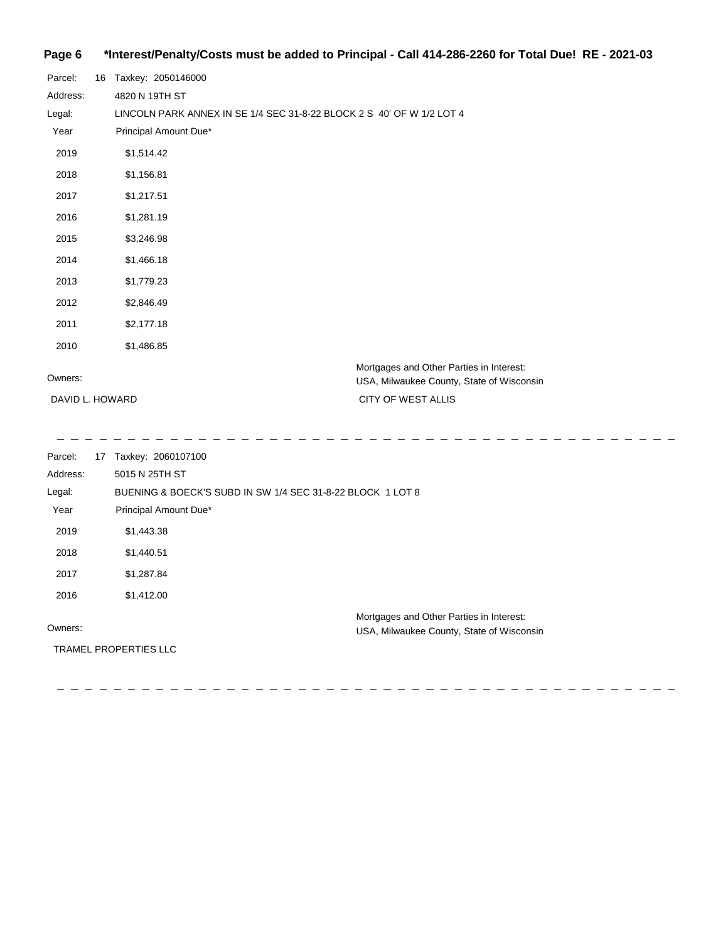## **Page 6 \*Interest/Penalty/Costs must be added to Principal - Call 414-286-2260 for Total Due! RE - 2021-03**

| Parcel:         | 16 Taxkey: 2050146000                                                                 |
|-----------------|---------------------------------------------------------------------------------------|
| Address:        | 4820 N 19TH ST                                                                        |
| Legal:          | LINCOLN PARK ANNEX IN SE 1/4 SEC 31-8-22 BLOCK 2 S 40' OF W 1/2 LOT 4                 |
| Year            | Principal Amount Due*                                                                 |
| 2019            | \$1,514.42                                                                            |
| 2018            | \$1,156.81                                                                            |
| 2017            | \$1,217.51                                                                            |
| 2016            | \$1,281.19                                                                            |
| 2015            | \$3,246.98                                                                            |
| 2014            | \$1,466.18                                                                            |
| 2013            | \$1,779.23                                                                            |
| 2012            | \$2,846.49                                                                            |
| 2011            | \$2,177.18                                                                            |
| 2010            | \$1,486.85                                                                            |
| Owners:         | Mortgages and Other Parties in Interest:<br>USA, Milwaukee County, State of Wisconsin |
| DAVID L. HOWARD | CITY OF WEST ALLIS                                                                    |

Parcel: 17 Taxkey: 2060107100 Owners: Mortgages and Other Parties in Interest: Year Principal Amount Due\* USA, Milwaukee County, State of Wisconsin BUENING & BOECK'S SUBD IN SW 1/4 SEC 31-8-22 BLOCK 1 LOT 8 5015 N 25TH ST Address: Legal: 2019 \$1,443.38 2018 \$1,440.51 2017 \$1,287.84 2016 \$1,412.00 TRAMEL PROPERTIES LLC

  $\frac{1}{2} \frac{1}{2} \frac{1}{2} \frac{1}{2} \frac{1}{2} \frac{1}{2} \frac{1}{2} \frac{1}{2} \frac{1}{2} \frac{1}{2} \frac{1}{2} \frac{1}{2} \frac{1}{2} \frac{1}{2} \frac{1}{2} \frac{1}{2} \frac{1}{2} \frac{1}{2} \frac{1}{2} \frac{1}{2} \frac{1}{2} \frac{1}{2} \frac{1}{2} \frac{1}{2} \frac{1}{2} \frac{1}{2} \frac{1}{2} \frac{1}{2} \frac{1}{2} \frac{1}{2} \frac{1}{2} \frac{$ 

\_ \_ \_ \_ \_ \_ \_ \_ \_ \_ \_

- - - - - - - - - - -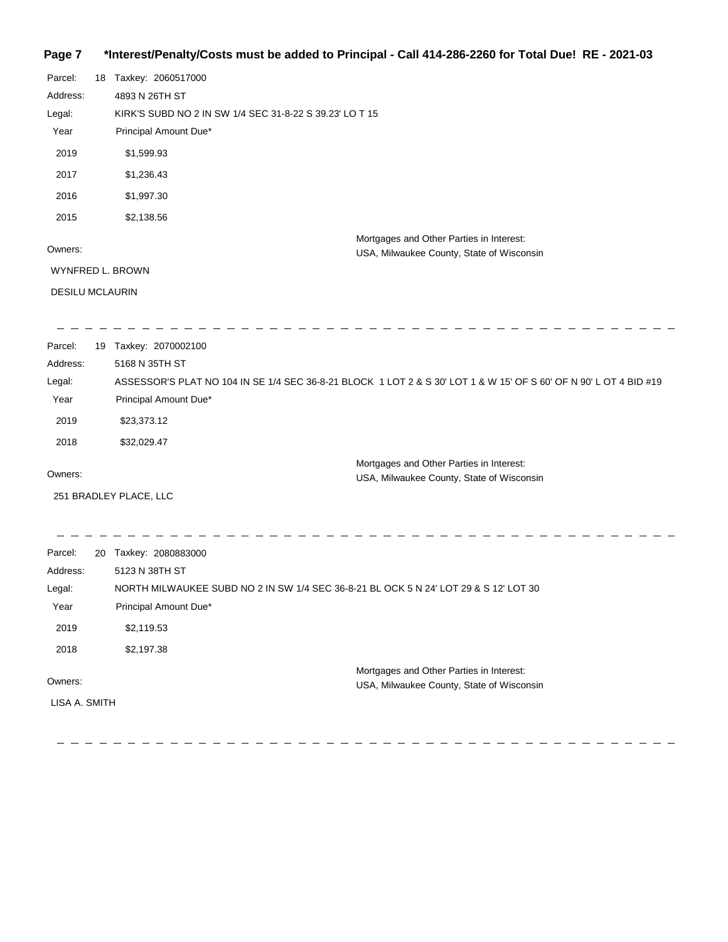# **Page 7 \*Interest/Penalty/Costs must be added to Principal - Call 414-286-2260 for Total Due! RE - 2021-03**

| Parcel:                | 18 Taxkey: 2060517000                                                                                             |
|------------------------|-------------------------------------------------------------------------------------------------------------------|
| Address:               | 4893 N 26TH ST                                                                                                    |
| Legal:                 | KIRK'S SUBD NO 2 IN SW 1/4 SEC 31-8-22 S 39.23' LO T 15                                                           |
| Year                   | Principal Amount Due*                                                                                             |
| 2019                   | \$1,599.93                                                                                                        |
| 2017                   | \$1,236.43                                                                                                        |
| 2016                   | \$1,997.30                                                                                                        |
| 2015                   | \$2,138.56                                                                                                        |
| Owners:                | Mortgages and Other Parties in Interest:<br>USA, Milwaukee County, State of Wisconsin                             |
| WYNFRED L. BROWN       |                                                                                                                   |
| <b>DESILU MCLAURIN</b> |                                                                                                                   |
| Parcel:                | 19 Taxkey: 2070002100                                                                                             |
| Address:               | 5168 N 35TH ST                                                                                                    |
| Legal:                 | ASSESSOR'S PLAT NO 104 IN SE 1/4 SEC 36-8-21 BLOCK 1 LOT 2 & S 30' LOT 1 & W 15' OF S 60' OF N 90' L OT 4 BID #19 |
| Year                   | Principal Amount Due*                                                                                             |
| 2019                   | \$23,373.12                                                                                                       |
| 2018                   | \$32,029.47                                                                                                       |
| Owners:                | Mortgages and Other Parties in Interest:<br>USA, Milwaukee County, State of Wisconsin                             |
|                        | 251 BRADLEY PLACE, LLC                                                                                            |
| Parcel:                | 20 Taxkey: 2080883000                                                                                             |
| Address:               | 5123 N 38TH ST                                                                                                    |
| Legal:                 | NORTH MILWAUKEE SUBD NO 2 IN SW 1/4 SEC 36-8-21 BL OCK 5 N 24' LOT 29 & S 12' LOT 30                              |
| Year                   | Principal Amount Due*                                                                                             |
| 2019                   | \$2,119.53                                                                                                        |
| 2018                   | \$2,197.38                                                                                                        |
|                        | Mortgages and Other Parties in Interest:                                                                          |
| Owners:                | USA, Milwaukee County, State of Wisconsin                                                                         |
| LISA A. SMITH          |                                                                                                                   |

 $\overline{a}$  $\begin{array}{ccccccccccccc} \multicolumn{2}{c}{} & \multicolumn{2}{c}{} & \multicolumn{2}{c}{} & \multicolumn{2}{c}{} & \multicolumn{2}{c}{} & \multicolumn{2}{c}{} & \multicolumn{2}{c}{} & \multicolumn{2}{c}{} & \multicolumn{2}{c}{} & \multicolumn{2}{c}{} & \multicolumn{2}{c}{} & \multicolumn{2}{c}{} & \multicolumn{2}{c}{} & \multicolumn{2}{c}{} & \multicolumn{2}{c}{} & \multicolumn{2}{c}{} & \multicolumn{2}{c}{} & \multicolumn{2}{c}{} & \multicolumn{2}{c}{} & \$ 

 $\frac{1}{2}$ 

 $\overline{a}$ 

 $\equiv$   $\equiv$ 

 $\equiv$   $\equiv$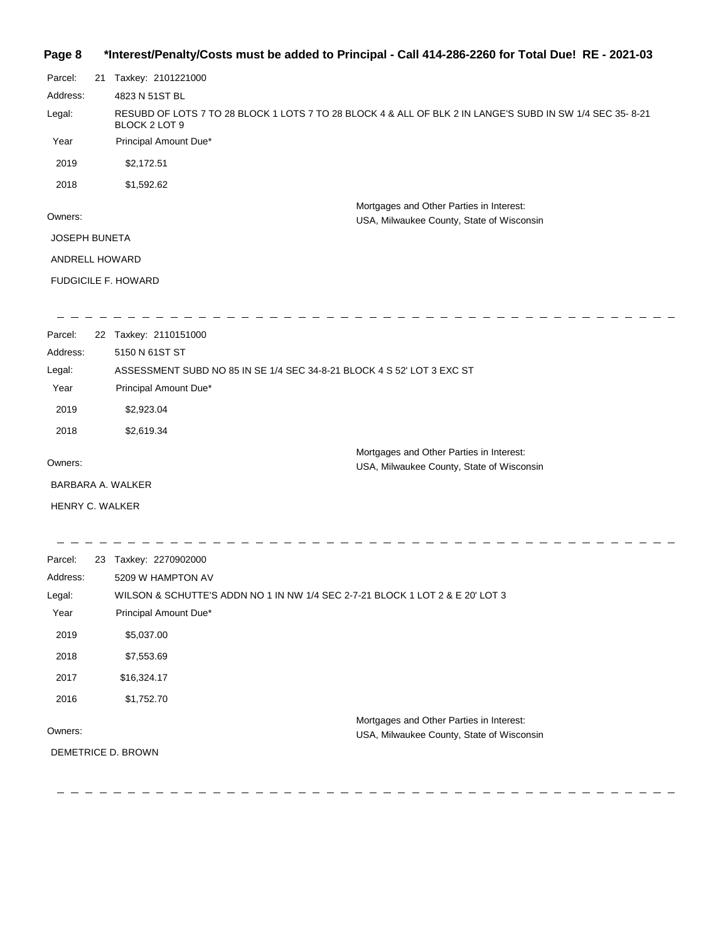## **Page 8 \*Interest/Penalty/Costs must be added to Principal - Call 414-286-2260 for Total Due! RE - 2021-03**

| Parcel:              | 21 | Taxkey: 2101221000                                                                                                         |
|----------------------|----|----------------------------------------------------------------------------------------------------------------------------|
| Address:             |    | 4823 N 51ST BL                                                                                                             |
| Legal:               |    | RESUBD OF LOTS 7 TO 28 BLOCK 1 LOTS 7 TO 28 BLOCK 4 & ALL OF BLK 2 IN LANGE'S SUBD IN SW 1/4 SEC 35- 8-21<br>BLOCK 2 LOT 9 |
| Year                 |    | Principal Amount Due*                                                                                                      |
| 2019                 |    | \$2,172.51                                                                                                                 |
| 2018                 |    | \$1,592.62                                                                                                                 |
|                      |    | Mortgages and Other Parties in Interest:                                                                                   |
| Owners:              |    | USA, Milwaukee County, State of Wisconsin                                                                                  |
| <b>JOSEPH BUNETA</b> |    |                                                                                                                            |
| ANDRELL HOWARD       |    |                                                                                                                            |
|                      |    | <b>FUDGICILE F. HOWARD</b>                                                                                                 |
|                      |    |                                                                                                                            |
|                      |    |                                                                                                                            |

| Parcel:  | 22 Taxkey: 2110151000                                                                 |
|----------|---------------------------------------------------------------------------------------|
| Address: | 5150 N 61ST ST                                                                        |
| Legal:   | ASSESSMENT SUBD NO 85 IN SE 1/4 SEC 34-8-21 BLOCK 4 S 52' LOT 3 EXC ST                |
| Year     | Principal Amount Due*                                                                 |
| 2019     | \$2,923.04                                                                            |
| 2018     | \$2,619.34                                                                            |
| Owners:  | Mortgages and Other Parties in Interest:<br>USA, Milwaukee County, State of Wisconsin |

 $\equiv$ 

BARBARA A. WALKER

HENRY C. WALKER

| Parcel:  | 23 | Taxkey: 2270902000                                                            |
|----------|----|-------------------------------------------------------------------------------|
| Address: |    | 5209 W HAMPTON AV                                                             |
| Legal:   |    | WILSON & SCHUTTE'S ADDN NO 1 IN NW 1/4 SEC 2-7-21 BLOCK 1 LOT 2 & E 20' LOT 3 |
| Year     |    | Principal Amount Due*                                                         |
| 2019     |    | \$5,037.00                                                                    |
| 2018     |    | \$7,553.69                                                                    |
| 2017     |    | \$16,324.17                                                                   |
| 2016     |    | \$1,752.70                                                                    |
|          |    | Mortgages and Other Parties in Interest:                                      |
| Owners:  |    | USA, Milwaukee County, State of Wisconsin                                     |
|          |    | DEMETRICE D. BROWN                                                            |
|          |    |                                                                               |

--------------------------------------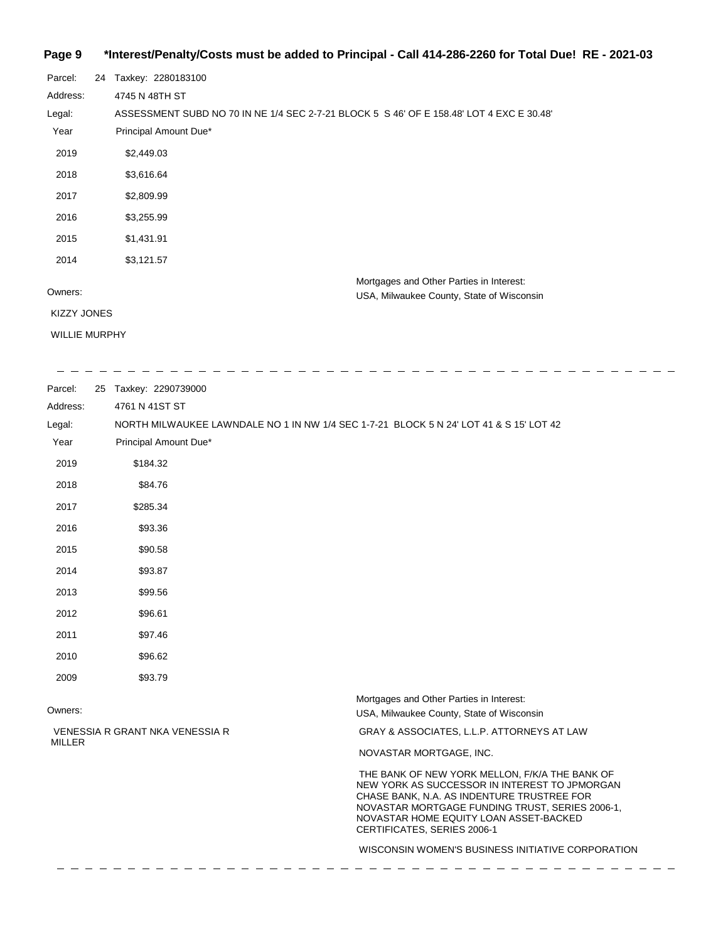# **Page 9 \*Interest/Penalty/Costs must be added to Principal - Call 414-286-2260 for Total Due! RE - 2021-03**

| Parcel:              | 24 | Taxkey: 2280183100                                                                       |
|----------------------|----|------------------------------------------------------------------------------------------|
| Address:             |    | 4745 N 48TH ST                                                                           |
| Legal:               |    | ASSESSMENT SUBD NO 70 IN NE 1/4 SEC 2-7-21 BLOCK 5 S 46' OF E 158.48' LOT 4 EXC E 30.48' |
| Year                 |    | Principal Amount Due*                                                                    |
| 2019                 |    | \$2,449.03                                                                               |
| 2018                 |    | \$3,616.64                                                                               |
| 2017                 |    | \$2,809.99                                                                               |
| 2016                 |    | \$3,255.99                                                                               |
| 2015                 |    | \$1,431.91                                                                               |
| 2014                 |    | \$3,121.57                                                                               |
|                      |    | Mortgages and Other Parties in Interest:                                                 |
| Owners:              |    | USA, Milwaukee County, State of Wisconsin                                                |
| <b>KIZZY JONES</b>   |    |                                                                                          |
| <b>WILLIE MURPHY</b> |    |                                                                                          |

| Parcel:       | 25 Taxkey: 2290739000                                                                  |                                                                                                                                                                                                                                                                           |
|---------------|----------------------------------------------------------------------------------------|---------------------------------------------------------------------------------------------------------------------------------------------------------------------------------------------------------------------------------------------------------------------------|
| Address:      | 4761 N 41ST ST                                                                         |                                                                                                                                                                                                                                                                           |
| Legal:        | NORTH MILWAUKEE LAWNDALE NO 1 IN NW 1/4 SEC 1-7-21 BLOCK 5 N 24' LOT 41 & S 15' LOT 42 |                                                                                                                                                                                                                                                                           |
| Year          | Principal Amount Due*                                                                  |                                                                                                                                                                                                                                                                           |
| 2019          | \$184.32                                                                               |                                                                                                                                                                                                                                                                           |
| 2018          | \$84.76                                                                                |                                                                                                                                                                                                                                                                           |
| 2017          | \$285.34                                                                               |                                                                                                                                                                                                                                                                           |
| 2016          | \$93.36                                                                                |                                                                                                                                                                                                                                                                           |
| 2015          | \$90.58                                                                                |                                                                                                                                                                                                                                                                           |
| 2014          | \$93.87                                                                                |                                                                                                                                                                                                                                                                           |
| 2013          | \$99.56                                                                                |                                                                                                                                                                                                                                                                           |
| 2012          | \$96.61                                                                                |                                                                                                                                                                                                                                                                           |
| 2011          | \$97.46                                                                                |                                                                                                                                                                                                                                                                           |
| 2010          | \$96.62                                                                                |                                                                                                                                                                                                                                                                           |
| 2009          | \$93.79                                                                                |                                                                                                                                                                                                                                                                           |
| Owners:       |                                                                                        | Mortgages and Other Parties in Interest:<br>USA, Milwaukee County, State of Wisconsin                                                                                                                                                                                     |
|               | VENESSIA R GRANT NKA VENESSIA R                                                        | GRAY & ASSOCIATES, L.L.P. ATTORNEYS AT LAW                                                                                                                                                                                                                                |
| <b>MILLER</b> |                                                                                        | NOVASTAR MORTGAGE, INC.                                                                                                                                                                                                                                                   |
|               |                                                                                        | THE BANK OF NEW YORK MELLON, F/K/A THE BANK OF<br>NEW YORK AS SUCCESSOR IN INTEREST TO JPMORGAN<br>CHASE BANK, N.A. AS INDENTURE TRUSTREE FOR<br>NOVASTAR MORTGAGE FUNDING TRUST, SERIES 2006-1,<br>NOVASTAR HOME EQUITY LOAN ASSET-BACKED<br>CERTIFICATES, SERIES 2006-1 |
|               |                                                                                        | WISCONSIN WOMEN'S BUSINESS INITIATIVE CORPORATION                                                                                                                                                                                                                         |
|               |                                                                                        |                                                                                                                                                                                                                                                                           |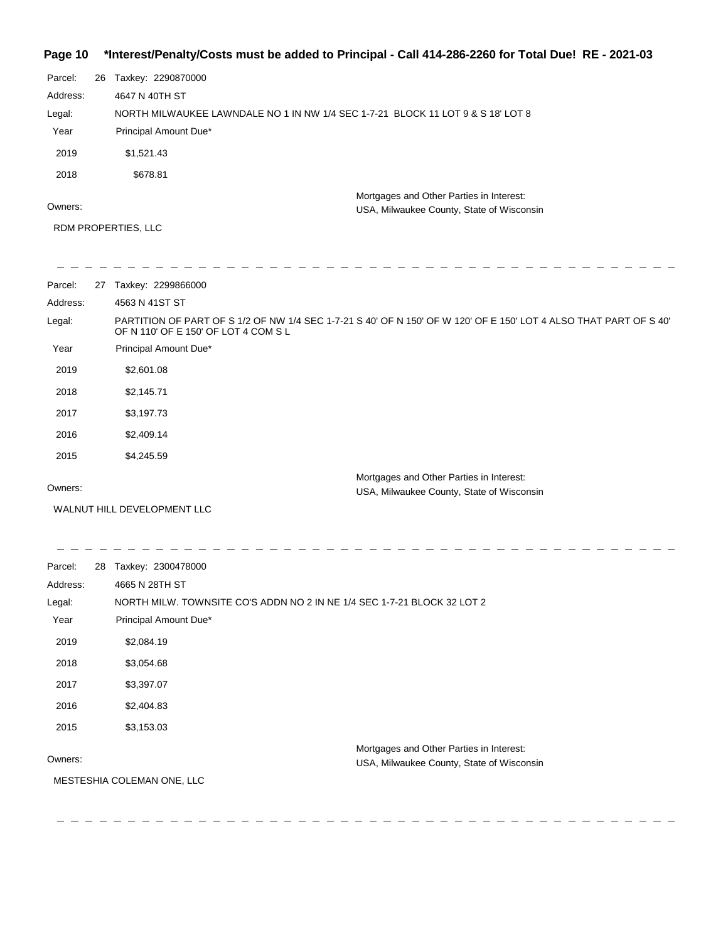## **Page 10 \*Interest/Penalty/Costs must be added to Principal - Call 414-286-2260 for Total Due! RE - 2021-03**

| Parcel:  | 26 | Taxkey: 2290870000                                                              |
|----------|----|---------------------------------------------------------------------------------|
| Address: |    | 4647 N 40TH ST                                                                  |
| Legal:   |    | NORTH MILWAUKEE LAWNDALE NO 1 IN NW 1/4 SEC 1-7-21 BLOCK 11 LOT 9 & S 18' LOT 8 |
| Year     |    | Principal Amount Due*                                                           |
| 2019     |    | \$1,521.43                                                                      |
| 2018     |    | \$678.81                                                                        |
|          |    | Mortgages and Other Parties in Interest:                                        |
| Owners:  |    | USA, Milwaukee County, State of Wisconsin                                       |

RDM PROPERTIES, LLC

| Parcel:  | 27 | Taxkey: 2299866000                                                                                                                                        |
|----------|----|-----------------------------------------------------------------------------------------------------------------------------------------------------------|
| Address: |    | 4563 N 41ST ST                                                                                                                                            |
| Legal:   |    | PARTITION OF PART OF S 1/2 OF NW 1/4 SEC 1-7-21 S 40' OF N 150' OF W 120' OF E 150' LOT 4 ALSO THAT PART OF S 40'<br>OF N 110' OF E 150' OF LOT 4 COM S L |
| Year     |    | Principal Amount Due*                                                                                                                                     |
| 2019     |    | \$2,601.08                                                                                                                                                |
| 2018     |    | \$2,145.71                                                                                                                                                |
| 2017     |    | \$3,197.73                                                                                                                                                |
| 2016     |    | \$2,409.14                                                                                                                                                |
| 2015     |    | \$4,245.59                                                                                                                                                |
|          |    | Mortgages and Other Parties in Interest:                                                                                                                  |
| Owners:  |    | USA, Milwaukee County, State of Wisconsin                                                                                                                 |

WALNUT HILL DEVELOPMENT LLC

\_\_\_\_\_\_\_\_\_\_\_\_\_\_\_\_\_\_\_\_\_\_

Parcel: 28 Taxkey: 2300478000 Address: 4665 N 28TH ST Legal: NORTH MILW. TOWNSITE CO'S ADDN NO 2 IN NE 1/4 SEC 1-7-21 BLOCK 32 LOT 2 Year Principal Amount Due\* 2019 \$2,084.19 2018 \$3,054.68 2017 \$3,397.07 2016 \$2,404.83 2015 \$3,153.03 Mortgages and Other Parties in Interest: Owners: USA, Milwaukee County, State of Wisconsin MESTESHIA COLEMAN ONE, LLC

> L. ц.,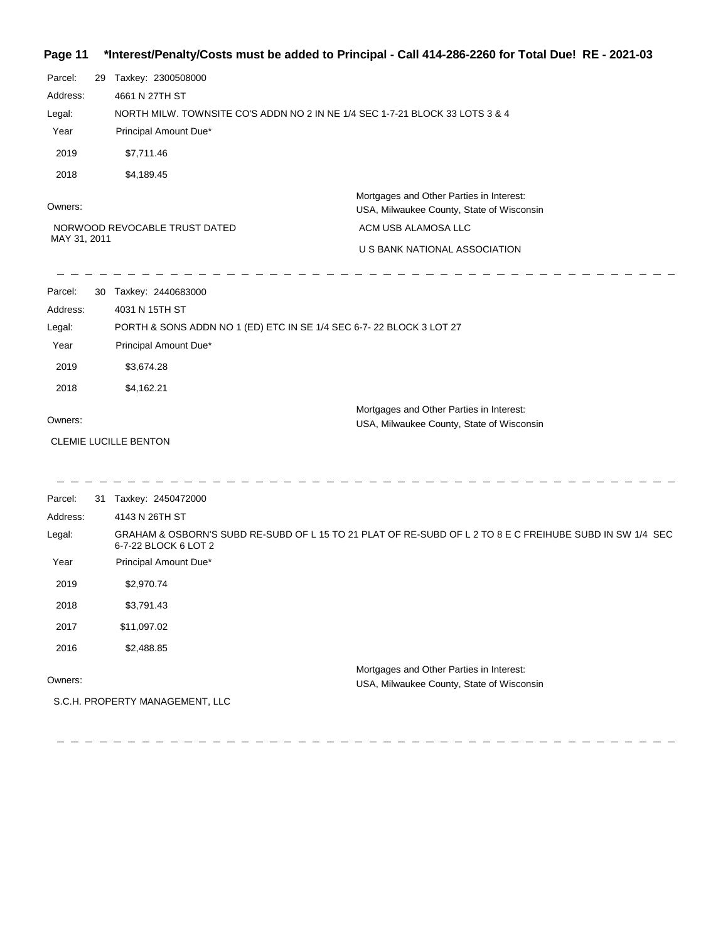## **Page 11 \*Interest/Penalty/Costs must be added to Principal - Call 414-286-2260 for Total Due! RE - 2021-03**

| Parcel:      | 29 Taxkey: 2300508000         |                                                                                                          |
|--------------|-------------------------------|----------------------------------------------------------------------------------------------------------|
| Address:     | 4661 N 27TH ST                |                                                                                                          |
| Legal:       |                               | NORTH MILW. TOWNSITE CO'S ADDN NO 2 IN NE 1/4 SEC 1-7-21 BLOCK 33 LOTS 3 & 4                             |
| Year         | Principal Amount Due*         |                                                                                                          |
| 2019         | \$7,711.46                    |                                                                                                          |
| 2018         | \$4,189.45                    |                                                                                                          |
| Owners:      |                               | Mortgages and Other Parties in Interest:<br>USA, Milwaukee County, State of Wisconsin                    |
|              | NORWOOD REVOCABLE TRUST DATED | ACM USB ALAMOSA LLC                                                                                      |
| MAY 31, 2011 |                               | U S BANK NATIONAL ASSOCIATION                                                                            |
| Parcel:      | 30 Taxkey: 2440683000         |                                                                                                          |
| Address:     | 4031 N 15TH ST                |                                                                                                          |
| Legal:       |                               | PORTH & SONS ADDN NO 1 (ED) ETC IN SE 1/4 SEC 6-7-22 BLOCK 3 LOT 27                                      |
| Year         | Principal Amount Due*         |                                                                                                          |
| 2019         | \$3,674.28                    |                                                                                                          |
| 2018         | \$4,162.21                    |                                                                                                          |
| Owners:      |                               | Mortgages and Other Parties in Interest:                                                                 |
|              |                               | USA, Milwaukee County, State of Wisconsin                                                                |
|              | <b>CLEMIE LUCILLE BENTON</b>  |                                                                                                          |
| Parcel:      | 31 Taxkey: 2450472000         |                                                                                                          |
| Address:     | 4143 N 26TH ST                |                                                                                                          |
| Legal:       | 6-7-22 BLOCK 6 LOT 2          | GRAHAM & OSBORN'S SUBD RE-SUBD OF L 15 TO 21 PLAT OF RE-SUBD OF L 2 TO 8 E C FREIHUBE SUBD IN SW 1/4 SEC |
| Year         | Principal Amount Due*         |                                                                                                          |
| 2019         | \$2,970.74                    |                                                                                                          |
| 2018         | \$3,791.43                    |                                                                                                          |
| 2017         | \$11,097.02                   |                                                                                                          |
| 2016         | \$2,488.85                    |                                                                                                          |
| Owners:      |                               | Mortgages and Other Parties in Interest:<br><b>IISA Milwaukee County State of Wisconsin</b>              |

USA, Milwaukee County, State of Wisconsin

S.C.H. PROPERTY MANAGEMENT, LLC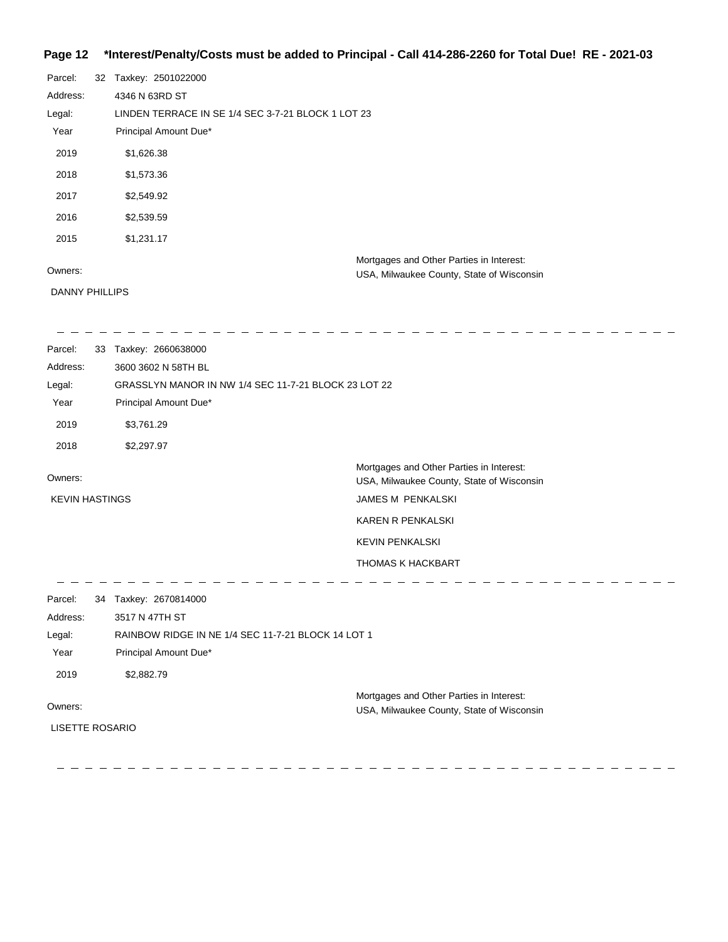# **Page 12 \*Interest/Penalty/Costs must be added to Principal - Call 414-286-2260 for Total Due! RE - 2021-03**

| Parcel:               | 32 | Taxkey: 2501022000                                 |
|-----------------------|----|----------------------------------------------------|
| Address:              |    | 4346 N 63RD ST                                     |
| Legal:                |    | LINDEN TERRACE IN SE 1/4 SEC 3-7-21 BLOCK 1 LOT 23 |
| Year                  |    | Principal Amount Due*                              |
| 2019                  |    | \$1,626.38                                         |
| 2018                  |    | \$1,573.36                                         |
| 2017                  |    | \$2,549.92                                         |
| 2016                  |    | \$2,539.59                                         |
| 2015                  |    | \$1,231.17                                         |
|                       |    | Mortgages and Other Parties in Interest:           |
| Owners:               |    | USA, Milwaukee County, State of Wisconsin          |
| <b>DANNY PHILLIPS</b> |    |                                                    |

| Parcel:                | 33 | Taxkey: 2660638000                                   |                                                                                       |
|------------------------|----|------------------------------------------------------|---------------------------------------------------------------------------------------|
| Address:               |    | 3600 3602 N 58TH BL                                  |                                                                                       |
| Legal:                 |    | GRASSLYN MANOR IN NW 1/4 SEC 11-7-21 BLOCK 23 LOT 22 |                                                                                       |
| Year                   |    | Principal Amount Due*                                |                                                                                       |
| 2019                   |    | \$3,761.29                                           |                                                                                       |
| 2018                   |    | \$2,297.97                                           |                                                                                       |
| Owners:                |    |                                                      | Mortgages and Other Parties in Interest:<br>USA, Milwaukee County, State of Wisconsin |
| <b>KEVIN HASTINGS</b>  |    |                                                      | JAMES M PENKALSKI                                                                     |
|                        |    |                                                      | KAREN R PENKALSKI                                                                     |
|                        |    |                                                      | <b>KEVIN PENKALSKI</b>                                                                |
|                        |    |                                                      | <b>THOMAS K HACKBART</b>                                                              |
| Parcel:                |    | 34 Taxkey: 2670814000                                |                                                                                       |
| Address:               |    | 3517 N 47TH ST                                       |                                                                                       |
| Legal:                 |    | RAINBOW RIDGE IN NE 1/4 SEC 11-7-21 BLOCK 14 LOT 1   |                                                                                       |
| Year                   |    | Principal Amount Due*                                |                                                                                       |
| 2019                   |    | \$2,882.79                                           |                                                                                       |
| Owners:                |    |                                                      | Mortgages and Other Parties in Interest:<br>USA, Milwaukee County, State of Wisconsin |
| <b>LISETTE ROSARIO</b> |    |                                                      |                                                                                       |
|                        |    |                                                      |                                                                                       |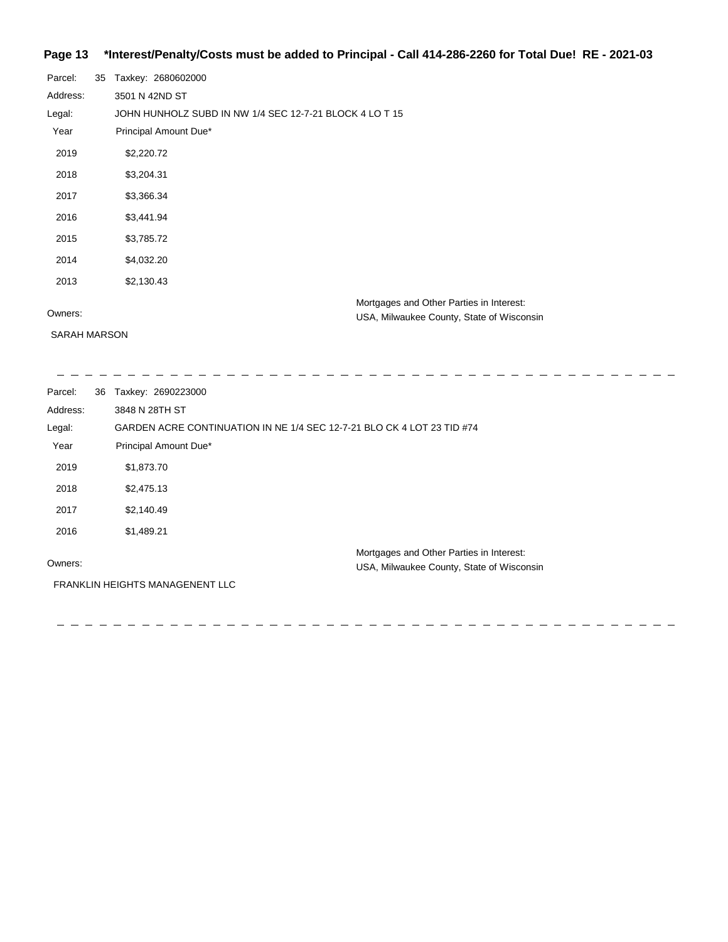# **Page 13 \*Interest/Penalty/Costs must be added to Principal - Call 414-286-2260 for Total Due! RE - 2021-03**

| Parcel:  | 35 | Taxkey: 2680602000                                      |
|----------|----|---------------------------------------------------------|
| Address: |    | 3501 N 42ND ST                                          |
| Legal:   |    | JOHN HUNHOLZ SUBD IN NW 1/4 SEC 12-7-21 BLOCK 4 LO T 15 |
| Year     |    | Principal Amount Due*                                   |
| 2019     |    | \$2,220.72                                              |
| 2018     |    | \$3,204.31                                              |
| 2017     |    | \$3,366.34                                              |
| 2016     |    | \$3,441.94                                              |
| 2015     |    | \$3,785.72                                              |
| 2014     |    | \$4,032.20                                              |
| 2013     |    | \$2,130.43                                              |
|          |    | Mortgages and Other Parties in Interest:                |
| Owners:  |    | USA, Milwaukee County, State of Wisconsin               |

SARAH MARSON

USA, Milwaukee County, Sta

| Parcel:  | 36 | Taxkey: 2690223000                                                                    |
|----------|----|---------------------------------------------------------------------------------------|
| Address: |    | 3848 N 28TH ST                                                                        |
| Legal:   |    | GARDEN ACRE CONTINUATION IN NE 1/4 SEC 12-7-21 BLO CK 4 LOT 23 TID #74                |
| Year     |    | Principal Amount Due*                                                                 |
| 2019     |    | \$1,873.70                                                                            |
| 2018     |    | \$2,475.13                                                                            |
| 2017     |    | \$2,140.49                                                                            |
| 2016     |    | \$1,489.21                                                                            |
| Owners:  |    | Mortgages and Other Parties in Interest:<br>USA, Milwaukee County, State of Wisconsin |
|          |    | FRANKLIN HEIGHTS MANAGENENT LLC                                                       |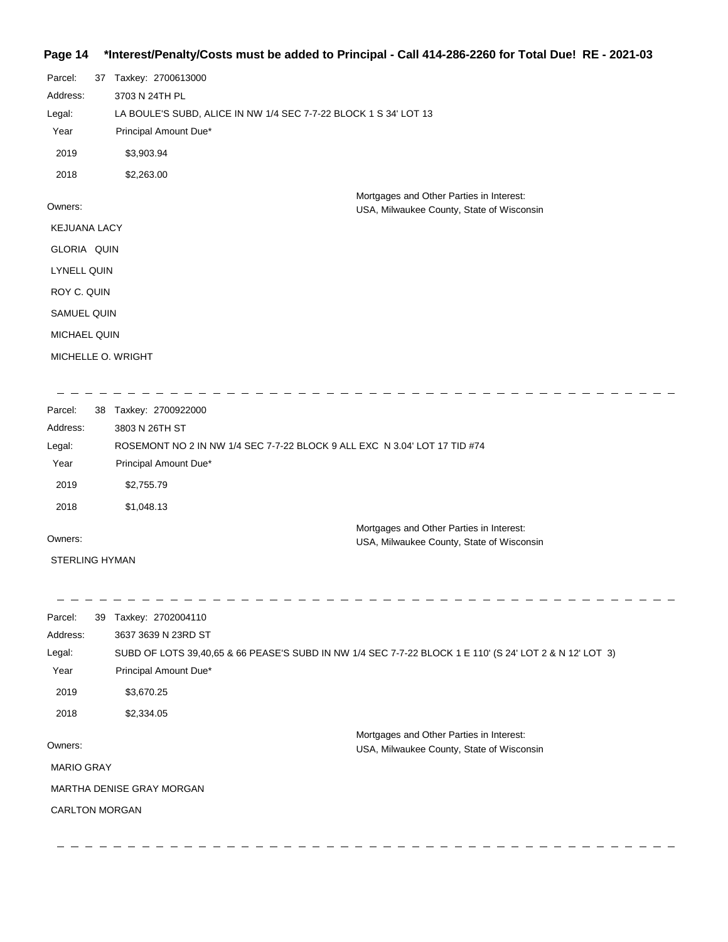## **Page 14 \*Interest/Penalty/Costs must be added to Principal - Call 414-286-2260 for Total Due! RE - 2021-03**

| 37                  | Taxkey: 2700613000                                               |
|---------------------|------------------------------------------------------------------|
|                     | 3703 N 24TH PL                                                   |
|                     | LA BOULE'S SUBD, ALICE IN NW 1/4 SEC 7-7-22 BLOCK 1 S 34' LOT 13 |
|                     | Principal Amount Due*                                            |
|                     | \$3,903.94                                                       |
|                     | \$2,263.00                                                       |
|                     | Mortgages and Other Parties in Interest:                         |
|                     | USA, Milwaukee County, State of Wisconsin                        |
| <b>KEJUANA LACY</b> |                                                                  |
| GLORIA QUIN         |                                                                  |
| <b>LYNELL QUIN</b>  |                                                                  |
| ROY C. QUIN         |                                                                  |
| <b>SAMUEL QUIN</b>  |                                                                  |
| <b>MICHAEL QUIN</b> |                                                                  |
|                     | MICHELLE O. WRIGHT                                               |
|                     |                                                                  |

| Parcel:  | 38 | Taxkey: 2700922000                                                        |  |
|----------|----|---------------------------------------------------------------------------|--|
| Address: |    | 3803 N 26TH ST                                                            |  |
| Legal:   |    | ROSEMONT NO 2 IN NW 1/4 SEC 7-7-22 BLOCK 9 ALL EXC N 3.04' LOT 17 TID #74 |  |
| Year     |    | Principal Amount Due*                                                     |  |
| 2019     |    | \$2,755.79                                                                |  |
| 2018     |    | \$1,048.13                                                                |  |
|          |    | Mortgages and Other Parties in Interest:                                  |  |
| Owners:  |    | USA, Milwaukee County, State of Wisconsin                                 |  |

STERLING HYMAN

 $\frac{1}{2} \frac{1}{2} \frac{1}{2} \frac{1}{2} \frac{1}{2} \frac{1}{2} \frac{1}{2}$ 

 $\begin{array}{cccccccccccccc} \bot & \bot & \bot & \bot & \bot & \bot & \bot & \bot \end{array}$ 

 $-$  - - - - - $-$  - - - - - - $\frac{1}{2} \frac{1}{2} \frac{1}{2} \frac{1}{2} \frac{1}{2} \frac{1}{2} \frac{1}{2} \frac{1}{2} \frac{1}{2} \frac{1}{2} \frac{1}{2} \frac{1}{2} \frac{1}{2} \frac{1}{2} \frac{1}{2} \frac{1}{2} \frac{1}{2} \frac{1}{2} \frac{1}{2} \frac{1}{2} \frac{1}{2} \frac{1}{2} \frac{1}{2} \frac{1}{2} \frac{1}{2} \frac{1}{2} \frac{1}{2} \frac{1}{2} \frac{1}{2} \frac{1}{2} \frac{1}{2} \frac{$  $-$  - - - - - - - $-$ Parcel: 39 Taxkey: 2702004110 Address: 3637 3639 N 23RD ST SUBD OF LOTS 39,40,65 & 66 PEASE'S SUBD IN NW 1/4 SEC 7-7-22 BLOCK 1 E 110' (S 24' LOT 2 & N 12' LOT 3) Legal: Year Principal Amount Due\* 2019 \$3,670.25 2018 \$2,334.05 Mortgages and Other Parties in Interest: Owners: USA, Milwaukee County, State of Wisconsin MARIO GRAY MARTHA DENISE GRAY MORGAN CARLTON MORGAN

. <u>. . . . . . . . . . . .</u> .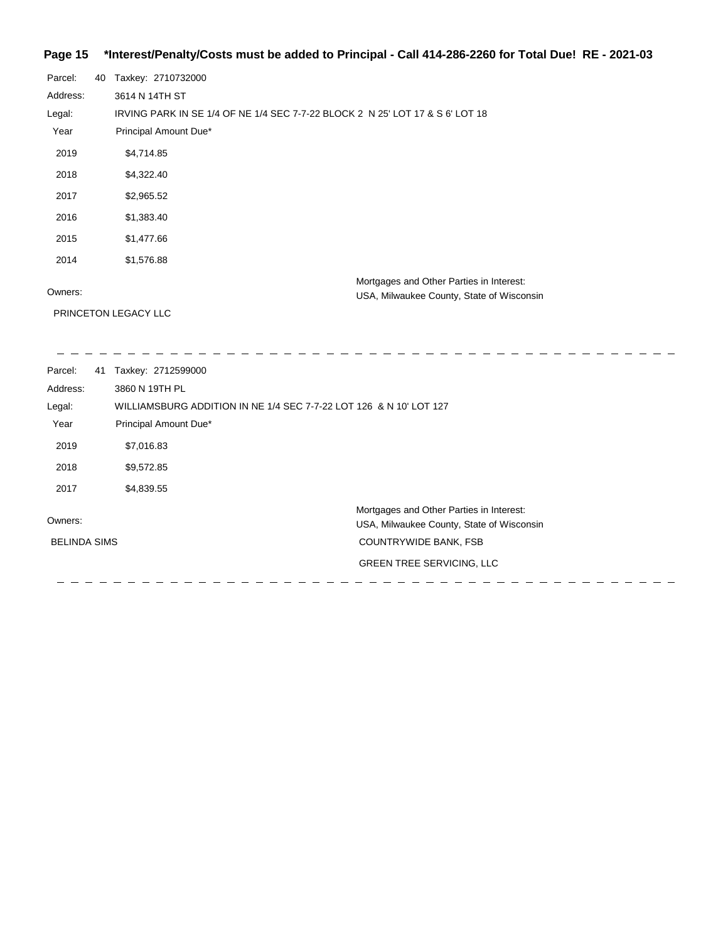# **Page 15 \*Interest/Penalty/Costs must be added to Principal - Call 414-286-2260 for Total Due! RE - 2021-03**

| Parcel:  | 40 | Taxkey: 2710732000                                                            |
|----------|----|-------------------------------------------------------------------------------|
|          |    |                                                                               |
| Address: |    | 3614 N 14TH ST                                                                |
| Legal:   |    | IRVING PARK IN SE 1/4 OF NE 1/4 SEC 7-7-22 BLOCK 2 N 25' LOT 17 & S 6' LOT 18 |
| Year     |    | Principal Amount Due*                                                         |
| 2019     |    | \$4,714.85                                                                    |
| 2018     |    | \$4,322.40                                                                    |
| 2017     |    | \$2,965.52                                                                    |
| 2016     |    | \$1,383.40                                                                    |
| 2015     |    | \$1,477.66                                                                    |
| 2014     |    | \$1,576.88                                                                    |
|          |    | Mortgages and Other Parties in Interest:                                      |
| Owners:  |    | USA, Milwaukee County, State of Wisconsin                                     |
|          |    | PRINCETON LEGACY LLC                                                          |

| Parcel:<br>41       | Taxkey: 2712599000                                                 |  |
|---------------------|--------------------------------------------------------------------|--|
| Address:            | 3860 N 19TH PL                                                     |  |
| Legal:              | WILLIAMSBURG ADDITION IN NE 1/4 SEC 7-7-22 LOT 126 & N 10' LOT 127 |  |
| Year                | Principal Amount Due*                                              |  |
| 2019                | \$7,016.83                                                         |  |
| 2018                | \$9,572.85                                                         |  |
| 2017                | \$4,839.55                                                         |  |
|                     | Mortgages and Other Parties in Interest:                           |  |
| Owners:             | USA, Milwaukee County, State of Wisconsin                          |  |
| <b>BELINDA SIMS</b> | <b>COUNTRYWIDE BANK, FSB</b>                                       |  |
|                     | <b>GREEN TREE SERVICING, LLC</b>                                   |  |
|                     |                                                                    |  |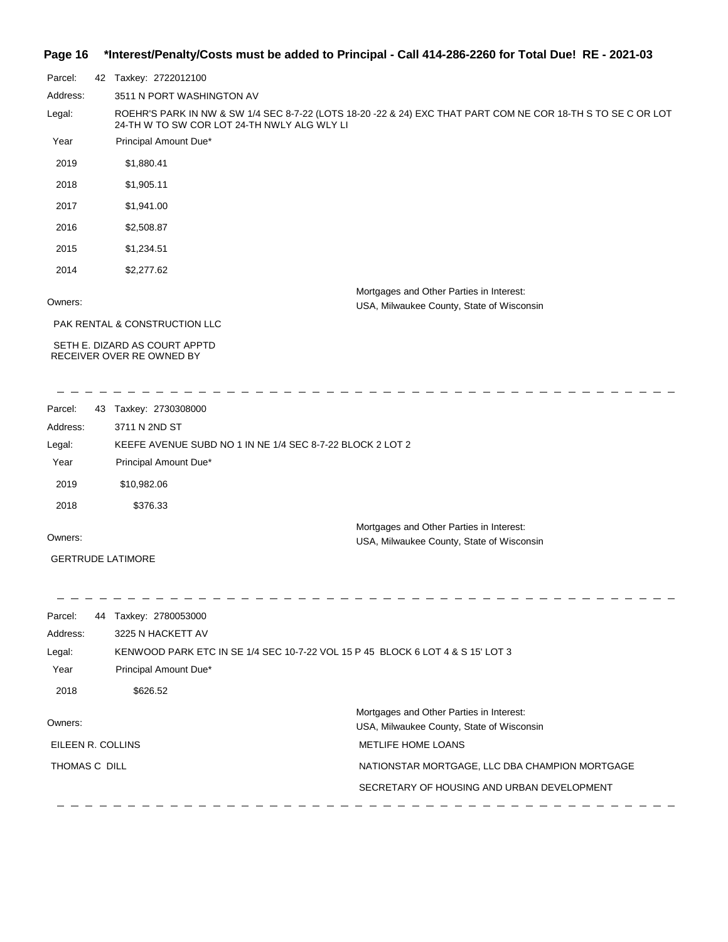## **Page 16 \*Interest/Penalty/Costs must be added to Principal - Call 414-286-2260 for Total Due! RE - 2021-03**

| Parcel:  | 42 | Taxkey: 2722012100                                                                                                                                          |
|----------|----|-------------------------------------------------------------------------------------------------------------------------------------------------------------|
| Address: |    | 3511 N PORT WASHINGTON AV                                                                                                                                   |
| Legal:   |    | ROEHR'S PARK IN NW & SW 1/4 SEC 8-7-22 (LOTS 18-20 -22 & 24) EXC THAT PART COM NE COR 18-TH S TO SE C OR LOT<br>24-TH W TO SW COR LOT 24-TH NWLY ALG WLY LI |
| Year     |    | Principal Amount Due*                                                                                                                                       |
| 2019     |    | \$1,880.41                                                                                                                                                  |
| 2018     |    | \$1,905.11                                                                                                                                                  |
| 2017     |    | \$1,941.00                                                                                                                                                  |
| 2016     |    | \$2,508.87                                                                                                                                                  |
| 2015     |    | \$1,234.51                                                                                                                                                  |
| 2014     |    | \$2,277.62                                                                                                                                                  |
| Owners:  |    | Mortgages and Other Parties in Interest:<br>USA, Milwaukee County, State of Wisconsin                                                                       |

PAK RENTAL & CONSTRUCTION LLC

 SETH E. DIZARD AS COURT APPTD RECEIVER OVER RE OWNED BY

| Parcel:  | 43 | Taxkey: 2730308000                                        |  |
|----------|----|-----------------------------------------------------------|--|
| Address: |    | 3711 N 2ND ST                                             |  |
| Legal:   |    | KEEFE AVENUE SUBD NO 1 IN NE 1/4 SEC 8-7-22 BLOCK 2 LOT 2 |  |
| Year     |    | Principal Amount Due*                                     |  |
| 2019     |    | \$10,982.06                                               |  |
| 2018     |    | \$376.33                                                  |  |
|          |    | Mortgages and Other Parties in Interest:                  |  |
| Owners:  |    | USA, Milwaukee County, State of Wisconsin                 |  |

GERTRUDE LATIMORE

| Parcel:<br>44     | Taxkey: 2780053000                                                             |                                                |
|-------------------|--------------------------------------------------------------------------------|------------------------------------------------|
| Address:          | 3225 N HACKETT AV                                                              |                                                |
| Legal:            | KENWOOD PARK ETC IN SE 1/4 SEC 10-7-22 VOL 15 P 45 BLOCK 6 LOT 4 & S 15' LOT 3 |                                                |
| Year              | Principal Amount Due*                                                          |                                                |
| 2018              | \$626.52                                                                       |                                                |
| Owners:           |                                                                                | Mortgages and Other Parties in Interest:       |
|                   |                                                                                | USA, Milwaukee County, State of Wisconsin      |
| EILEEN R. COLLINS |                                                                                | <b>METLIFE HOME LOANS</b>                      |
| THOMAS C DILL     |                                                                                | NATIONSTAR MORTGAGE, LLC DBA CHAMPION MORTGAGE |
|                   |                                                                                | SECRETARY OF HOUSING AND URBAN DEVELOPMENT     |
|                   |                                                                                |                                                |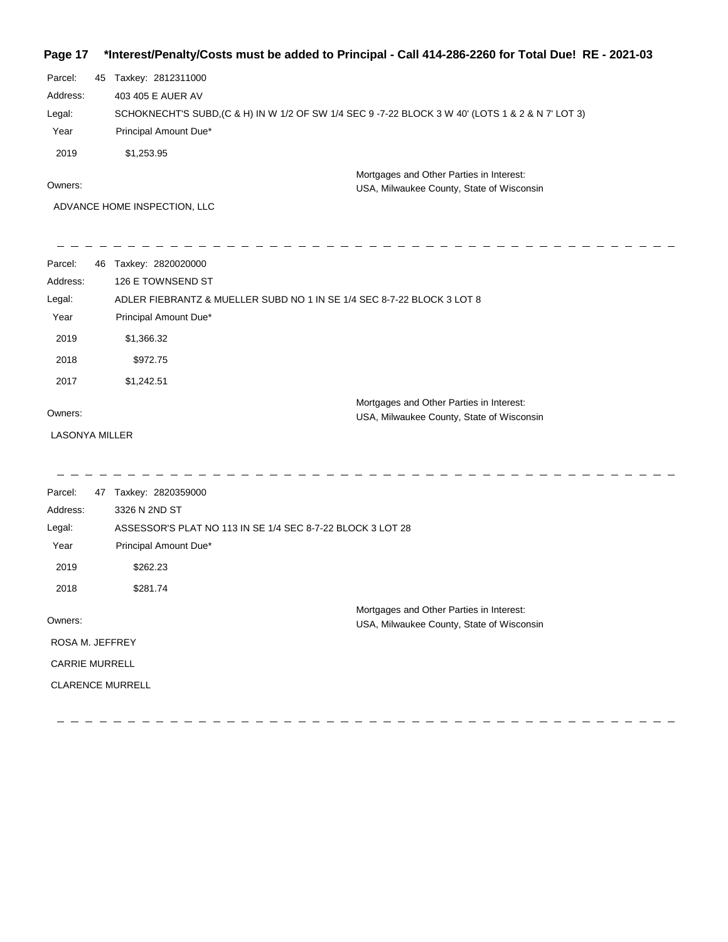## **Page 17 \*Interest/Penalty/Costs must be added to Principal - Call 414-286-2260 for Total Due! RE - 2021-03**

| Parcel:  | 45 Taxkey: 2812311000                                                                             |
|----------|---------------------------------------------------------------------------------------------------|
| Address: | 403 405 E AUER AV                                                                                 |
| Legal:   | SCHOKNECHT'S SUBD, (C & H) IN W 1/2 OF SW 1/4 SEC 9 -7-22 BLOCK 3 W 40' (LOTS 1 & 2 & N 7' LOT 3) |
| Year     | Principal Amount Due*                                                                             |
| 2019     | \$1.253.95                                                                                        |
|          | Mortgages and Other Parties in Interest:                                                          |

Owners:

USA, Milwaukee County, State of Wisconsin

ADVANCE HOME INSPECTION, LLC

| Parcel:  | 46 | Taxkey: 2820020000                                                     |
|----------|----|------------------------------------------------------------------------|
| Address: |    | 126 E TOWNSEND ST                                                      |
| Legal:   |    | ADLER FIEBRANTZ & MUELLER SUBD NO 1 IN SE 1/4 SEC 8-7-22 BLOCK 3 LOT 8 |
| Year     |    | Principal Amount Due*                                                  |
| 2019     |    | \$1,366.32                                                             |
| 2018     |    | \$972.75                                                               |
| 2017     |    | \$1,242.51                                                             |
|          |    | Mortgages and Other Parties in Interest:                               |
| Owners:  |    | USA, Milwaukee County, State of Wisconsin                              |

LASONYA MILLER

| Parcel:               | 47                      | Taxkey: 2820359000                                         |                                           |  |
|-----------------------|-------------------------|------------------------------------------------------------|-------------------------------------------|--|
| Address:              |                         | 3326 N 2ND ST                                              |                                           |  |
| Legal:                |                         | ASSESSOR'S PLAT NO 113 IN SE 1/4 SEC 8-7-22 BLOCK 3 LOT 28 |                                           |  |
| Year                  |                         | Principal Amount Due*                                      |                                           |  |
| 2019                  |                         | \$262.23                                                   |                                           |  |
| 2018                  |                         | \$281.74                                                   |                                           |  |
|                       |                         |                                                            | Mortgages and Other Parties in Interest:  |  |
| Owners:               |                         |                                                            | USA, Milwaukee County, State of Wisconsin |  |
| ROSA M. JEFFREY       |                         |                                                            |                                           |  |
| <b>CARRIE MURRELL</b> |                         |                                                            |                                           |  |
|                       | <b>CLARENCE MURRELL</b> |                                                            |                                           |  |
|                       |                         |                                                            |                                           |  |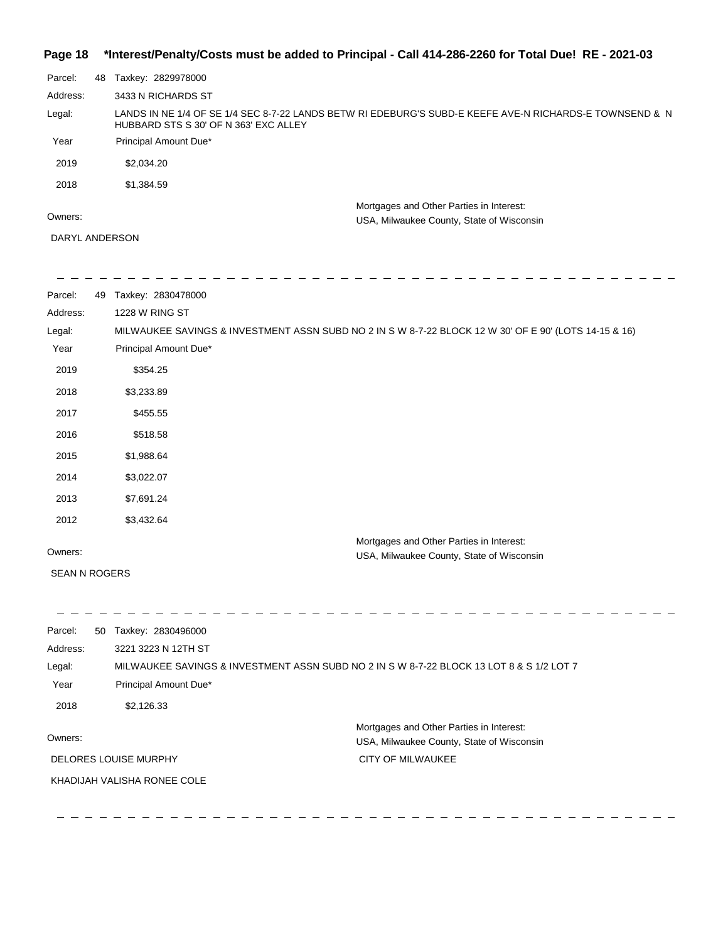## **Page 18 \*Interest/Penalty/Costs must be added to Principal - Call 414-286-2260 for Total Due! RE - 2021-03**

| Parcel:  | 48 | Taxkey: 2829978000                                                                                                                               |  |
|----------|----|--------------------------------------------------------------------------------------------------------------------------------------------------|--|
| Address: |    | 3433 N RICHARDS ST                                                                                                                               |  |
| Legal:   |    | LANDS IN NE 1/4 OF SE 1/4 SEC 8-7-22 LANDS BETW RI EDEBURG'S SUBD-E KEEFE AVE-N RICHARDS-E TOWNSEND & N<br>HUBBARD STS S 30' OF N 363' EXC ALLEY |  |
| Year     |    | Principal Amount Due*                                                                                                                            |  |
| 2019     |    | \$2,034.20                                                                                                                                       |  |
| 2018     |    | \$1,384.59                                                                                                                                       |  |
|          |    | Mortgages and Other Parties in Interest:                                                                                                         |  |
| Owners:  |    | USA, Milwaukee County, State of Wisconsin                                                                                                        |  |

#### DARYL ANDERSON

 $\frac{1}{2}$ 

 $\sim$   $-$ 

| Parcel:  | 49 | Taxkey: 2830478000                                                                                    |
|----------|----|-------------------------------------------------------------------------------------------------------|
| Address: |    | 1228 W RING ST                                                                                        |
| Legal:   |    | MILWAUKEE SAVINGS & INVESTMENT ASSN SUBD NO 2 IN S W 8-7-22 BLOCK 12 W 30' OF E 90' (LOTS 14-15 & 16) |
| Year     |    | Principal Amount Due*                                                                                 |
| 2019     |    | \$354.25                                                                                              |
| 2018     |    | \$3,233.89                                                                                            |
| 2017     |    | \$455.55                                                                                              |
| 2016     |    | \$518.58                                                                                              |
| 2015     |    | \$1,988.64                                                                                            |
| 2014     |    | \$3,022.07                                                                                            |
| 2013     |    | \$7,691.24                                                                                            |
| 2012     |    | \$3,432.64                                                                                            |
|          |    | Mortgages and Other Parties in Interest:                                                              |
| Owners:  |    | USA, Milwaukee County, State of Wisconsin                                                             |

Parcel: 50 Taxkey: 2830496000 Owners: Mortgages and Other Parties in Interest: Year Principal Amount Due\* USA, Milwaukee County, State of Wisconsin MILWAUKEE SAVINGS & INVESTMENT ASSN SUBD NO 2 IN S W 8-7-22 BLOCK 13 LOT 8 & S 1/2 LOT 7 3221 3223 N 12TH ST Address: Legal: CITY OF MILWAUKEE 2018 \$2,126.33 DELORES LOUISE MURPHY KHADIJAH VALISHA RONEE COLE

 $\frac{1}{2} \left( \frac{1}{2} \right) \frac{1}{2} \left( \frac{1}{2} \right) \frac{1}{2} \left( \frac{1}{2} \right) \frac{1}{2} \left( \frac{1}{2} \right) \frac{1}{2} \left( \frac{1}{2} \right) \frac{1}{2} \left( \frac{1}{2} \right) \frac{1}{2} \left( \frac{1}{2} \right) \frac{1}{2} \left( \frac{1}{2} \right) \frac{1}{2} \left( \frac{1}{2} \right) \frac{1}{2} \left( \frac{1}{2} \right) \frac{1}{2} \left( \frac{1}{2} \right)$ 

\_\_\_\_\_\_\_\_\_\_\_\_\_\_\_\_\_\_\_\_\_\_

 $\sim$   $-$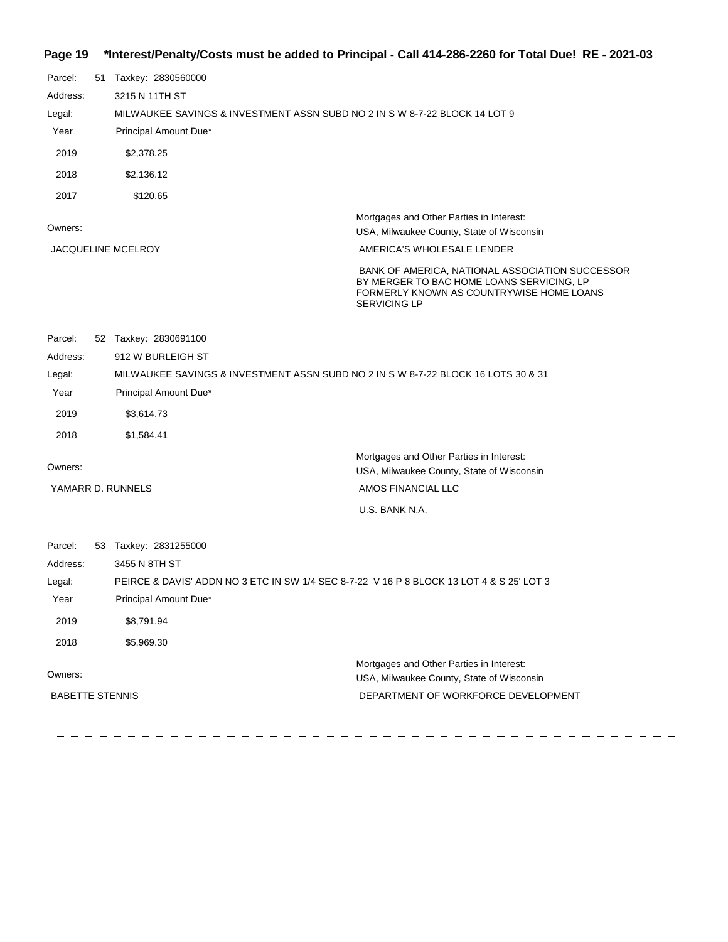# **Page 19 \*Interest/Penalty/Costs must be added to Principal - Call 414-286-2260 for Total Due! RE - 2021-03**

| Parcel:<br>Address:<br>Legal:<br>Year<br>2019<br>2018<br>2017 |                                                               | 51 Taxkey: 2830560000<br>3215 N 11TH ST<br>MILWAUKEE SAVINGS & INVESTMENT ASSN SUBD NO 2 IN S W 8-7-22 BLOCK 14 LOT 9<br>Principal Amount Due*<br>\$2,378.25<br>\$2,136.12<br>\$120.65 |                                                                                                                                                                 |  |
|---------------------------------------------------------------|---------------------------------------------------------------|----------------------------------------------------------------------------------------------------------------------------------------------------------------------------------------|-----------------------------------------------------------------------------------------------------------------------------------------------------------------|--|
| Owners:                                                       |                                                               |                                                                                                                                                                                        | Mortgages and Other Parties in Interest:                                                                                                                        |  |
|                                                               |                                                               | <b>JACQUELINE MCELROY</b>                                                                                                                                                              | USA, Milwaukee County, State of Wisconsin<br>AMERICA'S WHOLESALE LENDER                                                                                         |  |
|                                                               |                                                               |                                                                                                                                                                                        | BANK OF AMERICA, NATIONAL ASSOCIATION SUCCESSOR<br>BY MERGER TO BAC HOME LOANS SERVICING, LP<br>FORMERLY KNOWN AS COUNTRYWISE HOME LOANS<br><b>SERVICING LP</b> |  |
| Parcel:                                                       |                                                               | 52 Taxkey: 2830691100                                                                                                                                                                  |                                                                                                                                                                 |  |
| Address:                                                      |                                                               | 912 W BURLEIGH ST                                                                                                                                                                      |                                                                                                                                                                 |  |
| Legal:                                                        |                                                               | MILWAUKEE SAVINGS & INVESTMENT ASSN SUBD NO 2 IN S W 8-7-22 BLOCK 16 LOTS 30 & 31                                                                                                      |                                                                                                                                                                 |  |
| Year                                                          |                                                               | Principal Amount Due*                                                                                                                                                                  |                                                                                                                                                                 |  |
| 2019                                                          |                                                               | \$3,614.73                                                                                                                                                                             |                                                                                                                                                                 |  |
| 2018                                                          |                                                               | \$1,584.41                                                                                                                                                                             |                                                                                                                                                                 |  |
| Owners:                                                       |                                                               |                                                                                                                                                                                        | Mortgages and Other Parties in Interest:<br>USA, Milwaukee County, State of Wisconsin                                                                           |  |
| YAMARR D. RUNNELS                                             |                                                               |                                                                                                                                                                                        | AMOS FINANCIAL LLC                                                                                                                                              |  |
|                                                               |                                                               |                                                                                                                                                                                        | U.S. BANK N.A.                                                                                                                                                  |  |
| Parcel:<br>Address:<br>Legal:                                 |                                                               | 53 Taxkey: 2831255000<br>3455 N 8TH ST<br>PEIRCE & DAVIS' ADDN NO 3 ETC IN SW 1/4 SEC 8-7-22 V 16 P 8 BLOCK 13 LOT 4 & S 25' LOT 3                                                     |                                                                                                                                                                 |  |
| Year                                                          |                                                               | Principal Amount Due*                                                                                                                                                                  |                                                                                                                                                                 |  |
| 2019                                                          |                                                               | \$8,791.94                                                                                                                                                                             |                                                                                                                                                                 |  |
| 2018                                                          |                                                               | \$5,969.30                                                                                                                                                                             |                                                                                                                                                                 |  |
|                                                               |                                                               |                                                                                                                                                                                        | Mortgages and Other Parties in Interest:                                                                                                                        |  |
| Owners:                                                       |                                                               |                                                                                                                                                                                        | USA, Milwaukee County, State of Wisconsin                                                                                                                       |  |
|                                                               | <b>BABETTE STENNIS</b><br>DEPARTMENT OF WORKFORCE DEVELOPMENT |                                                                                                                                                                                        |                                                                                                                                                                 |  |

 $\frac{1}{2}$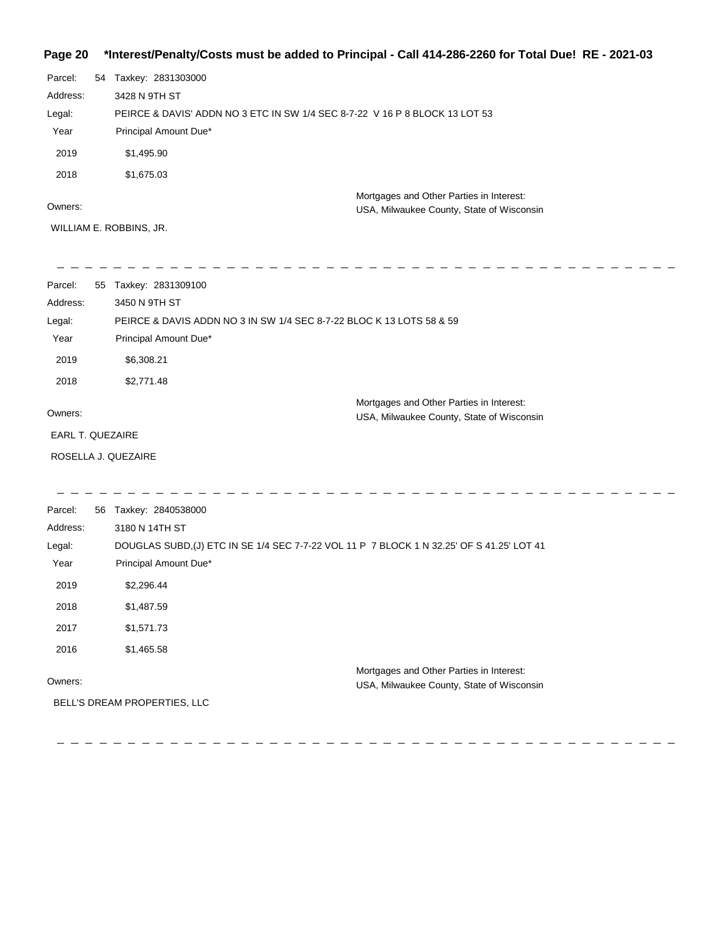## **Page 20 \*Interest/Penalty/Costs must be added to Principal - Call 414-286-2260 for Total Due! RE - 2021-03**

| Parcel:  | 54 | Taxkey: 2831303000                                                                    |
|----------|----|---------------------------------------------------------------------------------------|
| Address: |    | 3428 N 9TH ST                                                                         |
| Legal:   |    | PEIRCE & DAVIS' ADDN NO 3 ETC IN SW 1/4 SEC 8-7-22 V 16 P 8 BLOCK 13 LOT 53           |
| Year     |    | Principal Amount Due*                                                                 |
| 2019     |    | \$1,495.90                                                                            |
| 2018     |    | \$1,675.03                                                                            |
| Owners:  |    | Mortgages and Other Parties in Interest:<br>USA, Milwaukee County, State of Wisconsin |

WILLIAM E. ROBBINS, JR.

| Parcel:<br>55           | Taxkey: 2831309100                                                                            |  |  |
|-------------------------|-----------------------------------------------------------------------------------------------|--|--|
| Address:                | 3450 N 9TH ST                                                                                 |  |  |
| Legal:                  | PEIRCE & DAVIS ADDN NO 3 IN SW 1/4 SEC 8-7-22 BLOC K 13 LOTS 58 & 59                          |  |  |
| Year                    | Principal Amount Due*                                                                         |  |  |
| 2019                    | \$6,308.21                                                                                    |  |  |
| 2018                    | \$2,771.48                                                                                    |  |  |
| Owners:                 | Mortgages and Other Parties in Interest:<br>USA, Milwaukee County, State of Wisconsin         |  |  |
| <b>EARL T. QUEZAIRE</b> |                                                                                               |  |  |
| ROSELLA J. QUEZAIRE     |                                                                                               |  |  |
|                         |                                                                                               |  |  |
| Parcel:                 | 56 Taxkey: 2840538000                                                                         |  |  |
| Address:                | 3180 N 14TH ST                                                                                |  |  |
| <b>I</b> a search       | <b>DOUOLAO OUDD (I) ETO IN OF 4/4 OFO 7 7 00 VOL 44 D. 7 DLOOV 4 N.00 OFLOE 0.44 OFLOT 44</b> |  |  |

| Legal:  | DOUGLAS SUBD.(J) ETC IN SE 1/4 SEC 7-7-22 VOL 11 P 7 BLOCK 1 N 32.25' OF S 41.25' LOT 41 |  |
|---------|------------------------------------------------------------------------------------------|--|
| Year    | Principal Amount Due*                                                                    |  |
| 2019    | \$2,296,44                                                                               |  |
| 2018    | \$1,487.59                                                                               |  |
| 2017    | \$1,571.73                                                                               |  |
| 2016    | \$1,465.58                                                                               |  |
|         | Mortgages and Other Parties in Interest:                                                 |  |
| Owners: | USA, Milwaukee County, State of Wisconsin                                                |  |

BELL'S DREAM PROPERTIES, LLC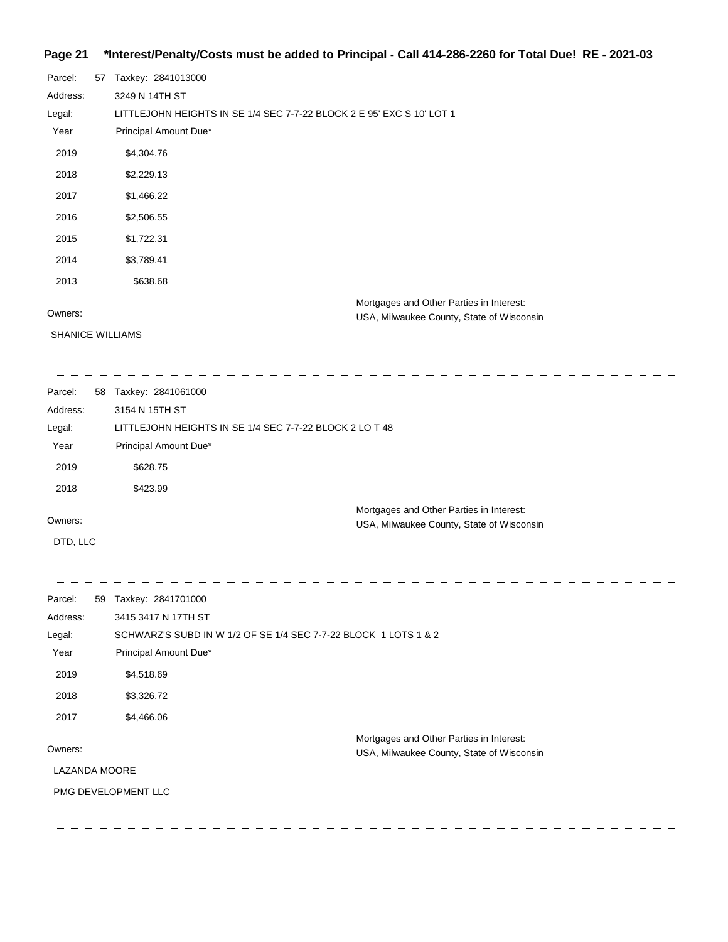### **Page 21 \*Interest/Penalty/Costs must be added to Principal - Call 414-286-2260 for Total Due! RE - 2021-03**

| Parcel:  | 57 | Taxkey: 2841013000                                                    |
|----------|----|-----------------------------------------------------------------------|
| Address: |    | 3249 N 14TH ST                                                        |
| Legal:   |    | LITTLEJOHN HEIGHTS IN SE 1/4 SEC 7-7-22 BLOCK 2 E 95' EXC S 10' LOT 1 |
| Year     |    | Principal Amount Due*                                                 |
| 2019     |    | \$4,304.76                                                            |
| 2018     |    | \$2,229.13                                                            |
| 2017     |    | \$1,466.22                                                            |
| 2016     |    | \$2,506.55                                                            |
| 2015     |    | \$1,722.31                                                            |
| 2014     |    | \$3,789.41                                                            |
| 2013     |    | \$638.68                                                              |
|          |    | Mortgages and Other Parties in Interest:                              |
| Owners:  |    | USA, Milwaukee County, State of Wisconsin                             |

SHANICE WILLIAMS

 $\frac{1}{2}$ 

 $\sim -$ 

 $\frac{1}{2}$   $\frac{1}{2}$   $\frac{1}{2}$ 

 $\equiv$ 

USA, Milwaukee County, State of Wisconsin

 $\equiv$ 

\_ \_ \_ \_ \_ \_ \_ \_

Parcel: 58 Taxkey: 2841061000 Owners: Mortgages and Other Parties in Interest: Year Principal Amount Due\* USA, Milwaukee County, State of Wisconsin LITTLEJOHN HEIGHTS IN SE 1/4 SEC 7-7-22 BLOCK 2 LO T 48 3154 N 15TH ST Address: Legal: 2019 \$628.75 2018 \$423.99

DTD, LLC

 $- - - - \frac{1}{2}$  $\frac{1}{2}$ Parcel: 59 Taxkey: 2841701000 3415 3417 N 17TH ST Address: SCHWARZ'S SUBD IN W 1/2 OF SE 1/4 SEC 7-7-22 BLOCK 1 LOTS 1 & 2 Legal: Year Principal Amount Due\* 2019 \$4,518.69 2018 \$3,326.72 2017 \$4,466.06 Mortgages and Other Parties in Interest: Owners: USA, Milwaukee County, State of Wisconsin LAZANDA MOORE PMG DEVELOPMENT LLC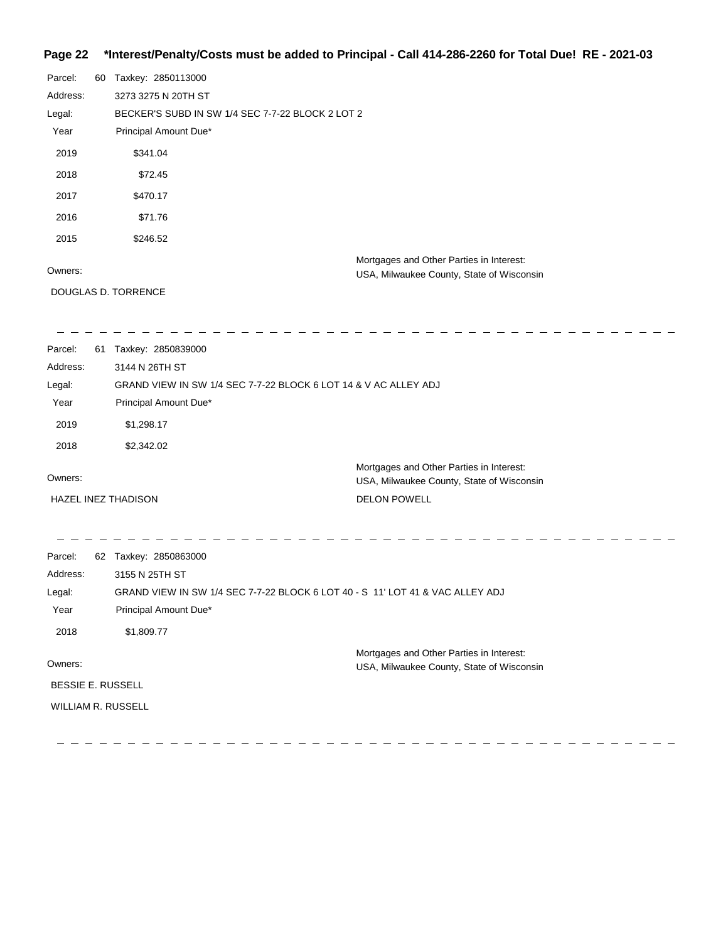## **Page 22 \*Interest/Penalty/Costs must be added to Principal - Call 414-286-2260 for Total Due! RE - 2021-03**

| Parcel:  | 60 | Taxkey: 2850113000                                                                    |  |
|----------|----|---------------------------------------------------------------------------------------|--|
| Address: |    | 3273 3275 N 20TH ST                                                                   |  |
| Legal:   |    | BECKER'S SUBD IN SW 1/4 SEC 7-7-22 BLOCK 2 LOT 2                                      |  |
| Year     |    | Principal Amount Due*                                                                 |  |
| 2019     |    | \$341.04                                                                              |  |
| 2018     |    | \$72.45                                                                               |  |
| 2017     |    | \$470.17                                                                              |  |
| 2016     |    | \$71.76                                                                               |  |
| 2015     |    | \$246.52                                                                              |  |
| Owners:  |    | Mortgages and Other Parties in Interest:<br>USA, Milwaukee County, State of Wisconsin |  |
|          |    | DOUGLAS D. TORRENCE                                                                   |  |
|          |    |                                                                                       |  |
| Parcel:  | 61 | Taxkey: 2850839000                                                                    |  |
| Address: |    | 3144 N 26TH ST                                                                        |  |

| Legal:              | GRAND VIEW IN SW 1/4 SEC 7-7-22 BLOCK 6 LOT 14 & V AC ALLEY ADJ |                                                                                       |  |
|---------------------|-----------------------------------------------------------------|---------------------------------------------------------------------------------------|--|
| Year                | Principal Amount Due*                                           |                                                                                       |  |
| 2019                | \$1.298.17                                                      |                                                                                       |  |
| 2018                | \$2,342.02                                                      |                                                                                       |  |
| Owners:             |                                                                 | Mortgages and Other Parties in Interest:<br>USA, Milwaukee County, State of Wisconsin |  |
| HAZEL INEZ THADISON |                                                                 | <b>DELON POWELL</b>                                                                   |  |

| Parcel:                  |    |                                                                               |
|--------------------------|----|-------------------------------------------------------------------------------|
|                          | 62 | Taxkey: 2850863000                                                            |
| Address:                 |    | 3155 N 25TH ST                                                                |
| Legal:                   |    | GRAND VIEW IN SW 1/4 SEC 7-7-22 BLOCK 6 LOT 40 - S 11' LOT 41 & VAC ALLEY ADJ |
| Year                     |    | Principal Amount Due*                                                         |
| 2018                     |    | \$1,809.77                                                                    |
|                          |    | Mortgages and Other Parties in Interest:                                      |
| Owners:                  |    | USA, Milwaukee County, State of Wisconsin                                     |
| <b>BESSIE E. RUSSELL</b> |    |                                                                               |
| WILLIAM R. RUSSELL       |    |                                                                               |
|                          |    |                                                                               |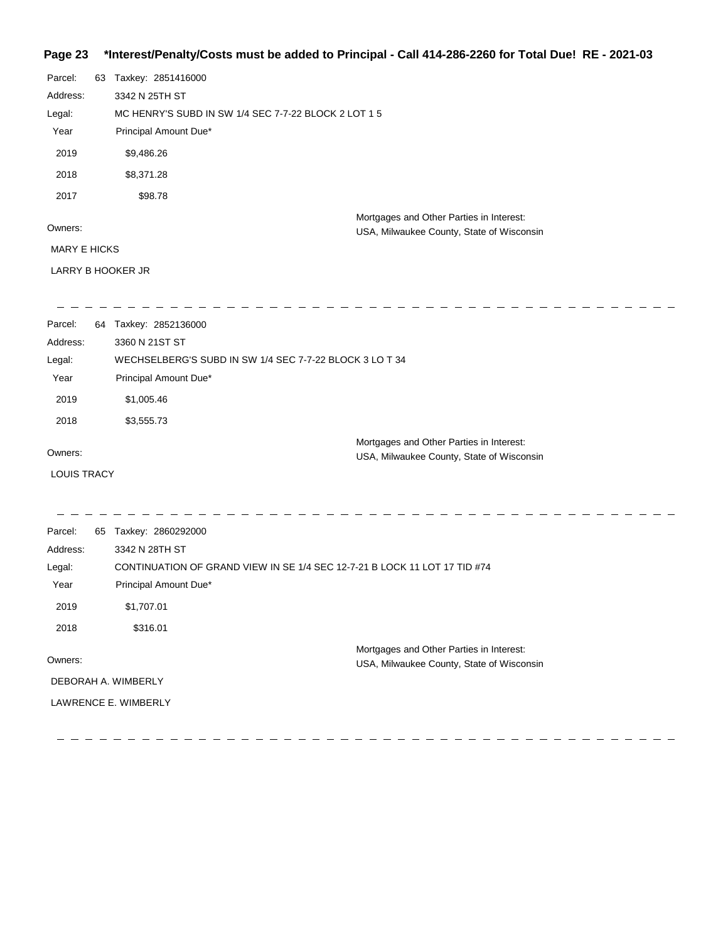## **Page 23 \*Interest/Penalty/Costs must be added to Principal - Call 414-286-2260 for Total Due! RE - 2021-03**

| Parcel:             | 63 | Taxkey: 2851416000                                   |                                                                                       |  |
|---------------------|----|------------------------------------------------------|---------------------------------------------------------------------------------------|--|
| Address:            |    | 3342 N 25TH ST                                       |                                                                                       |  |
| Legal:              |    | MC HENRY'S SUBD IN SW 1/4 SEC 7-7-22 BLOCK 2 LOT 1 5 |                                                                                       |  |
| Year                |    | Principal Amount Due*                                |                                                                                       |  |
| 2019                |    | \$9,486.26                                           |                                                                                       |  |
| 2018                |    | \$8,371.28                                           |                                                                                       |  |
| 2017                |    | \$98.78                                              |                                                                                       |  |
| Owners:             |    |                                                      | Mortgages and Other Parties in Interest:<br>USA, Milwaukee County, State of Wisconsin |  |
| <b>MARY E HICKS</b> |    |                                                      |                                                                                       |  |
| LARRY B HOOKER JR   |    |                                                      |                                                                                       |  |
|                     |    |                                                      |                                                                                       |  |
| Parcel:             | 64 | Taxkey: 2852136000                                   |                                                                                       |  |
|                     |    |                                                      |                                                                                       |  |

| Address: | 3360 N 21ST ST                                                                        |  |
|----------|---------------------------------------------------------------------------------------|--|
| Legal:   | WECHSELBERG'S SUBD IN SW 1/4 SEC 7-7-22 BLOCK 3 LO T 34                               |  |
| Year     | Principal Amount Due*                                                                 |  |
| 2019     | \$1,005.46                                                                            |  |
| 2018     | \$3,555.73                                                                            |  |
| Owners:  | Mortgages and Other Parties in Interest:<br>USA, Milwaukee County, State of Wisconsin |  |

LOUIS TRACY

 $\sim$  $\equiv$  $\frac{1}{2} \frac{1}{2} \frac{1}{2} \frac{1}{2} \frac{1}{2} \frac{1}{2} \frac{1}{2} \frac{1}{2} \frac{1}{2} \frac{1}{2} \frac{1}{2} \frac{1}{2} \frac{1}{2} \frac{1}{2} \frac{1}{2} \frac{1}{2} \frac{1}{2} \frac{1}{2} \frac{1}{2} \frac{1}{2} \frac{1}{2} \frac{1}{2} \frac{1}{2} \frac{1}{2} \frac{1}{2} \frac{1}{2} \frac{1}{2} \frac{1}{2} \frac{1}{2} \frac{1}{2} \frac{1}{2} \frac{$  $\sim$  $\sim$  $\overline{\phantom{a}}$  $\frac{1}{2}$  $\overline{\phantom{a}}$  $\equiv$ Parcel: 65 Taxkey: 2860292000 Address: 3342 N 28TH ST CONTINUATION OF GRAND VIEW IN SE 1/4 SEC 12-7-21 B LOCK 11 LOT 17 TID #74 Legal: Year Principal Amount Due\* 2019 \$1,707.01 2018 \$316.01 Mortgages and Other Parties in Interest: Owners: USA, Milwaukee County, State of Wisconsin DEBORAH A. WIMBERLY LAWRENCE E. WIMBERLY

> $\overline{\phantom{a}}$  $\overline{\phantom{a}}$  $\frac{1}{2} \left( \frac{1}{2} \right) = \frac{1}{2} \left( \frac{1}{2} \right) = \frac{1}{2} \left( \frac{1}{2} \right) = \frac{1}{2} \left( \frac{1}{2} \right) = \frac{1}{2} \left( \frac{1}{2} \right) = \frac{1}{2} \left( \frac{1}{2} \right) = \frac{1}{2} \left( \frac{1}{2} \right) = \frac{1}{2} \left( \frac{1}{2} \right) = \frac{1}{2} \left( \frac{1}{2} \right) = \frac{1}{2} \left( \frac{1}{2} \right) = \frac{1}{2} \left($

 $\frac{1}{2}$  and  $\frac{1}{2}$ 

 $\frac{1}{2} \frac{1}{2} \frac{1}{2} \frac{1}{2} \frac{1}{2} \frac{1}{2} \frac{1}{2} \frac{1}{2} \frac{1}{2} \frac{1}{2} \frac{1}{2} \frac{1}{2} \frac{1}{2} \frac{1}{2} \frac{1}{2} \frac{1}{2} \frac{1}{2} \frac{1}{2} \frac{1}{2} \frac{1}{2} \frac{1}{2} \frac{1}{2} \frac{1}{2} \frac{1}{2} \frac{1}{2} \frac{1}{2} \frac{1}{2} \frac{1}{2} \frac{1}{2} \frac{1}{2} \frac{1}{2} \frac{$  $\overline{\phantom{a}}$  $\frac{1}{2} \frac{1}{2} \frac{1}{2} \frac{1}{2} \frac{1}{2} \frac{1}{2} \frac{1}{2} \frac{1}{2} \frac{1}{2} \frac{1}{2} \frac{1}{2} \frac{1}{2} \frac{1}{2} \frac{1}{2} \frac{1}{2} \frac{1}{2} \frac{1}{2} \frac{1}{2} \frac{1}{2} \frac{1}{2} \frac{1}{2} \frac{1}{2} \frac{1}{2} \frac{1}{2} \frac{1}{2} \frac{1}{2} \frac{1}{2} \frac{1}{2} \frac{1}{2} \frac{1}{2} \frac{1}{2} \frac{$  $\overline{\phantom{a}}$ 

 $\overline{\phantom{a}}$   $\overline{\phantom{a}}$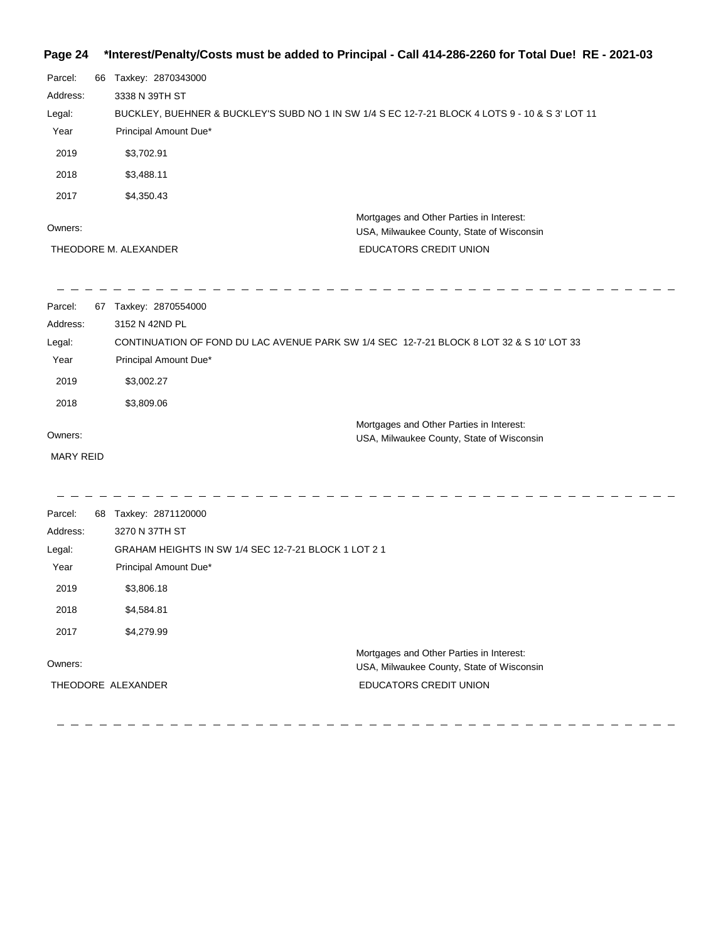## **Page 24 \*Interest/Penalty/Costs must be added to Principal - Call 414-286-2260 for Total Due! RE - 2021-03**

| 66 | Taxkey: 2870343000<br>3338 N 39TH ST |                                                                                                                                                                                                                                                                                                 |
|----|--------------------------------------|-------------------------------------------------------------------------------------------------------------------------------------------------------------------------------------------------------------------------------------------------------------------------------------------------|
|    |                                      |                                                                                                                                                                                                                                                                                                 |
|    |                                      |                                                                                                                                                                                                                                                                                                 |
|    |                                      | BUCKLEY, BUEHNER & BUCKLEY'S SUBD NO 1 IN SW 1/4 S EC 12-7-21 BLOCK 4 LOTS 9 - 10 & S 3' LOT 11                                                                                                                                                                                                 |
|    | Principal Amount Due*                |                                                                                                                                                                                                                                                                                                 |
|    | \$3,702.91                           |                                                                                                                                                                                                                                                                                                 |
|    | \$3,488.11                           |                                                                                                                                                                                                                                                                                                 |
|    | \$4,350.43                           |                                                                                                                                                                                                                                                                                                 |
|    |                                      | Mortgages and Other Parties in Interest:                                                                                                                                                                                                                                                        |
|    |                                      | USA, Milwaukee County, State of Wisconsin                                                                                                                                                                                                                                                       |
|    |                                      | EDUCATORS CREDIT UNION                                                                                                                                                                                                                                                                          |
|    |                                      |                                                                                                                                                                                                                                                                                                 |
|    |                                      |                                                                                                                                                                                                                                                                                                 |
|    |                                      |                                                                                                                                                                                                                                                                                                 |
|    |                                      |                                                                                                                                                                                                                                                                                                 |
|    | \$3,002.27                           |                                                                                                                                                                                                                                                                                                 |
|    | \$3,809.06                           |                                                                                                                                                                                                                                                                                                 |
|    |                                      | Mortgages and Other Parties in Interest:                                                                                                                                                                                                                                                        |
|    |                                      | USA, Milwaukee County, State of Wisconsin                                                                                                                                                                                                                                                       |
|    |                                      |                                                                                                                                                                                                                                                                                                 |
|    |                                      |                                                                                                                                                                                                                                                                                                 |
|    | 3270 N 37TH ST                       |                                                                                                                                                                                                                                                                                                 |
|    |                                      |                                                                                                                                                                                                                                                                                                 |
|    |                                      |                                                                                                                                                                                                                                                                                                 |
|    | \$3,806.18                           |                                                                                                                                                                                                                                                                                                 |
|    | \$4,584.81                           |                                                                                                                                                                                                                                                                                                 |
|    | \$4,279.99                           |                                                                                                                                                                                                                                                                                                 |
|    |                                      | Mortgages and Other Parties in Interest:<br>USA, Milwaukee County, State of Wisconsin                                                                                                                                                                                                           |
|    | THEODORE ALEXANDER                   | EDUCATORS CREDIT UNION                                                                                                                                                                                                                                                                          |
|    |                                      |                                                                                                                                                                                                                                                                                                 |
|    | <b>MARY REID</b>                     | THEODORE M. ALEXANDER<br>67 Taxkey: 2870554000<br>3152 N 42ND PL<br>CONTINUATION OF FOND DU LAC AVENUE PARK SW 1/4 SEC 12-7-21 BLOCK 8 LOT 32 & S 10' LOT 33<br>Principal Amount Due*<br>68 Taxkey: 2871120000<br>GRAHAM HEIGHTS IN SW 1/4 SEC 12-7-21 BLOCK 1 LOT 2 1<br>Principal Amount Due* |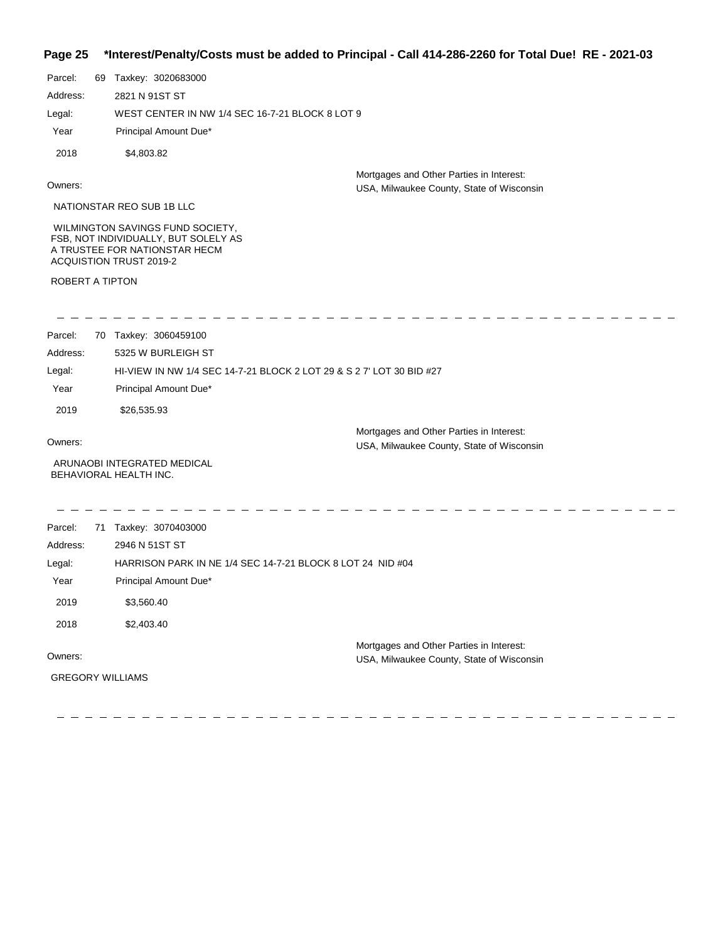## **Page 25 \*Interest/Penalty/Costs must be added to Principal - Call 414-286-2260 for Total Due! RE - 2021-03**

| raye zə         |                                                                                                                                      | merestremativicosis must be added to Principal - Call 414-200-2200 for Total Due: $\overline{NE}$ - 2021-03 |
|-----------------|--------------------------------------------------------------------------------------------------------------------------------------|-------------------------------------------------------------------------------------------------------------|
| Parcel:         | 69 Taxkey: 3020683000                                                                                                                |                                                                                                             |
| Address:        | 2821 N 91ST ST                                                                                                                       |                                                                                                             |
| Legal:          | WEST CENTER IN NW 1/4 SEC 16-7-21 BLOCK 8 LOT 9                                                                                      |                                                                                                             |
| Year            | Principal Amount Due*                                                                                                                |                                                                                                             |
| 2018            | \$4,803.82                                                                                                                           |                                                                                                             |
| Owners:         |                                                                                                                                      | Mortgages and Other Parties in Interest:<br>USA, Milwaukee County, State of Wisconsin                       |
|                 | NATIONSTAR REO SUB 1B LLC                                                                                                            |                                                                                                             |
|                 | WILMINGTON SAVINGS FUND SOCIETY,<br>FSB, NOT INDIVIDUALLY, BUT SOLELY AS<br>A TRUSTEE FOR NATIONSTAR HECM<br>ACQUISTION TRUST 2019-2 |                                                                                                             |
| ROBERT A TIPTON |                                                                                                                                      |                                                                                                             |
|                 |                                                                                                                                      |                                                                                                             |
| Parcel:         | 70 Taxkey: 3060459100                                                                                                                |                                                                                                             |
| Address:        | 5325 W BURLEIGH ST                                                                                                                   |                                                                                                             |
| Legal:          | HI-VIEW IN NW 1/4 SEC 14-7-21 BLOCK 2 LOT 29 & S 2 7' LOT 30 BID #27                                                                 |                                                                                                             |
| Year            | Principal Amount Due*                                                                                                                |                                                                                                             |
| 2019            | \$26,535.93                                                                                                                          |                                                                                                             |
| Owners:         |                                                                                                                                      | Mortgages and Other Parties in Interest:<br>USA, Milwaukee County, State of Wisconsin                       |
|                 | ARUNAOBI INTEGRATED MEDICAL<br>BEHAVIORAL HEALTH INC.                                                                                |                                                                                                             |
| Parcel:         | 71 Taxkey: 3070403000                                                                                                                |                                                                                                             |
| Address:        | 2946 N 51ST ST                                                                                                                       |                                                                                                             |
| Legal:          | HARRISON PARK IN NE 1/4 SEC 14-7-21 BLOCK 8 LOT 24 NID #04                                                                           |                                                                                                             |
| Year            | Principal Amount Due*                                                                                                                |                                                                                                             |
| 2019            | \$3,560.40                                                                                                                           |                                                                                                             |

2018 \$2,403.40

Owners:

Mortgages and Other Parties in Interest: USA, Milwaukee County, State of Wisconsin

 $\frac{1}{2} \frac{1}{2} \frac{1}{2} \frac{1}{2} \frac{1}{2} \frac{1}{2} \frac{1}{2} \frac{1}{2} \frac{1}{2}$ 

- - - - - - - - - -

GREGORY WILLIAMS

 $\frac{1}{2}$ 

----------------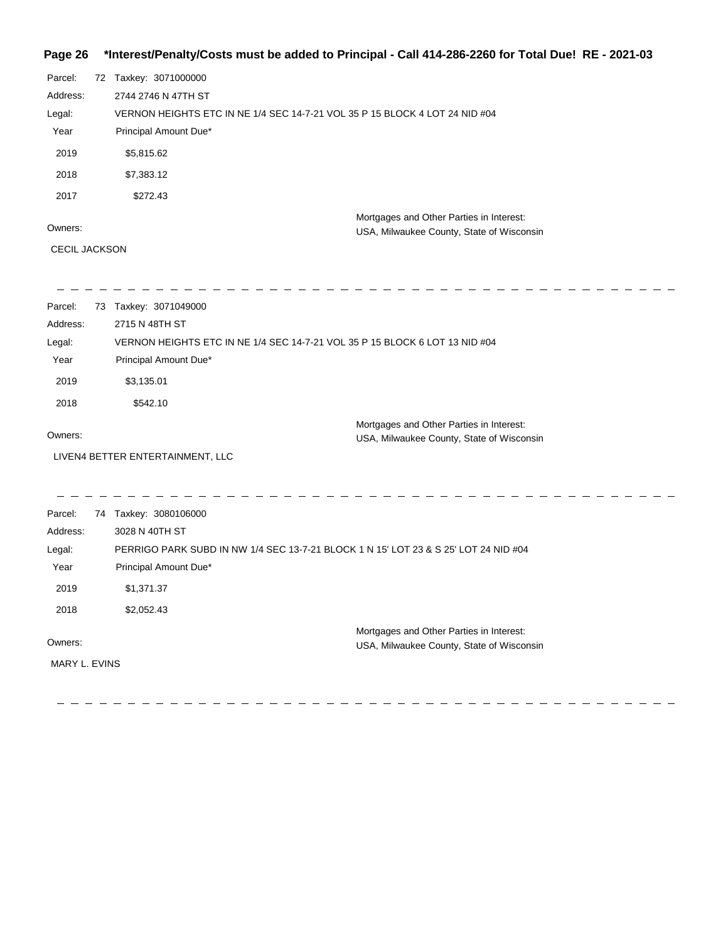# **Page 26 \*Interest/Penalty/Costs must be added to Principal - Call 414-286-2260 for Total Due! RE - 2021-03**

| Parcel:  | 72 Taxkey: 3071000000                                                       |                                                                                       |
|----------|-----------------------------------------------------------------------------|---------------------------------------------------------------------------------------|
| Address: | 2744 2746 N 47TH ST                                                         |                                                                                       |
| Legal:   | VERNON HEIGHTS ETC IN NE 1/4 SEC 14-7-21 VOL 35 P 15 BLOCK 4 LOT 24 NID #04 |                                                                                       |
| Year     | Principal Amount Due*                                                       |                                                                                       |
| 2019     | \$5,815.62                                                                  |                                                                                       |
| 2018     | \$7,383.12                                                                  |                                                                                       |
| 2017     | \$272.43                                                                    |                                                                                       |
| Owners:  |                                                                             | Mortgages and Other Parties in Interest:<br>USA, Milwaukee County, State of Wisconsin |
|          |                                                                             |                                                                                       |

CECIL JACKSON

| Parcel:       | 73 | Taxkey: 3071049000                                                                  |
|---------------|----|-------------------------------------------------------------------------------------|
| Address:      |    | 2715 N 48TH ST                                                                      |
| Legal:        |    | VERNON HEIGHTS ETC IN NE 1/4 SEC 14-7-21 VOL 35 P 15 BLOCK 6 LOT 13 NID #04         |
| Year          |    | Principal Amount Due*                                                               |
| 2019          |    | \$3,135.01                                                                          |
| 2018          |    | \$542.10                                                                            |
|               |    | Mortgages and Other Parties in Interest:                                            |
| Owners:       |    | USA, Milwaukee County, State of Wisconsin                                           |
|               |    | LIVEN4 BETTER ENTERTAINMENT, LLC                                                    |
|               |    |                                                                                     |
| Parcel:       |    | 74 Taxkey: 3080106000                                                               |
| Address:      |    | 3028 N 40TH ST                                                                      |
| Legal:        |    | PERRIGO PARK SUBD IN NW 1/4 SEC 13-7-21 BLOCK 1 N 15' LOT 23 & S 25' LOT 24 NID #04 |
| Year          |    | Principal Amount Due*                                                               |
| 2019          |    | \$1,371.37                                                                          |
| 2018          |    | \$2,052.43                                                                          |
| Owners:       |    | Mortgages and Other Parties in Interest:                                            |
|               |    | USA, Milwaukee County, State of Wisconsin                                           |
| MARY L. EVINS |    |                                                                                     |
|               |    |                                                                                     |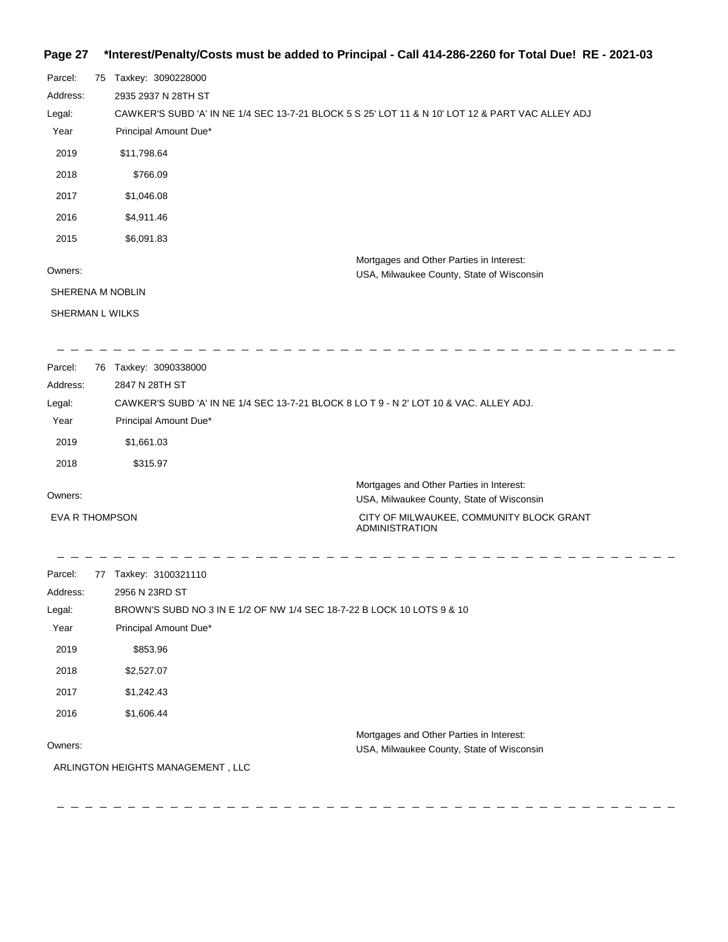## **Page 27 \*Interest/Penalty/Costs must be added to Principal - Call 414-286-2260 for Total Due! RE - 2021-03**

| Parcel:  | 75 | Taxkey: 3090228000                                                                               |                                                                                       |
|----------|----|--------------------------------------------------------------------------------------------------|---------------------------------------------------------------------------------------|
| Address: |    | 2935 2937 N 28TH ST                                                                              |                                                                                       |
| Legal:   |    | CAWKER'S SUBD 'A' IN NE 1/4 SEC 13-7-21 BLOCK 5 S 25' LOT 11 & N 10' LOT 12 & PART VAC ALLEY ADJ |                                                                                       |
| Year     |    | Principal Amount Due*                                                                            |                                                                                       |
| 2019     |    | \$11,798.64                                                                                      |                                                                                       |
| 2018     |    | \$766.09                                                                                         |                                                                                       |
| 2017     |    | \$1,046.08                                                                                       |                                                                                       |
| 2016     |    | \$4,911.46                                                                                       |                                                                                       |
| 2015     |    | \$6,091.83                                                                                       |                                                                                       |
| Owners:  |    |                                                                                                  | Mortgages and Other Parties in Interest:<br>USA, Milwaukee County, State of Wisconsin |
|          |    | SHERENA M NOBLIN                                                                                 |                                                                                       |
|          |    | SHERMAN L WILKS                                                                                  |                                                                                       |
|          |    |                                                                                                  |                                                                                       |

| Parcel:               | 76 | Taxkey: 3090338000                                                                     |
|-----------------------|----|----------------------------------------------------------------------------------------|
| Address:              |    | 2847 N 28TH ST                                                                         |
| Legal:                |    | CAWKER'S SUBD 'A' IN NE 1/4 SEC 13-7-21 BLOCK 8 LO T 9 - N 2' LOT 10 & VAC. ALLEY ADJ. |
| Year                  |    | Principal Amount Due*                                                                  |
| 2019                  |    | \$1.661.03                                                                             |
| 2018                  |    | \$315.97                                                                               |
| Owners:               |    | Mortgages and Other Parties in Interest:<br>USA, Milwaukee County, State of Wisconsin  |
| <b>EVA R THOMPSON</b> |    | CITY OF MILWAUKEE, COMMUNITY BLOCK GRANT                                               |

ADMINISTRATION

| Parcel:  | 77 | Taxkey: 3100321110                                                                    |
|----------|----|---------------------------------------------------------------------------------------|
| Address: |    | 2956 N 23RD ST                                                                        |
| Legal:   |    | BROWN'S SUBD NO 3 IN E 1/2 OF NW 1/4 SEC 18-7-22 B LOCK 10 LOTS 9 & 10                |
| Year     |    | Principal Amount Due*                                                                 |
| 2019     |    | \$853.96                                                                              |
| 2018     |    | \$2,527.07                                                                            |
| 2017     |    | \$1,242.43                                                                            |
| 2016     |    | \$1,606.44                                                                            |
| Owners:  |    | Mortgages and Other Parties in Interest:<br>USA, Milwaukee County, State of Wisconsin |
|          |    | ARLINGTON HEIGHTS MANAGEMENT, LLC                                                     |
|          |    |                                                                                       |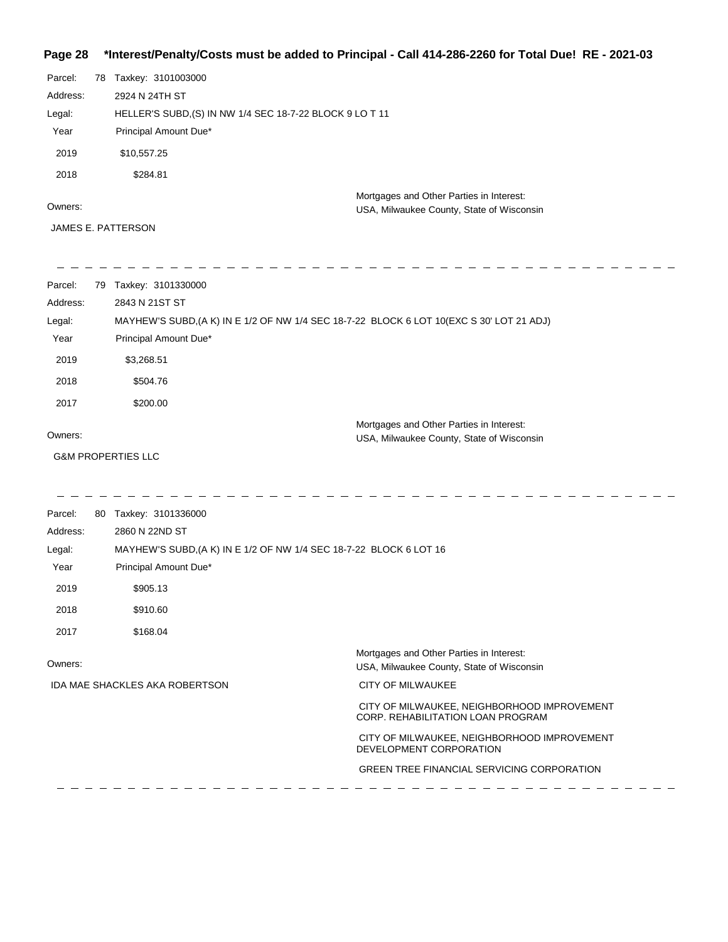# **Page 28 \*Interest/Penalty/Costs must be added to Principal - Call 414-286-2260 for Total Due! RE - 2021-03**

| Parcel:  | 78 Taxkey: 3101003000                                    |
|----------|----------------------------------------------------------|
| Address: | 2924 N 24TH ST                                           |
| Legal:   | HELLER'S SUBD, (S) IN NW 1/4 SEC 18-7-22 BLOCK 9 LO T 11 |
| Year     | Principal Amount Due*                                    |
| 2019     | \$10,557.25                                              |
| 2018     | \$284.81                                                 |
|          | Mortgages and Other Parties in Interest:                 |
| Owners:  | USA, Milwaukee County, State of Wisconsin                |

JAMES E. PATTERSON

| Parcel:  | 79 | Taxkey: 3101330000                                                                        |
|----------|----|-------------------------------------------------------------------------------------------|
| Address: |    | 2843 N 21ST ST                                                                            |
| Legal:   |    | MAYHEW'S SUBD, (A K) IN E 1/2 OF NW 1/4 SEC 18-7-22 BLOCK 6 LOT 10 (EXC S 30' LOT 21 ADJ) |
| Year     |    | Principal Amount Due*                                                                     |
| 2019     |    | \$3,268.51                                                                                |
| 2018     |    | \$504.76                                                                                  |
| 2017     |    | \$200.00                                                                                  |
| Owners:  |    | Mortgages and Other Parties in Interest:<br>USA, Milwaukee County, State of Wisconsin     |
|          |    | <b>G&amp;M PROPERTIES LLC</b>                                                             |

| Parcel:<br>80 | Taxkey: 3101336000                                                 |                                                                                       |
|---------------|--------------------------------------------------------------------|---------------------------------------------------------------------------------------|
| Address:      | 2860 N 22ND ST                                                     |                                                                                       |
| Legal:        | MAYHEW'S SUBD, (A K) IN E 1/2 OF NW 1/4 SEC 18-7-22 BLOCK 6 LOT 16 |                                                                                       |
| Year          | Principal Amount Due*                                              |                                                                                       |
| 2019          | \$905.13                                                           |                                                                                       |
| 2018          | \$910.60                                                           |                                                                                       |
| 2017          | \$168.04                                                           |                                                                                       |
| Owners:       |                                                                    | Mortgages and Other Parties in Interest:<br>USA, Milwaukee County, State of Wisconsin |
|               | <b>IDA MAE SHACKLES AKA ROBERTSON</b>                              | <b>CITY OF MILWAUKEE</b>                                                              |
|               |                                                                    | CITY OF MILWAUKEE, NEIGHBORHOOD IMPROVEMENT<br>CORP. REHABILITATION LOAN PROGRAM      |
|               |                                                                    | CITY OF MILWAUKEE, NEIGHBORHOOD IMPROVEMENT<br>DEVELOPMENT CORPORATION                |
|               |                                                                    | <b>GREEN TREE FINANCIAL SERVICING CORPORATION</b>                                     |
|               |                                                                    |                                                                                       |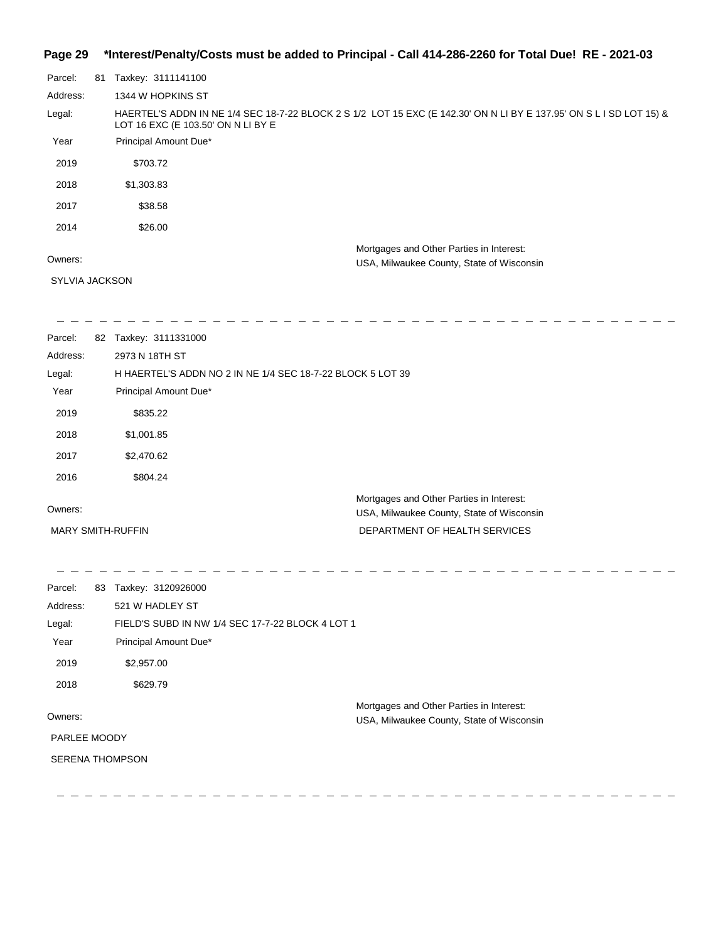### **Page 29 \*Interest/Penalty/Costs must be added to Principal - Call 414-286-2260 for Total Due! RE - 2021-03**

| Parcel:  | 81 | Taxkey: 3111141100                                                                                                                                        |
|----------|----|-----------------------------------------------------------------------------------------------------------------------------------------------------------|
| Address: |    | 1344 W HOPKINS ST                                                                                                                                         |
| Legal:   |    | HAERTEL'S ADDN IN NE 1/4 SEC 18-7-22 BLOCK 2 S 1/2 LOT 15 EXC (E 142.30' ON N LI BY E 137.95' ON S L I SD LOT 15) &<br>LOT 16 EXC (E 103.50' ON N LI BY E |
| Year     |    | Principal Amount Due*                                                                                                                                     |
| 2019     |    | \$703.72                                                                                                                                                  |
| 2018     |    | \$1,303.83                                                                                                                                                |
| 2017     |    | \$38.58                                                                                                                                                   |
| 2014     |    | \$26.00                                                                                                                                                   |
|          |    | Mortgages and Other Parties in Interest:                                                                                                                  |
| Owners:  |    | USA, Milwaukee County, State of Wisconsin                                                                                                                 |

#### Owners:

SYLVIA JACKSON

3111331000

-----------------

| Parcel:  | 82 | Taxkey: 3111331000                                         |
|----------|----|------------------------------------------------------------|
| Address: |    | 2973 N 18TH ST                                             |
| Legal:   |    | H HAERTEL'S ADDN NO 2 IN NE 1/4 SEC 18-7-22 BLOCK 5 LOT 39 |
| Year     |    | Principal Amount Due*                                      |
| 2019     |    | \$835.22                                                   |
| 2018     |    | \$1,001.85                                                 |
| 2017     |    | \$2,470.62                                                 |
| 2016     |    | \$804.24                                                   |
|          |    | Mortgages and Other Parties in Interest:                   |
| Owners:  |    | USA, Milwaukee County, State of Wisconsin                  |

MARY SMITH-RUFFIN

DEPARTMENT OF HEALTH SERVICES

\_ \_ \_ \_ \_ \_ \_ \_ \_ \_ \_\_\_\_\_\_\_\_\_\_\_\_\_\_\_\_\_\_\_\_\_\_\_\_\_\_\_\_\_\_\_\_\_  $\equiv$   $\equiv$ Parcel: 83 Taxkey: 3120926000 Address: 521 W HADLEY ST Legal: FIELD'S SUBD IN NW 1/4 SEC 17-7-22 BLOCK 4 LOT 1 Year Principal Amount Due\* 2019 \$2,957.00 2018 \$629.79 Mortgages and Other Parties in Interest: Owners: USA, Milwaukee County, State of Wisconsin PARLEE MOODY SERENA THOMPSON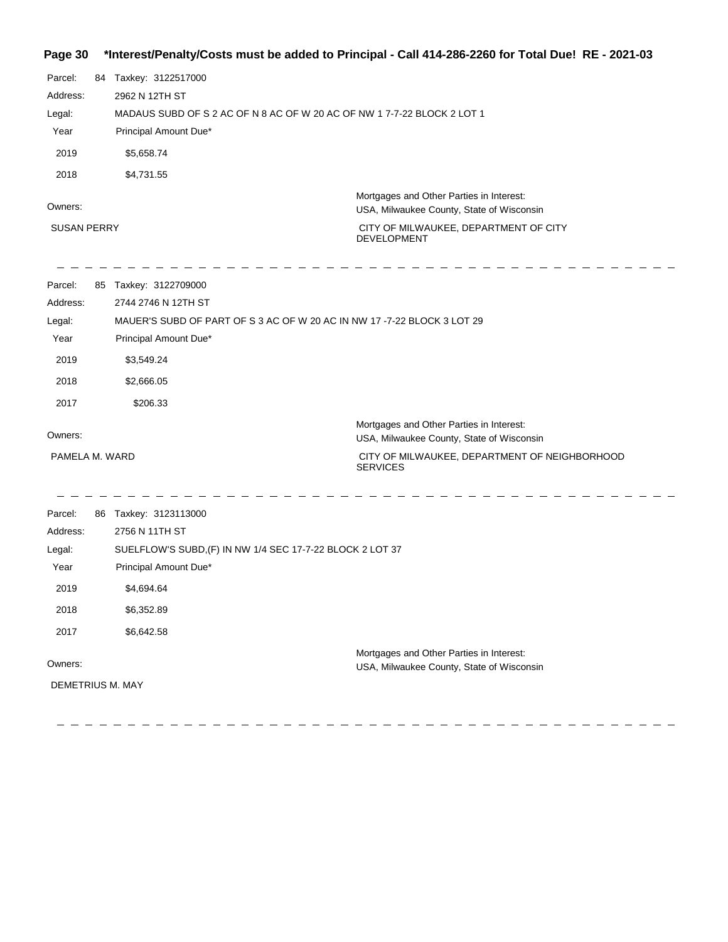## **Page 30 \*Interest/Penalty/Costs must be added to Principal - Call 414-286-2260 for Total Due! RE - 2021-03**

| ay <del>o</del> Ju |                                                                         | interestriality/00sts indist be added to i micipal - Gall +1+200-2200 TOI TOtal Due: TNL - 2021-00 |
|--------------------|-------------------------------------------------------------------------|----------------------------------------------------------------------------------------------------|
| Parcel:            | 84 Taxkey: 3122517000                                                   |                                                                                                    |
| Address:           | 2962 N 12TH ST                                                          |                                                                                                    |
| Legal:             | MADAUS SUBD OF S 2 AC OF N 8 AC OF W 20 AC OF NW 1 7-7-22 BLOCK 2 LOT 1 |                                                                                                    |
| Year               | Principal Amount Due*                                                   |                                                                                                    |
| 2019               | \$5,658.74                                                              |                                                                                                    |
| 2018               | \$4,731.55                                                              |                                                                                                    |
| Owners:            |                                                                         | Mortgages and Other Parties in Interest:<br>USA, Milwaukee County, State of Wisconsin              |
| <b>SUSAN PERRY</b> |                                                                         | CITY OF MILWAUKEE, DEPARTMENT OF CITY<br><b>DEVELOPMENT</b>                                        |
| Parcel:            | 85 Taxkey: 3122709000                                                   |                                                                                                    |
| Address:           | 2744 2746 N 12TH ST                                                     |                                                                                                    |
| Legal:             | MAUER'S SUBD OF PART OF S 3 AC OF W 20 AC IN NW 17 -7-22 BLOCK 3 LOT 29 |                                                                                                    |
| Year               | Principal Amount Due*                                                   |                                                                                                    |
| 2019               | \$3,549.24                                                              |                                                                                                    |
| 2018               | \$2,666.05                                                              |                                                                                                    |
| 2017               | \$206.33                                                                |                                                                                                    |
|                    |                                                                         | Mortgages and Other Parties in Interest:                                                           |
| Owners:            |                                                                         | USA, Milwaukee County, State of Wisconsin                                                          |
| PAMELA M. WARD     |                                                                         | CITY OF MILWAUKEE, DEPARTMENT OF NEIGHBORHOOD<br><b>SERVICES</b>                                   |
| Parcel:            | 86 Taxkey: 3123113000                                                   |                                                                                                    |
| Address:           | 2756 N 11TH ST                                                          |                                                                                                    |
| Legal:             | SUELFLOW'S SUBD, (F) IN NW 1/4 SEC 17-7-22 BLOCK 2 LOT 37               |                                                                                                    |
| Year               | Principal Amount Due*                                                   |                                                                                                    |
| 2019               | \$4,694.64                                                              |                                                                                                    |
| 2018               | \$6,352.89                                                              |                                                                                                    |
| 2017               | \$6,642.58                                                              |                                                                                                    |
|                    |                                                                         | Mortgages and Other Parties in Interest:                                                           |
| Owners:            |                                                                         | USA, Milwaukee County, State of Wisconsin                                                          |
| DEMETRIUS M. MAY   |                                                                         |                                                                                                    |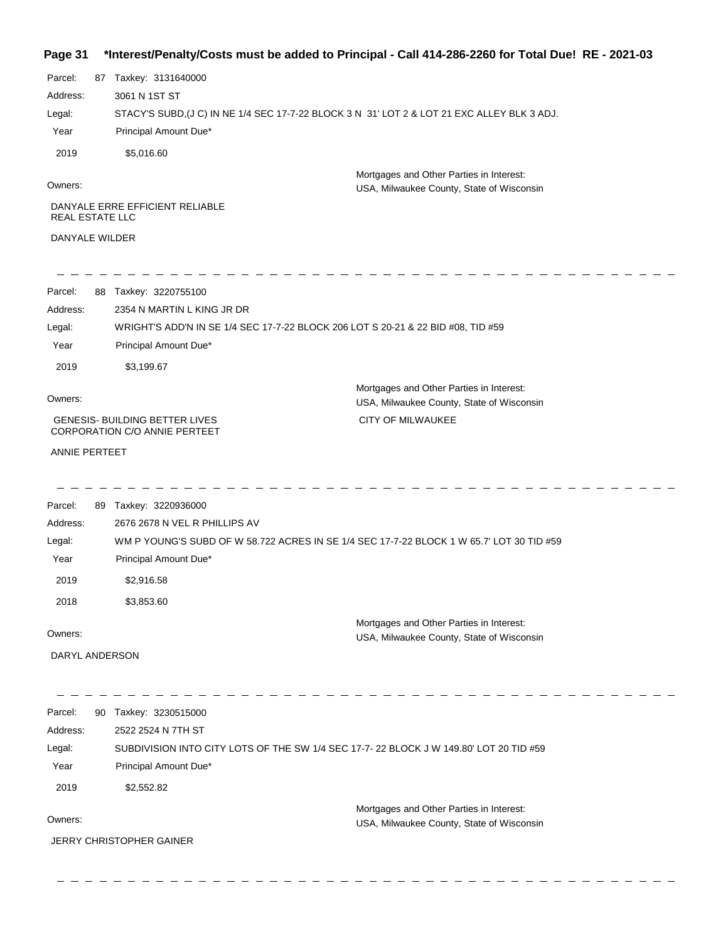#### **Page 31 \*Interest/Penalty/Costs must be added to Principal - Call 414-286-2260 for Total Due! RE - 2021-03**

| Parcel:                | 87 | Taxkey: 3131640000                                                                          |
|------------------------|----|---------------------------------------------------------------------------------------------|
| Address:               |    | 3061 N 1ST ST                                                                               |
| Legal:                 |    | STACY'S SUBD, (J C) IN NE 1/4 SEC 17-7-22 BLOCK 3 N 31' LOT 2 & LOT 21 EXC ALLEY BLK 3 ADJ. |
| Year                   |    | Principal Amount Due*                                                                       |
| 2019                   |    | \$5,016.60                                                                                  |
|                        |    | Mortgages and Other Parties in Interest:                                                    |
| Owners:                |    | USA, Milwaukee County, State of Wisconsin                                                   |
| <b>REAL ESTATE LLC</b> |    | DANYALE ERRE EFFICIENT RELIABLE                                                             |
| <b>DANYALE WILDER</b>  |    |                                                                                             |
| Parcel:                | 88 | Taxkey: 3220755100                                                                          |
| Address:               |    | 2354 N MARTIN L KING JR DR                                                                  |
| Legal:                 |    | WRIGHT'S ADD'N IN SE 1/4 SEC 17-7-22 BLOCK 206 LOT S 20-21 & 22 BID #08, TID #59            |
| Year                   |    | Principal Amount Due*                                                                       |
| 2019                   |    | \$3,199.67                                                                                  |
|                        |    | Mortgages and Other Parties in Interest:                                                    |
| Owners:                |    | <b>IISA Milwaukoo County State of Wisconsin</b>                                             |

 GENESIS- BUILDING BETTER LIVES CORPORATION C/O ANNIE PERTEET

 $\frac{1}{2} \frac{1}{2} \frac{1}{2} \frac{1}{2} \frac{1}{2} \frac{1}{2} \frac{1}{2} \frac{1}{2}$ 

 $- - - - -$ 

USA, Milwaukee County, State of Wisconsin CITY OF MILWAUKEE

ANNIE PERTEET

Parcel: 89 Taxkey: 3220936000 Mortgages and Other Parties in Interest: Year Principal Amount Due\* WM P YOUNG'S SUBD OF W 58.722 ACRES IN SE 1/4 SEC 17-7-22 BLOCK 1 W 65.7' LOT 30 TID #59 2676 2678 N VEL R PHILLIPS AV Address: Legal: 2019 \$2,916.58 2018 \$3,853.60

Owners:

USA, Milwaukee County, State of Wisconsin

DARYL ANDERSON

 $- - - - -$ 

Parcel: 90 Taxkey: 3230515000 Owners: Mortgages and Other Parties in Interest: Year Principal Amount Due\* USA, Milwaukee County, State of Wisconsin SUBDIVISION INTO CITY LOTS OF THE SW 1/4 SEC 17-7- 22 BLOCK J W 149.80' LOT 20 TID #59 2522 2524 N 7TH ST Address: Legal: 2019 \$2,552.82

JERRY CHRISTOPHER GAINER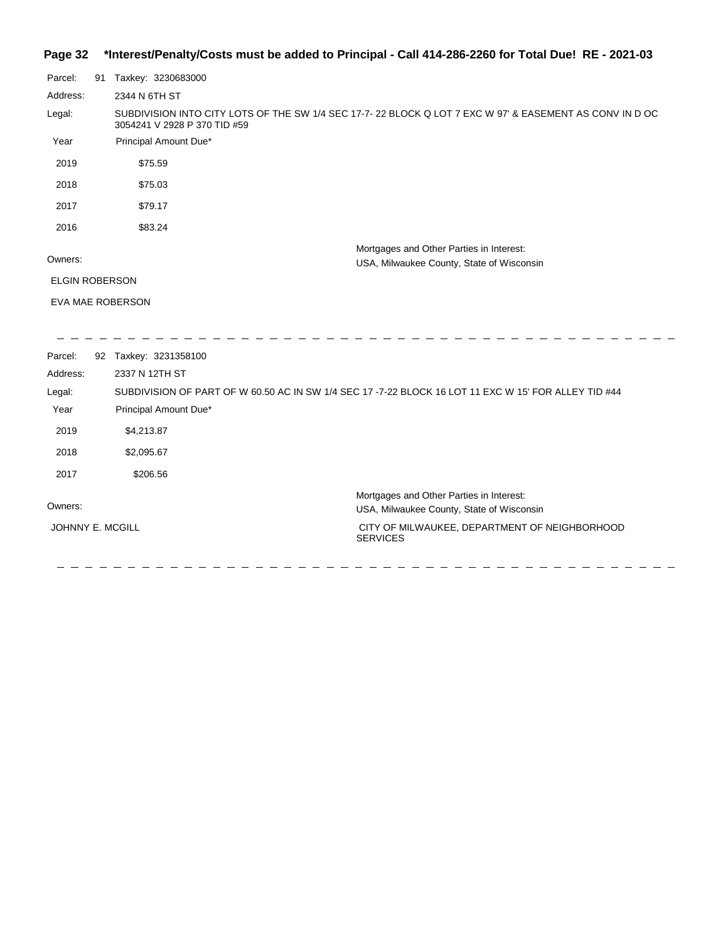## **Page 32 \*Interest/Penalty/Costs must be added to Principal - Call 414-286-2260 for Total Due! RE - 2021-03**

| Parcel:                 | 91                    | Taxkey: 3230683000                                                                                                                      |  |  |  |
|-------------------------|-----------------------|-----------------------------------------------------------------------------------------------------------------------------------------|--|--|--|
| Address:                |                       | 2344 N 6TH ST                                                                                                                           |  |  |  |
| Legal:                  |                       | SUBDIVISION INTO CITY LOTS OF THE SW 1/4 SEC 17-7-22 BLOCK Q LOT 7 EXC W 97' & EASEMENT AS CONV IN D OC<br>3054241 V 2928 P 370 TID #59 |  |  |  |
| Year                    |                       | Principal Amount Due*                                                                                                                   |  |  |  |
| 2019                    |                       | \$75.59                                                                                                                                 |  |  |  |
| 2018                    |                       | \$75.03                                                                                                                                 |  |  |  |
| 2017                    |                       | \$79.17                                                                                                                                 |  |  |  |
| 2016                    |                       | \$83.24                                                                                                                                 |  |  |  |
|                         |                       | Mortgages and Other Parties in Interest:                                                                                                |  |  |  |
| Owners:                 |                       | USA, Milwaukee County, State of Wisconsin                                                                                               |  |  |  |
|                         | <b>ELGIN ROBERSON</b> |                                                                                                                                         |  |  |  |
| <b>EVA MAE ROBERSON</b> |                       |                                                                                                                                         |  |  |  |
|                         |                       |                                                                                                                                         |  |  |  |
| Parcel:                 |                       | 92 Taxkey: 3231358100                                                                                                                   |  |  |  |
| Address:                |                       | 2337 N 12TH ST                                                                                                                          |  |  |  |
| Legal:                  |                       | SUBDIVISION OF PART OF W 60.50 AC IN SW 1/4 SEC 17 -7-22 BLOCK 16 LOT 11 EXC W 15' FOR ALLEY TID #44                                    |  |  |  |
| Year                    |                       | Principal Amount Due*                                                                                                                   |  |  |  |
| 2019                    |                       | \$4,213.87                                                                                                                              |  |  |  |
| 2018                    |                       | \$2,095.67                                                                                                                              |  |  |  |
| 2017                    |                       | \$206.56                                                                                                                                |  |  |  |
|                         |                       | Mortgages and Other Parties in Interest:                                                                                                |  |  |  |
| Owners:                 |                       | USA, Milwaukee County, State of Wisconsin                                                                                               |  |  |  |
| JOHNNY E. MCGILL        |                       | CITY OF MILWAUKEE, DEPARTMENT OF NEIGHBORHOOD                                                                                           |  |  |  |

SERVICES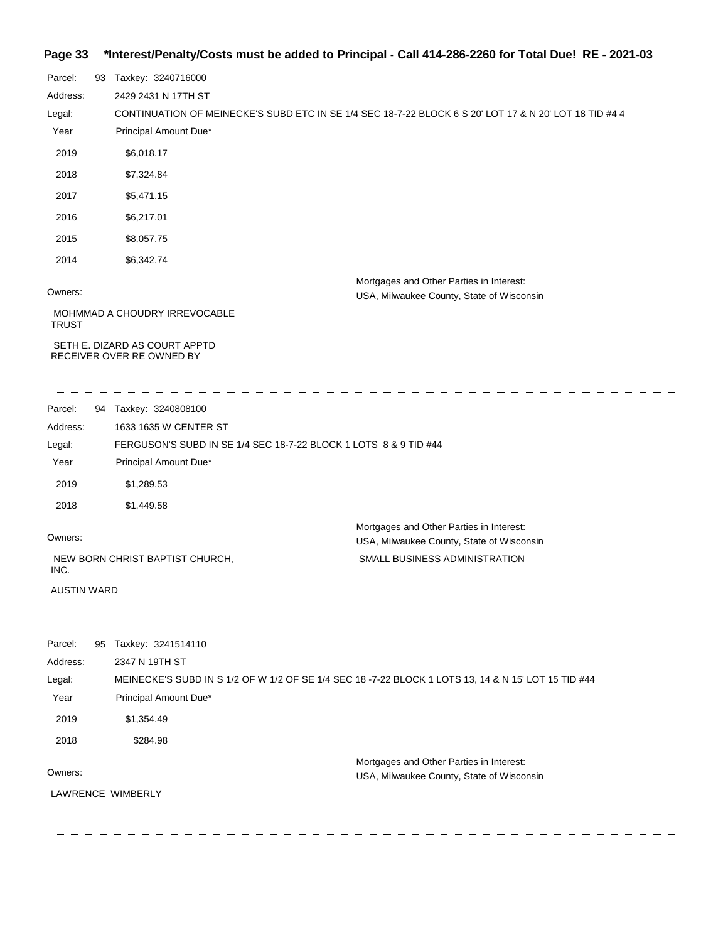# **Page 33 \*Interest/Penalty/Costs must be added to Principal - Call 414-286-2260 for Total Due! RE - 2021-03**

| Parcel:      | 93 | Taxkey: 3240716000                                         |                                                                                                        |
|--------------|----|------------------------------------------------------------|--------------------------------------------------------------------------------------------------------|
| Address:     |    | 2429 2431 N 17TH ST                                        |                                                                                                        |
| Legal:       |    |                                                            | CONTINUATION OF MEINECKE'S SUBD ETC IN SE 1/4 SEC 18-7-22 BLOCK 6 S 20' LOT 17 & N 20' LOT 18 TID #4 4 |
| Year         |    | Principal Amount Due*                                      |                                                                                                        |
| 2019         |    | \$6,018.17                                                 |                                                                                                        |
| 2018         |    | \$7,324.84                                                 |                                                                                                        |
| 2017         |    | \$5,471.15                                                 |                                                                                                        |
| 2016         |    | \$6,217.01                                                 |                                                                                                        |
| 2015         |    | \$8,057.75                                                 |                                                                                                        |
| 2014         |    | \$6,342.74                                                 |                                                                                                        |
|              |    |                                                            | Mortgages and Other Parties in Interest:                                                               |
| Owners:      |    |                                                            | USA, Milwaukee County, State of Wisconsin                                                              |
| <b>TRUST</b> |    | MOHMMAD A CHOUDRY IRREVOCABLE                              |                                                                                                        |
|              |    | SETH E. DIZARD AS COURT APPTD<br>RECEIVER OVER RE OWNED BY |                                                                                                        |

| Parcel:                                 | 94 | Taxkey: 3240808100                                               |                                                                                       |  |  |  |
|-----------------------------------------|----|------------------------------------------------------------------|---------------------------------------------------------------------------------------|--|--|--|
| Address:                                |    | 1633 1635 W CENTER ST                                            |                                                                                       |  |  |  |
| Legal:                                  |    | FERGUSON'S SUBD IN SE 1/4 SEC 18-7-22 BLOCK 1 LOTS 8 & 9 TID #44 |                                                                                       |  |  |  |
| Year                                    |    | Principal Amount Due*                                            |                                                                                       |  |  |  |
| 2019                                    |    | \$1,289.53                                                       |                                                                                       |  |  |  |
| 2018                                    |    | \$1,449.58                                                       |                                                                                       |  |  |  |
| Owners:                                 |    |                                                                  | Mortgages and Other Parties in Interest:<br>USA, Milwaukee County, State of Wisconsin |  |  |  |
| NEW BORN CHRIST BAPTIST CHURCH,<br>INC. |    |                                                                  | SMALL BUSINESS ADMINISTRATION                                                         |  |  |  |
| <b>AUSTIN WARD</b>                      |    |                                                                  |                                                                                       |  |  |  |

| Parcel:  | 95 | Taxkey: 3241514110                                                                                  |
|----------|----|-----------------------------------------------------------------------------------------------------|
| Address: |    | 2347 N 19TH ST                                                                                      |
| Legal:   |    | MEINECKE'S SUBD IN S 1/2 OF W 1/2 OF SE 1/4 SEC 18 -7-22 BLOCK 1 LOTS 13, 14 & N 15' LOT 15 TID #44 |
| Year     |    | Principal Amount Due*                                                                               |
| 2019     |    | \$1,354.49                                                                                          |
| 2018     |    | \$284.98                                                                                            |
|          |    | Mortgages and Other Parties in Interest:                                                            |
| Owners:  |    | USA, Milwaukee County, State of Wisconsin                                                           |
|          |    | LAWRENCE WIMBERLY                                                                                   |
|          |    |                                                                                                     |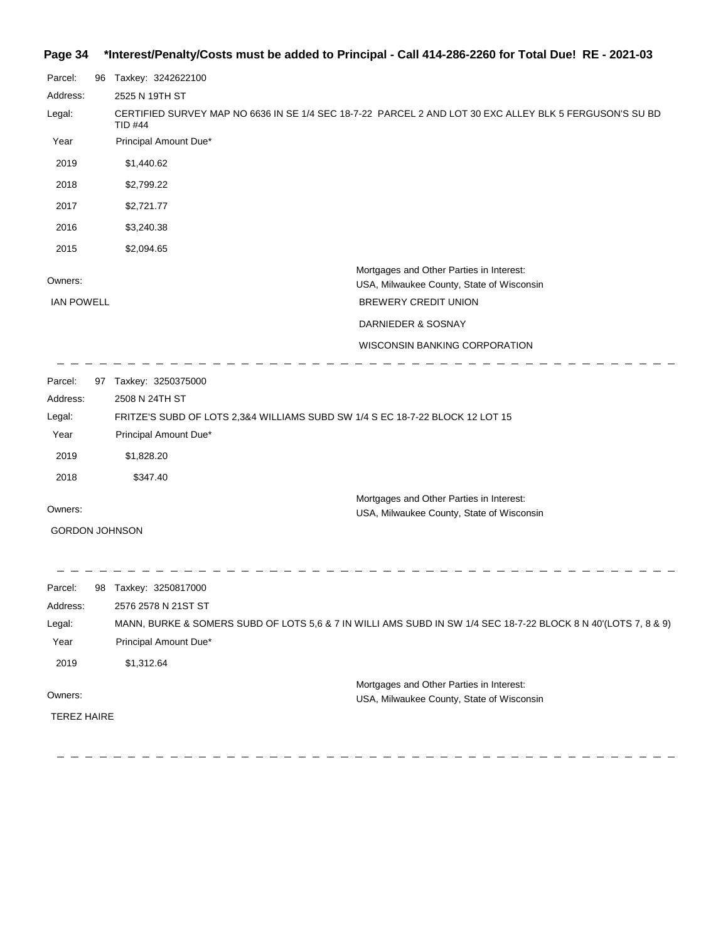# **Page 34 \*Interest/Penalty/Costs must be added to Principal - Call 414-286-2260 for Total Due! RE - 2021-03**

| Parcel:                      | 96 | Taxkey: 3242622100                                                                                                        |  |
|------------------------------|----|---------------------------------------------------------------------------------------------------------------------------|--|
| Address:                     |    | 2525 N 19TH ST                                                                                                            |  |
| Legal:                       |    | CERTIFIED SURVEY MAP NO 6636 IN SE 1/4 SEC 18-7-22 PARCEL 2 AND LOT 30 EXC ALLEY BLK 5 FERGUSON'S SU BD<br><b>TID #44</b> |  |
| Year                         |    | Principal Amount Due*                                                                                                     |  |
| 2019                         |    | \$1,440.62                                                                                                                |  |
| 2018                         |    | \$2,799.22                                                                                                                |  |
| 2017                         |    | \$2,721.77                                                                                                                |  |
| 2016                         |    | \$3,240.38                                                                                                                |  |
| 2015                         |    | \$2,094.65                                                                                                                |  |
| Owners:<br><b>IAN POWELL</b> |    | Mortgages and Other Parties in Interest:<br>USA, Milwaukee County, State of Wisconsin<br><b>BREWERY CREDIT UNION</b>      |  |
|                              |    |                                                                                                                           |  |
|                              |    | DARNIEDER & SOSNAY                                                                                                        |  |
|                              |    | <b>WISCONSIN BANKING CORPORATION</b>                                                                                      |  |
| Parcel:<br>Address:          |    | 97 Taxkey: 3250375000<br>2508 N 24TH ST                                                                                   |  |
| Legal:                       |    | FRITZE'S SUBD OF LOTS 2,3&4 WILLIAMS SUBD SW 1/4 S EC 18-7-22 BLOCK 12 LOT 15                                             |  |
| Year                         |    | Principal Amount Due*                                                                                                     |  |
| 2019                         |    | \$1,828.20                                                                                                                |  |
| 2018                         |    | \$347.40                                                                                                                  |  |
| Owners:                      |    | Mortgages and Other Parties in Interest:<br>USA, Milwaukee County, State of Wisconsin                                     |  |
|                              |    | <b>GORDON JOHNSON</b>                                                                                                     |  |
|                              |    |                                                                                                                           |  |
| Parcel:                      |    | 98 Taxkey: 3250817000                                                                                                     |  |
| Address:                     |    | 2576 2578 N 21ST ST                                                                                                       |  |
| Legal:                       |    | MANN, BURKE & SOMERS SUBD OF LOTS 5,6 & 7 IN WILLI AMS SUBD IN SW 1/4 SEC 18-7-22 BLOCK 8 N 40'(LOTS 7, 8 & 9)            |  |
| Year                         |    | Principal Amount Due*                                                                                                     |  |
| 2019                         |    | \$1,312.64                                                                                                                |  |
| Owners:                      |    | Mortgages and Other Parties in Interest:                                                                                  |  |
| <b>TEREZ HAIRE</b>           |    | USA, Milwaukee County, State of Wisconsin                                                                                 |  |
|                              |    |                                                                                                                           |  |
|                              |    |                                                                                                                           |  |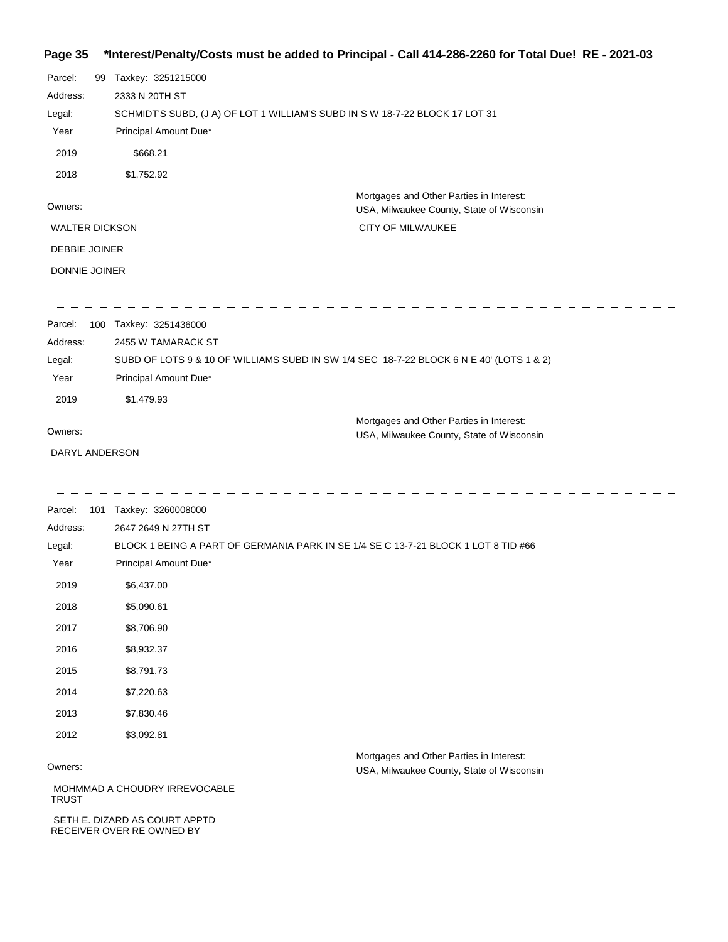## **Page 35 \*Interest/Penalty/Costs must be added to Principal - Call 414-286-2260 for Total Due! RE - 2021-03**

| Parcel:               | 99 | Taxkey: 3251215000                                                           |                                                                                       |
|-----------------------|----|------------------------------------------------------------------------------|---------------------------------------------------------------------------------------|
| Address:              |    | 2333 N 20TH ST                                                               |                                                                                       |
| Legal:                |    | SCHMIDT'S SUBD, (J A) OF LOT 1 WILLIAM'S SUBD IN S W 18-7-22 BLOCK 17 LOT 31 |                                                                                       |
| Year                  |    | Principal Amount Due*                                                        |                                                                                       |
| 2019                  |    | \$668.21                                                                     |                                                                                       |
| 2018                  |    | \$1,752.92                                                                   |                                                                                       |
| Owners:               |    |                                                                              | Mortgages and Other Parties in Interest:<br>USA, Milwaukee County, State of Wisconsin |
| <b>WALTER DICKSON</b> |    |                                                                              | <b>CITY OF MILWAUKEE</b>                                                              |
| <b>DEBBIE JOINER</b>  |    |                                                                              |                                                                                       |
| <b>DONNIE JOINER</b>  |    |                                                                              |                                                                                       |
|                       |    |                                                                              |                                                                                       |
|                       |    |                                                                              |                                                                                       |

Parcel: 100 Taxkey: 3251436000 Owners: Mortgages and Other Parties in Interest: Year Principal Amount Due\* USA, Milwaukee County, State of Wisconsin SUBD OF LOTS 9 & 10 OF WILLIAMS SUBD IN SW 1/4 SEC 18-7-22 BLOCK 6 N E 40' (LOTS 1 & 2) 2455 W TAMARACK ST Address: Legal: 2019 \$1,479.93

DARYL ANDERSON

\_\_\_\_\_\_\_\_\_\_\_\_\_\_\_\_\_\_\_\_\_\_\_

| Parcel:      | 101 | Taxkey: 3260008000            |                                                                                    |  |
|--------------|-----|-------------------------------|------------------------------------------------------------------------------------|--|
| Address:     |     | 2647 2649 N 27TH ST           |                                                                                    |  |
| Legal:       |     |                               | BLOCK 1 BEING A PART OF GERMANIA PARK IN SE 1/4 SE C 13-7-21 BLOCK 1 LOT 8 TID #66 |  |
| Year         |     | Principal Amount Due*         |                                                                                    |  |
| 2019         |     | \$6,437.00                    |                                                                                    |  |
| 2018         |     | \$5,090.61                    |                                                                                    |  |
| 2017         |     | \$8,706.90                    |                                                                                    |  |
| 2016         |     | \$8,932.37                    |                                                                                    |  |
| 2015         |     | \$8,791.73                    |                                                                                    |  |
| 2014         |     | \$7,220.63                    |                                                                                    |  |
| 2013         |     | \$7,830.46                    |                                                                                    |  |
| 2012         |     | \$3,092.81                    |                                                                                    |  |
|              |     |                               | Mortgages and Other Parties in Interest:                                           |  |
| Owners:      |     |                               | USA, Milwaukee County, State of Wisconsin                                          |  |
| <b>TRUST</b> |     | MOHMMAD A CHOUDRY IRREVOCABLE |                                                                                    |  |
|              |     | SETH E. DIZARD AS COURT APPTD |                                                                                    |  |

RECEIVER OVER RE OWNED BY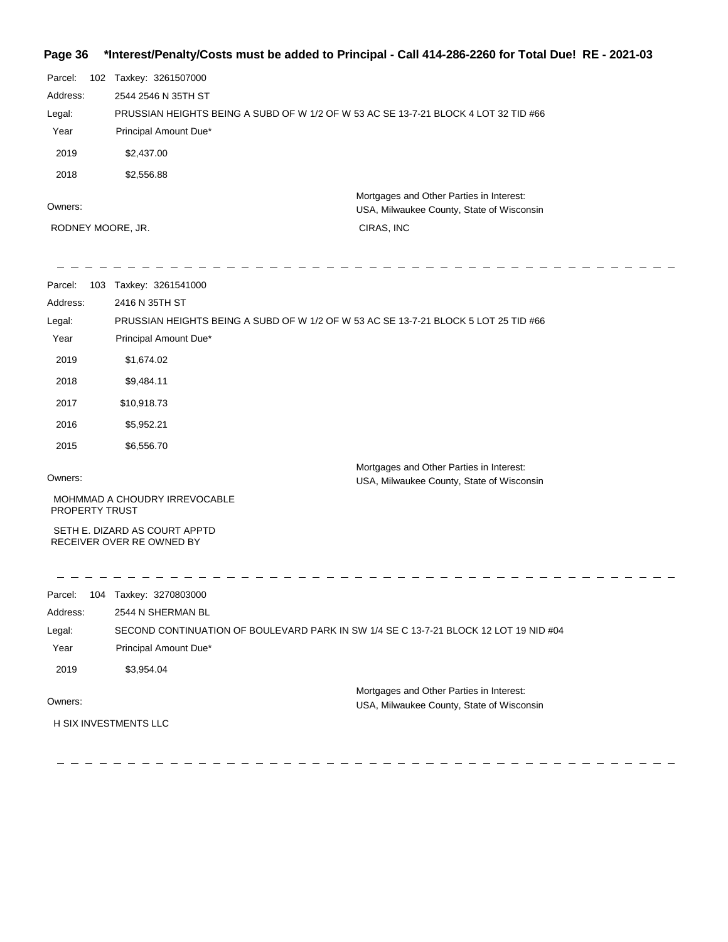# **Page 36 \*Interest/Penalty/Costs must be added to Principal - Call 414-286-2260 for Total Due! RE - 2021-03**

| Parcel:<br>102    |            | Taxkey: 3261507000                                                                  |                                                                                       |
|-------------------|------------|-------------------------------------------------------------------------------------|---------------------------------------------------------------------------------------|
| Address:          |            | 2544 2546 N 35TH ST                                                                 |                                                                                       |
| Legal:            |            | PRUSSIAN HEIGHTS BEING A SUBD OF W 1/2 OF W 53 AC SE 13-7-21 BLOCK 4 LOT 32 TID #66 |                                                                                       |
| Year              |            | Principal Amount Due*                                                               |                                                                                       |
| 2019              | \$2,437.00 |                                                                                     |                                                                                       |
| 2018              | \$2,556.88 |                                                                                     |                                                                                       |
| Owners:           |            |                                                                                     | Mortgages and Other Parties in Interest:<br>USA, Milwaukee County, State of Wisconsin |
| RODNEY MOORE, JR. |            |                                                                                     | CIRAS, INC                                                                            |

| Parcel:               | 103 Taxkey: 3261541000                                                                |  |  |
|-----------------------|---------------------------------------------------------------------------------------|--|--|
| Address:              | 2416 N 35TH ST                                                                        |  |  |
| Legal:                | PRUSSIAN HEIGHTS BEING A SUBD OF W 1/2 OF W 53 AC SE 13-7-21 BLOCK 5 LOT 25 TID #66   |  |  |
| Year                  | Principal Amount Due*                                                                 |  |  |
| 2019                  | \$1,674.02                                                                            |  |  |
| 2018                  | \$9,484.11                                                                            |  |  |
| 2017                  | \$10,918.73                                                                           |  |  |
| 2016                  | \$5,952.21                                                                            |  |  |
| 2015                  | \$6,556.70                                                                            |  |  |
| Owners:               | Mortgages and Other Parties in Interest:<br>USA, Milwaukee County, State of Wisconsin |  |  |
| <b>PROPERTY TRUST</b> | MOHMMAD A CHOUDRY IRREVOCABLE                                                         |  |  |
|                       | SETH E. DIZARD AS COURT APPTD<br>RECEIVER OVER RE OWNED BY                            |  |  |
| Parcel:               | 104 Taxkey: 3270803000                                                                |  |  |
| Address:              | 2544 N SHERMAN BL                                                                     |  |  |
| Legal:                | SECOND CONTINUATION OF BOULEVARD PARK IN SW 1/4 SE C 13-7-21 BLOCK 12 LOT 19 NID #04  |  |  |
| Year                  | Principal Amount Due*                                                                 |  |  |
| 2019                  | \$3,954.04                                                                            |  |  |
| Owners:               | Mortgages and Other Parties in Interest:<br>USA, Milwaukee County, State of Wisconsin |  |  |
| H SIX INVESTMENTS LLC |                                                                                       |  |  |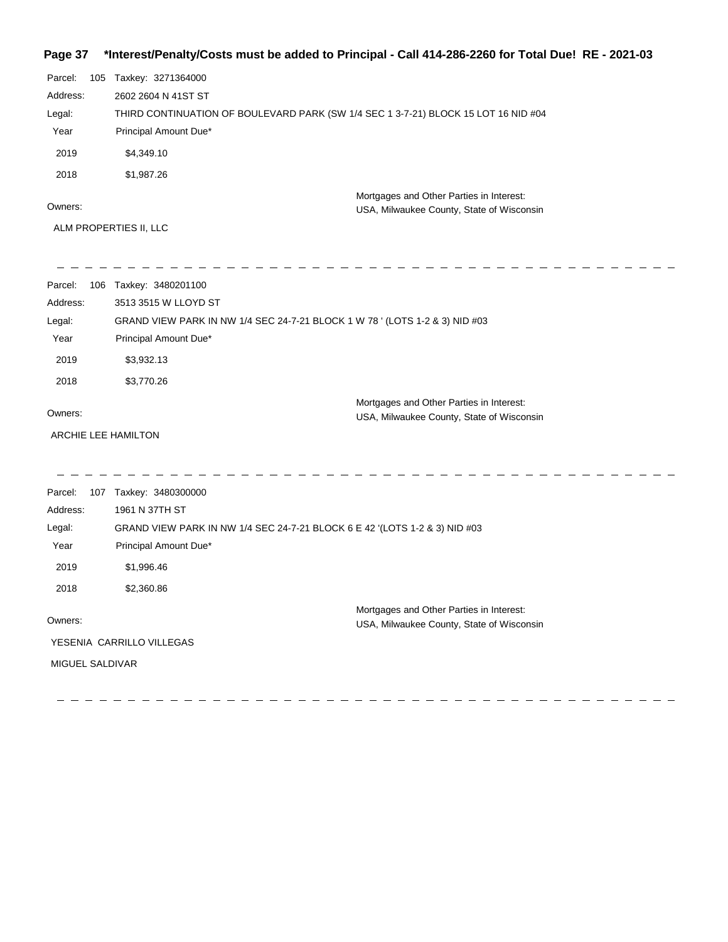# **Page 37 \*Interest/Penalty/Costs must be added to Principal - Call 414-286-2260 for Total Due! RE - 2021-03**

| Parcel:  | 105 | Taxkey: 3271364000                                                                    |
|----------|-----|---------------------------------------------------------------------------------------|
| Address: |     | 2602 2604 N 41ST ST                                                                   |
| Legal:   |     | THIRD CONTINUATION OF BOULEVARD PARK (SW 1/4 SEC 1 3-7-21) BLOCK 15 LOT 16 NID #04    |
| Year     |     | Principal Amount Due*                                                                 |
| 2019     |     | \$4.349.10                                                                            |
| 2018     |     | \$1,987.26                                                                            |
| Owners:  |     | Mortgages and Other Parties in Interest:<br>USA, Milwaukee County, State of Wisconsin |
|          |     | ALM PROPERTIES II, LLC                                                                |

| Parcel:             | 106 Taxkey: 3480201100                                                      |
|---------------------|-----------------------------------------------------------------------------|
| Address:            | 3513 3515 W LLOYD ST                                                        |
| Legal:              | GRAND VIEW PARK IN NW 1/4 SEC 24-7-21 BLOCK 1 W 78 ' (LOTS 1-2 & 3) NID #03 |
| Year                | Principal Amount Due*                                                       |
| 2019                | \$3,932.13                                                                  |
| 2018                | \$3,770.26                                                                  |
|                     | Mortgages and Other Parties in Interest:                                    |
| Owners:             | USA, Milwaukee County, State of Wisconsin                                   |
| ARCHIE LEE HAMILTON |                                                                             |
|                     |                                                                             |
| Parcel:             | 107 Taxkey: 3480300000                                                      |
| Address:            | 1961 N 37TH ST                                                              |
| Legal:              | GRAND VIEW PARK IN NW 1/4 SEC 24-7-21 BLOCK 6 E 42 '(LOTS 1-2 & 3) NID #03  |
|                     |                                                                             |
| Year                | Principal Amount Due*                                                       |
| 2019                | \$1,996.46                                                                  |
| 2018                | \$2,360.86                                                                  |
|                     | Mortgages and Other Parties in Interest:                                    |
| Owners:             | USA, Milwaukee County, State of Wisconsin                                   |
|                     | YESENIA CARRILLO VILLEGAS                                                   |
| MIGUEL SALDIVAR     |                                                                             |
|                     |                                                                             |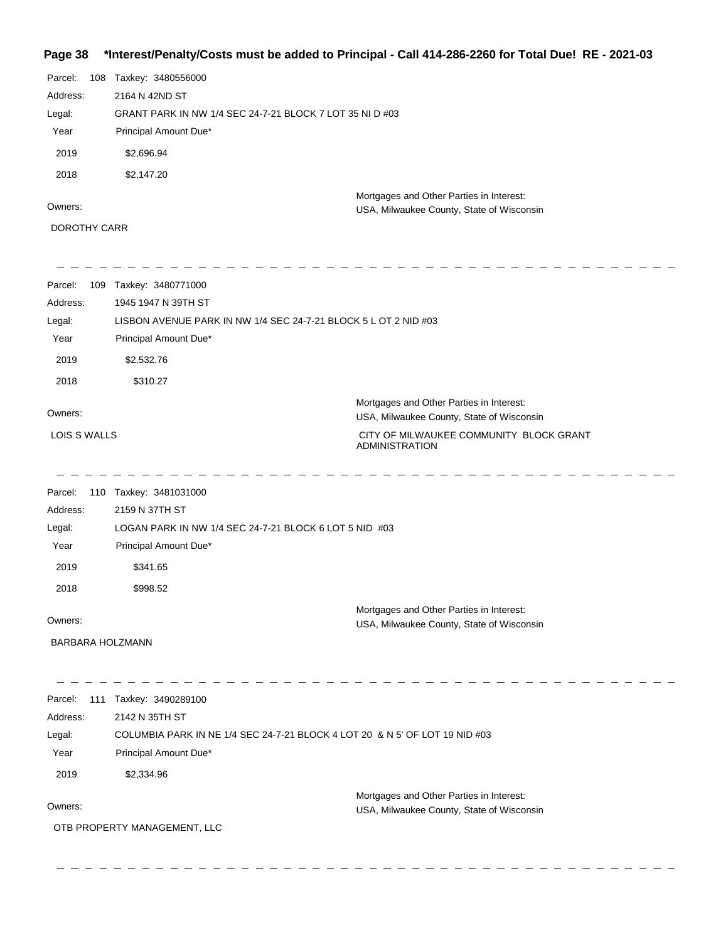# **Page 38 \*Interest/Penalty/Costs must be added to Principal - Call 414-286-2260 for Total Due! RE - 2021-03**

| Parcel:  | 108 | Taxkey: 3480556000                                       |                                                                                       |  |
|----------|-----|----------------------------------------------------------|---------------------------------------------------------------------------------------|--|
| Address: |     | 2164 N 42ND ST                                           |                                                                                       |  |
| Legal:   |     | GRANT PARK IN NW 1/4 SEC 24-7-21 BLOCK 7 LOT 35 NI D #03 |                                                                                       |  |
| Year     |     | Principal Amount Due*                                    |                                                                                       |  |
| 2019     |     | \$2,696.94                                               |                                                                                       |  |
| 2018     |     | \$2,147.20                                               |                                                                                       |  |
| Owners:  |     |                                                          | Mortgages and Other Parties in Interest:<br>USA, Milwaukee County, State of Wisconsin |  |

DOROTHY CARR

| Parcel:                 | 109 Taxkey: 3480771000                                          |                                                                                       |
|-------------------------|-----------------------------------------------------------------|---------------------------------------------------------------------------------------|
| Address:                | 1945 1947 N 39TH ST                                             |                                                                                       |
| Legal:                  | LISBON AVENUE PARK IN NW 1/4 SEC 24-7-21 BLOCK 5 L OT 2 NID #03 |                                                                                       |
| Year                    | Principal Amount Due*                                           |                                                                                       |
| 2019                    | \$2,532.76                                                      |                                                                                       |
| 2018                    | \$310.27                                                        |                                                                                       |
| Owners:                 |                                                                 | Mortgages and Other Parties in Interest:<br>USA, Milwaukee County, State of Wisconsin |
| <b>LOIS S WALLS</b>     |                                                                 | CITY OF MILWAUKEE COMMUNITY BLOCK GRANT<br><b>ADMINISTRATION</b>                      |
| Parcel:                 | 110 Taxkey: 3481031000                                          |                                                                                       |
| Address:                | 2159 N 37TH ST                                                  |                                                                                       |
| Legal:                  | LOGAN PARK IN NW 1/4 SEC 24-7-21 BLOCK 6 LOT 5 NID #03          |                                                                                       |
| Year                    | Principal Amount Due*                                           |                                                                                       |
| 2019                    | \$341.65                                                        |                                                                                       |
| 2018                    | \$998.52                                                        |                                                                                       |
| Owners:                 |                                                                 | Mortgages and Other Parties in Interest:<br>USA, Milwaukee County, State of Wisconsin |
| <b>BARBARA HOLZMANN</b> |                                                                 |                                                                                       |
|                         |                                                                 |                                                                                       |
| Parcel:<br>Address:     | 111 Taxkey: 3490289100<br>2142 N 35TH ST                        |                                                                                       |
| Legal:                  |                                                                 | COLUMBIA PARK IN NE 1/4 SEC 24-7-21 BLOCK 4 LOT 20 & N 5' OF LOT 19 NID #03           |
| Year                    | Principal Amount Due*                                           |                                                                                       |
| 2019                    |                                                                 |                                                                                       |
|                         | \$2,334.96                                                      |                                                                                       |
| Owners:                 |                                                                 | Mortgages and Other Parties in Interest:<br>USA, Milwaukee County, State of Wisconsin |
|                         | OTB PROPERTY MANAGEMENT, LLC                                    |                                                                                       |
|                         |                                                                 |                                                                                       |
|                         |                                                                 |                                                                                       |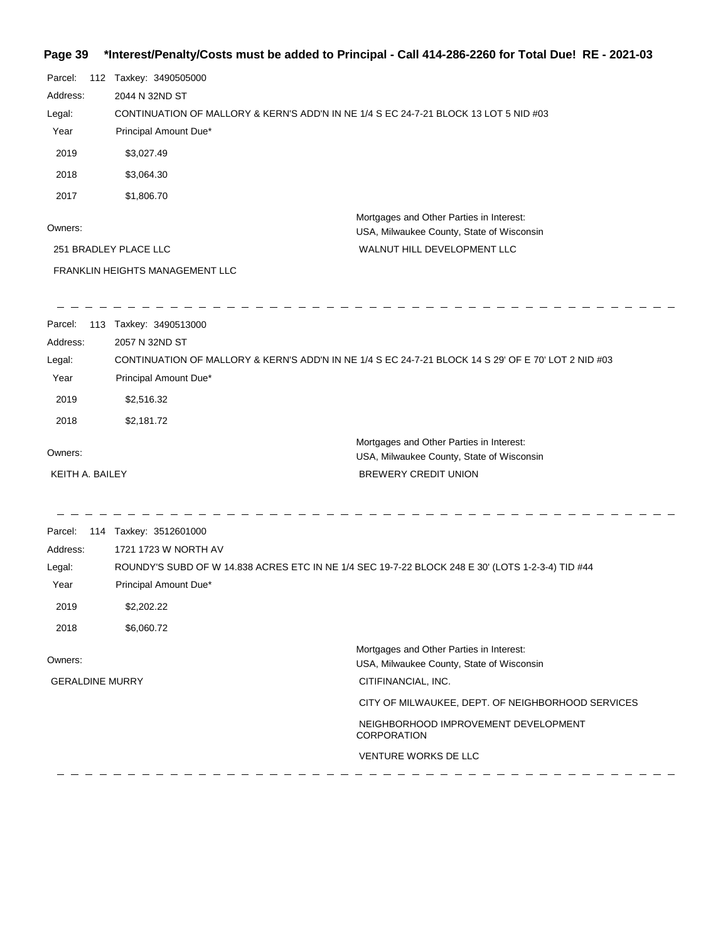# **Page 39 \*Interest/Penalty/Costs must be added to Principal - Call 414-286-2260 for Total Due! RE - 2021-03**

| Parcel:<br>Address:<br>Legal:<br>Year<br>2019<br>2018<br>2017<br>Owners: | 112 Taxkey: 3490505000<br>2044 N 32ND ST<br>CONTINUATION OF MALLORY & KERN'S ADD'N IN NE 1/4 S EC 24-7-21 BLOCK 13 LOT 5 NID #03<br>Principal Amount Due*<br>\$3,027.49<br>\$3,064.30<br>\$1,806.70 | Mortgages and Other Parties in Interest:<br>USA, Milwaukee County, State of Wisconsin               |
|--------------------------------------------------------------------------|-----------------------------------------------------------------------------------------------------------------------------------------------------------------------------------------------------|-----------------------------------------------------------------------------------------------------|
|                                                                          | 251 BRADLEY PLACE LLC                                                                                                                                                                               | WALNUT HILL DEVELOPMENT LLC                                                                         |
|                                                                          | FRANKLIN HEIGHTS MANAGEMENT LLC                                                                                                                                                                     |                                                                                                     |
| Parcel:<br>Address:<br>Legal:<br>Year<br>2019<br>2018                    | 113 Taxkey: 3490513000<br>2057 N 32ND ST<br>Principal Amount Due*<br>\$2,516.32<br>\$2,181.72                                                                                                       | CONTINUATION OF MALLORY & KERN'S ADD'N IN NE 1/4 S EC 24-7-21 BLOCK 14 S 29' OF E 70' LOT 2 NID #03 |
|                                                                          |                                                                                                                                                                                                     | Mortgages and Other Parties in Interest:                                                            |
| Owners:                                                                  |                                                                                                                                                                                                     | USA, Milwaukee County, State of Wisconsin                                                           |
| KEITH A. BAILEY                                                          |                                                                                                                                                                                                     | <b>BREWERY CREDIT UNION</b>                                                                         |
| Parcel:<br>Address:<br>Legal:<br>Year<br>2019<br>2018                    | 114 Taxkey: 3512601000<br>1721 1723 W NORTH AV<br>Principal Amount Due*<br>\$2,202.22<br>\$6,060.72                                                                                                 | ROUNDY'S SUBD OF W 14.838 ACRES ETC IN NE 1/4 SEC 19-7-22 BLOCK 248 E 30' (LOTS 1-2-3-4) TID #44    |
| Owners:                                                                  |                                                                                                                                                                                                     | Mortgages and Other Parties in Interest:<br>USA, Milwaukee County, State of Wisconsin               |
| <b>GERALDINE MURRY</b>                                                   |                                                                                                                                                                                                     | CITIFINANCIAL, INC.                                                                                 |
|                                                                          |                                                                                                                                                                                                     | CITY OF MILWAUKEE, DEPT. OF NEIGHBORHOOD SERVICES                                                   |
|                                                                          |                                                                                                                                                                                                     | NEIGHBORHOOD IMPROVEMENT DEVELOPMENT<br><b>CORPORATION</b>                                          |
|                                                                          |                                                                                                                                                                                                     | VENTURE WORKS DE LLC                                                                                |
|                                                                          |                                                                                                                                                                                                     |                                                                                                     |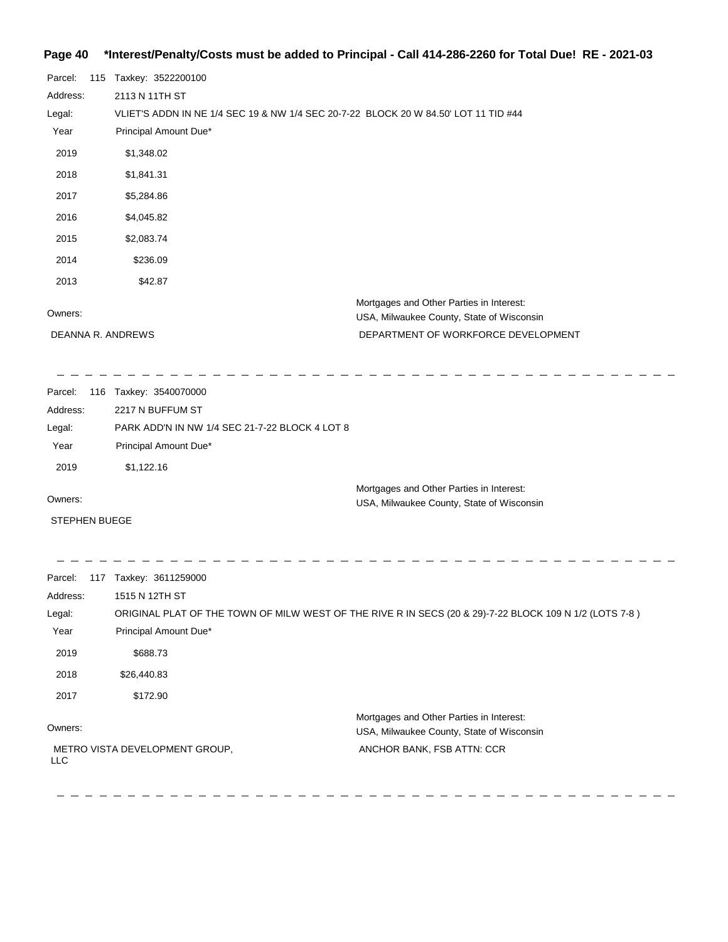### **Page 40 \*Interest/Penalty/Costs must be added to Principal - Call 414-286-2260 for Total Due! RE - 2021-03**

| Parcel:  | 115 Taxkey: 3522200100                                                                |
|----------|---------------------------------------------------------------------------------------|
| Address: | 2113 N 11TH ST                                                                        |
| Legal:   | VLIET'S ADDN IN NE 1/4 SEC 19 & NW 1/4 SEC 20-7-22 BLOCK 20 W 84.50' LOT 11 TID #44   |
| Year     | Principal Amount Due*                                                                 |
| 2019     | \$1,348.02                                                                            |
| 2018     | \$1,841.31                                                                            |
| 2017     | \$5,284.86                                                                            |
| 2016     | \$4,045.82                                                                            |
| 2015     | \$2,083.74                                                                            |
| 2014     | \$236.09                                                                              |
| 2013     | \$42.87                                                                               |
| Owners:  | Mortgages and Other Parties in Interest:<br>USA, Milwaukee County, State of Wisconsin |
|          | DEPARTMENT OF WORKFORCE DEVELOPMENT<br>DEANNA R. ANDREWS                              |

\_\_\_\_\_\_\_\_\_\_\_\_\_\_\_\_\_\_\_\_\_\_\_\_\_\_  $\frac{1}{2}$  =  $\frac{1}{2}$  =  $\frac{1}{2}$  =  $\frac{1}{2}$  =  $\frac{1}{2}$  =  $\frac{1}{2}$  =  $\frac{1}{2}$ 

| Parcel:  | 116 Taxkey: 3540070000                         |
|----------|------------------------------------------------|
| Address: | 2217 N BUFFUM ST                               |
| Legal:   | PARK ADD'N IN NW 1/4 SEC 21-7-22 BLOCK 4 LOT 8 |
| Year     | Principal Amount Due*                          |
| 2019     | \$1,122,16                                     |
|          | Mortgages and Other Parties in Interest:       |

Owners:

STEPHEN BUEGE

. . . . . . . . . . . . . .

-------------<u>. . . . .</u> Parcel: 117 Taxkey: 3611259000 Address: 1515 N 12TH ST ORIGINAL PLAT OF THE TOWN OF MILW WEST OF THE RIVE R IN SECS (20 & 29)-7-22 BLOCK 109 N 1/2 (LOTS 7-8 ) Legal: Year Principal Amount Due\* 2019 \$688.73 2018 \$26,440.83 2017 \$172.90 Mortgages and Other Parties in Interest: Owners: USA, Milwaukee County, State of Wisconsin METRO VISTA DEVELOPMENT GROUP, ANCHOR BANK, FSB ATTN: CCR LLC

 $\frac{1}{2} \frac{1}{2} \frac{1}{2} \frac{1}{2} \frac{1}{2} \frac{1}{2} \frac{1}{2}$ 

USA, Milwaukee County, State of Wisconsin

 $\overline{\phantom{a}}$  $\overline{a}$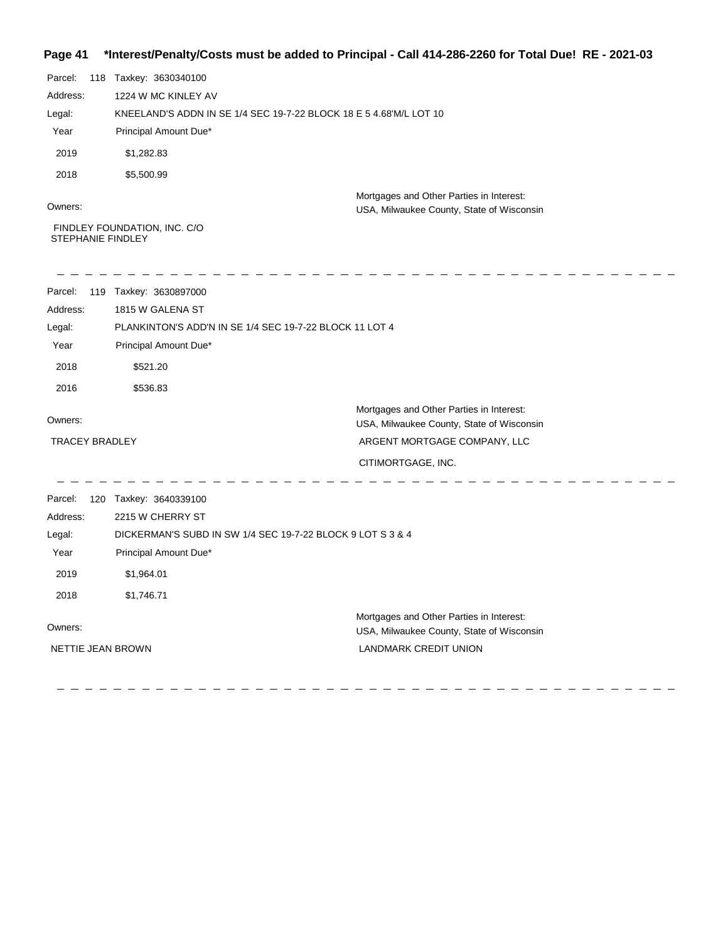## **Page 41 \*Interest/Penalty/Costs must be added to Principal - Call 414-286-2260 for Total Due! RE - 2021-03**

| Parcel:  | 118 | Taxkey: 3630340100                                                 |                                                                                       |
|----------|-----|--------------------------------------------------------------------|---------------------------------------------------------------------------------------|
| Address: |     | 1224 W MC KINLEY AV                                                |                                                                                       |
| Legal:   |     | KNEELAND'S ADDN IN SE 1/4 SEC 19-7-22 BLOCK 18 E 5 4.68 M/L LOT 10 |                                                                                       |
| Year     |     | Principal Amount Due*                                              |                                                                                       |
| 2019     |     | \$1,282.83                                                         |                                                                                       |
| 2018     |     | \$5,500.99                                                         |                                                                                       |
| Owners:  |     |                                                                    | Mortgages and Other Parties in Interest:<br>USA, Milwaukee County, State of Wisconsin |

 FINDLEY FOUNDATION, INC. C/O STEPHANIE FINDLEY

| Parcel:                  | 119 Taxkey: 3630897000                                     |                                                                                       |
|--------------------------|------------------------------------------------------------|---------------------------------------------------------------------------------------|
| Address:                 | 1815 W GALENA ST                                           |                                                                                       |
| Legal:                   | PLANKINTON'S ADD'N IN SE 1/4 SEC 19-7-22 BLOCK 11 LOT 4    |                                                                                       |
| Year                     | Principal Amount Due*                                      |                                                                                       |
| 2018                     | \$521.20                                                   |                                                                                       |
| 2016                     | \$536.83                                                   |                                                                                       |
| Owners:                  |                                                            | Mortgages and Other Parties in Interest:<br>USA, Milwaukee County, State of Wisconsin |
| <b>TRACEY BRADLEY</b>    |                                                            | ARGENT MORTGAGE COMPANY, LLC                                                          |
|                          |                                                            | CITIMORTGAGE, INC.                                                                    |
| Parcel:<br>120           | Taxkey: 3640339100                                         |                                                                                       |
| Address:                 | 2215 W CHERRY ST                                           |                                                                                       |
| Legal:                   | DICKERMAN'S SUBD IN SW 1/4 SEC 19-7-22 BLOCK 9 LOT S 3 & 4 |                                                                                       |
| Year                     | Principal Amount Due*                                      |                                                                                       |
| 2019                     | \$1,964.01                                                 |                                                                                       |
| 2018                     | \$1,746.71                                                 |                                                                                       |
| Owners:                  |                                                            | Mortgages and Other Parties in Interest:<br>USA, Milwaukee County, State of Wisconsin |
| <b>NETTIE JEAN BROWN</b> |                                                            | <b>LANDMARK CREDIT UNION</b>                                                          |
|                          |                                                            |                                                                                       |
|                          |                                                            |                                                                                       |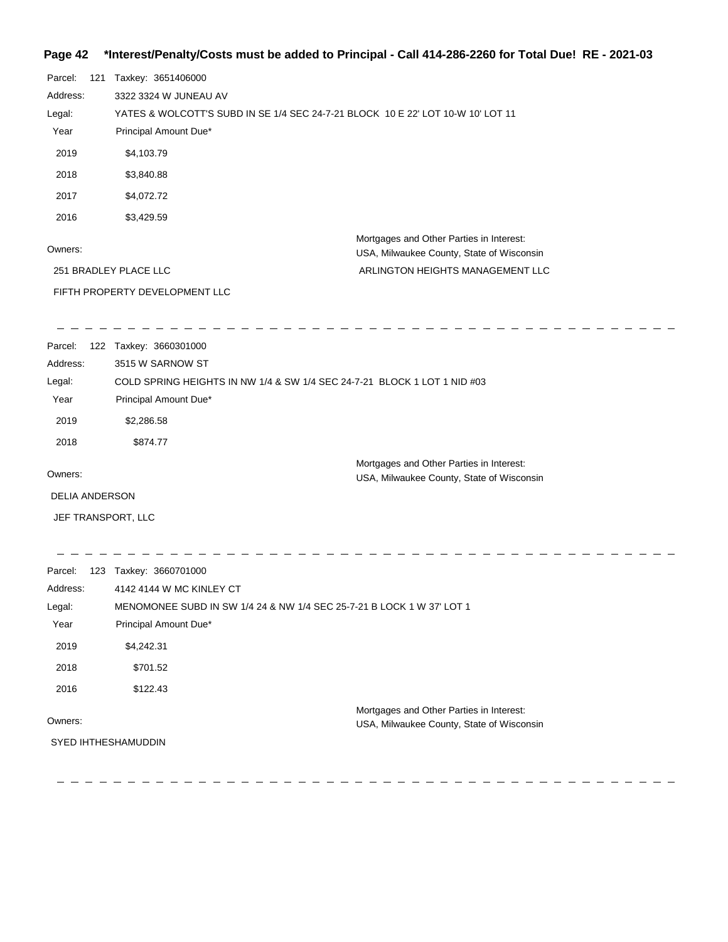# **Page 42 \*Interest/Penalty/Costs must be added to Principal - Call 414-286-2260 for Total Due! RE - 2021-03**

| Parcel:<br>121        | Taxkey: 3651406000                                                              |                                                                                       |  |  |
|-----------------------|---------------------------------------------------------------------------------|---------------------------------------------------------------------------------------|--|--|
| Address:              | 3322 3324 W JUNEAU AV                                                           |                                                                                       |  |  |
| Legal:                | YATES & WOLCOTT'S SUBD IN SE 1/4 SEC 24-7-21 BLOCK 10 E 22' LOT 10-W 10' LOT 11 |                                                                                       |  |  |
| Year                  | Principal Amount Due*                                                           |                                                                                       |  |  |
| 2019                  | \$4,103.79                                                                      |                                                                                       |  |  |
| 2018                  | \$3,840.88                                                                      |                                                                                       |  |  |
| 2017                  | \$4,072.72                                                                      |                                                                                       |  |  |
| 2016                  | \$3,429.59                                                                      |                                                                                       |  |  |
| Owners:               |                                                                                 | Mortgages and Other Parties in Interest:                                              |  |  |
|                       |                                                                                 | USA, Milwaukee County, State of Wisconsin<br>ARLINGTON HEIGHTS MANAGEMENT LLC         |  |  |
|                       | 251 BRADLEY PLACE LLC                                                           |                                                                                       |  |  |
|                       | FIFTH PROPERTY DEVELOPMENT LLC                                                  |                                                                                       |  |  |
| Parcel:               | 122 Taxkey: 3660301000                                                          |                                                                                       |  |  |
| Address:              | 3515 W SARNOW ST                                                                |                                                                                       |  |  |
| Legal:                |                                                                                 | COLD SPRING HEIGHTS IN NW 1/4 & SW 1/4 SEC 24-7-21 BLOCK 1 LOT 1 NID #03              |  |  |
| Year                  | Principal Amount Due*                                                           |                                                                                       |  |  |
| 2019                  | \$2,286.58                                                                      |                                                                                       |  |  |
| 2018                  | \$874.77                                                                        |                                                                                       |  |  |
| Owners:               |                                                                                 | Mortgages and Other Parties in Interest:<br>USA, Milwaukee County, State of Wisconsin |  |  |
| <b>DELIA ANDERSON</b> |                                                                                 |                                                                                       |  |  |
| JEF TRANSPORT, LLC    |                                                                                 |                                                                                       |  |  |
|                       |                                                                                 |                                                                                       |  |  |
| Parcel:<br>Address:   | 123 Taxkey: 3660701000<br>4142 4144 W MC KINLEY CT                              |                                                                                       |  |  |
| Legal:                |                                                                                 | MENOMONEE SUBD IN SW 1/4 24 & NW 1/4 SEC 25-7-21 B LOCK 1 W 37' LOT 1                 |  |  |
| Year                  | Principal Amount Due*                                                           |                                                                                       |  |  |
| 2019                  | \$4,242.31                                                                      |                                                                                       |  |  |
| 2018                  | \$701.52                                                                        |                                                                                       |  |  |
| 2016                  | \$122.43                                                                        |                                                                                       |  |  |
|                       |                                                                                 | Mortgages and Other Parties in Interest:                                              |  |  |
| Owners:               |                                                                                 | USA, Milwaukee County, State of Wisconsin                                             |  |  |
| SYED IHTHESHAMUDDIN   |                                                                                 |                                                                                       |  |  |
|                       |                                                                                 |                                                                                       |  |  |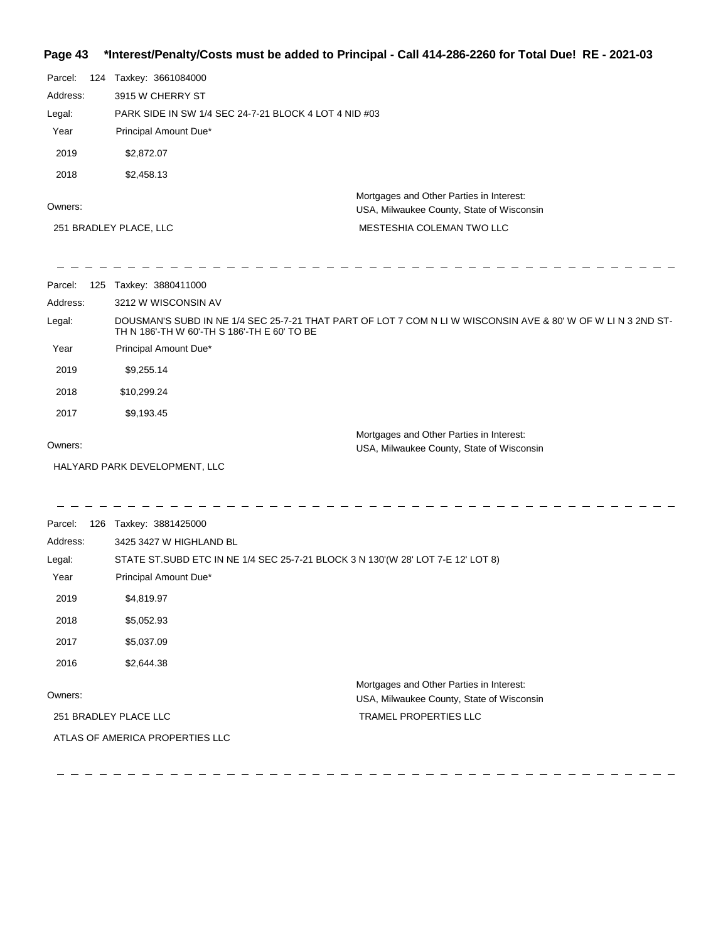## **Page 43 \*Interest/Penalty/Costs must be added to Principal - Call 414-286-2260 for Total Due! RE - 2021-03**

| Parcel:  | 124 | Taxkey: 3661084000                                    |                                                                                       |
|----------|-----|-------------------------------------------------------|---------------------------------------------------------------------------------------|
| Address: |     | 3915 W CHERRY ST                                      |                                                                                       |
| Legal:   |     | PARK SIDE IN SW 1/4 SEC 24-7-21 BLOCK 4 LOT 4 NID #03 |                                                                                       |
| Year     |     | Principal Amount Due*                                 |                                                                                       |
| 2019     |     | \$2,872.07                                            |                                                                                       |
| 2018     |     | \$2,458.13                                            |                                                                                       |
| Owners:  |     |                                                       | Mortgages and Other Parties in Interest:<br>USA, Milwaukee County, State of Wisconsin |
|          |     | 251 BRADLEY PLACE, LLC                                | MESTESHIA COLEMAN TWO LLC                                                             |
|          |     |                                                       |                                                                                       |

 $\hspace{0.1cm} \rule{0.7cm}{0.1cm} \hspace{0.1cm} \hspace{0.1cm} \hspace{0.1cm} \hspace{0.1cm} \hspace{0.1cm} \hspace{0.1cm} \hspace{0.1cm} \hspace{0.1cm} \hspace{0.1cm}$ 

-----------

 $\frac{1}{2}$ 

| Parcel:  | 125 | Taxkey: 3880411000                                                                                                                                          |
|----------|-----|-------------------------------------------------------------------------------------------------------------------------------------------------------------|
| Address: |     | 3212 W WISCONSIN AV                                                                                                                                         |
| Legal:   |     | DOUSMAN'S SUBD IN NE 1/4 SEC 25-7-21 THAT PART OF LOT 7 COM N LI W WISCONSIN AVE & 80' W OF W LI N 3 2ND ST-<br>TH N 186'-TH W 60'-TH S 186'-TH E 60' TO BE |
| Year     |     | Principal Amount Due*                                                                                                                                       |
| 2019     |     | \$9,255.14                                                                                                                                                  |
| 2018     |     | \$10,299.24                                                                                                                                                 |
| 2017     |     | \$9,193.45                                                                                                                                                  |
| Owners:  |     | Mortgages and Other Parties in Interest:<br>USA, Milwaukee County, State of Wisconsin                                                                       |
|          |     |                                                                                                                                                             |

\_\_\_\_\_\_\_\_\_\_\_\_\_\_\_\_\_\_\_\_\_\_\_\_\_\_\_\_\_\_\_\_\_

HALYARD PARK DEVELOPMENT, LLC

 $\frac{1}{2} \frac{1}{2} \frac{1}{2} \frac{1}{2} \frac{1}{2} \frac{1}{2} \frac{1}{2} \frac{1}{2} \frac{1}{2} \frac{1}{2} \frac{1}{2} \frac{1}{2} \frac{1}{2} \frac{1}{2} \frac{1}{2} \frac{1}{2} \frac{1}{2} \frac{1}{2} \frac{1}{2} \frac{1}{2} \frac{1}{2} \frac{1}{2} \frac{1}{2} \frac{1}{2} \frac{1}{2} \frac{1}{2} \frac{1}{2} \frac{1}{2} \frac{1}{2} \frac{1}{2} \frac{1}{2} \frac{$ 

\_\_\_\_\_\_\_\_\_\_\_\_\_\_\_\_\_\_\_\_\_\_

Parcel: 126 Taxkey: 3881425000 Owners: Mortgages and Other Parties in Interest: Year Principal Amount Due\* USA, Milwaukee County, State of Wisconsin STATE ST.SUBD ETC IN NE 1/4 SEC 25-7-21 BLOCK 3 N 130'(W 28' LOT 7-E 12' LOT 8) 3425 3427 W HIGHLAND BL Address: Legal: TRAMEL PROPERTIES LLC 2019 \$4,819.97 2018 \$5,052.93 2017 \$5,037.09 2016 \$2,644.38 251 BRADLEY PLACE LLC ATLAS OF AMERICA PROPERTIES LLC

 $\frac{1}{2}$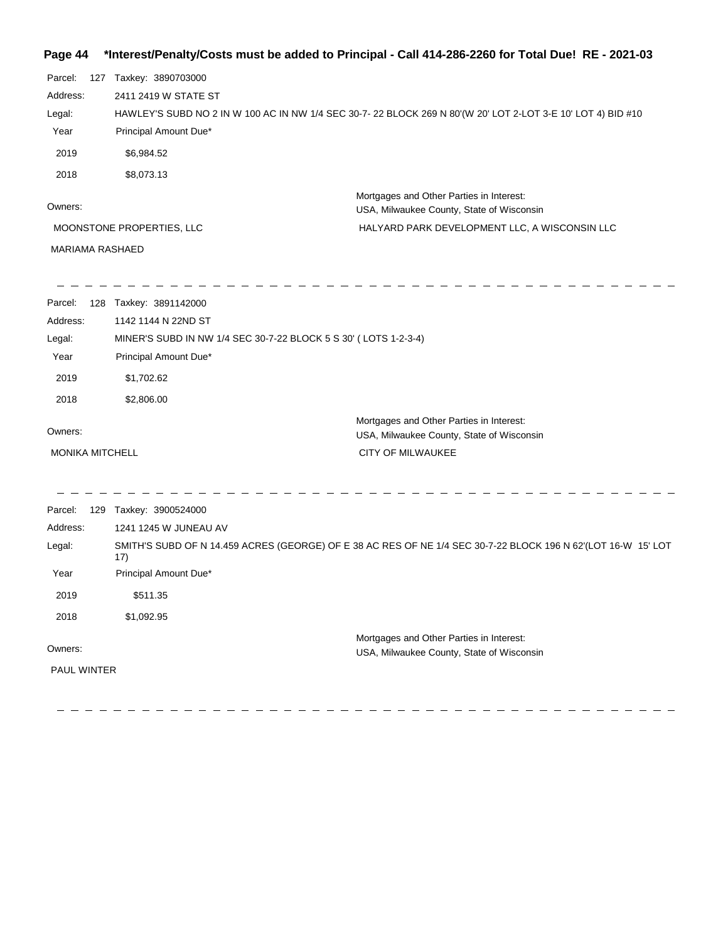# **Page 44 \*Interest/Penalty/Costs must be added to Principal - Call 414-286-2260 for Total Due! RE - 2021-03**

| Parcel:<br>Address:<br>Legal:<br>Year<br>2019 | 127 Taxkey: 3890703000<br>2411 2419 W STATE ST<br>Principal Amount Due*<br>\$6,984.52 | HAWLEY'S SUBD NO 2 IN W 100 AC IN NW 1/4 SEC 30-7-22 BLOCK 269 N 80'(W 20' LOT 2-LOT 3-E 10' LOT 4) BID #10   |
|-----------------------------------------------|---------------------------------------------------------------------------------------|---------------------------------------------------------------------------------------------------------------|
| 2018                                          | \$8,073.13                                                                            | Mortgages and Other Parties in Interest:                                                                      |
| Owners:                                       |                                                                                       | USA, Milwaukee County, State of Wisconsin                                                                     |
|                                               | MOONSTONE PROPERTIES, LLC                                                             | HALYARD PARK DEVELOPMENT LLC, A WISCONSIN LLC                                                                 |
| MARIAMA RASHAED                               |                                                                                       |                                                                                                               |
| Parcel:                                       | 128 Taxkey: 3891142000                                                                |                                                                                                               |
| Address:                                      | 1142 1144 N 22ND ST                                                                   |                                                                                                               |
| Legal:                                        | MINER'S SUBD IN NW 1/4 SEC 30-7-22 BLOCK 5 S 30' (LOTS 1-2-3-4)                       |                                                                                                               |
| Year                                          | Principal Amount Due*                                                                 |                                                                                                               |
| 2019                                          | \$1,702.62                                                                            |                                                                                                               |
| 2018                                          | \$2,806.00                                                                            |                                                                                                               |
| Owners:                                       |                                                                                       | Mortgages and Other Parties in Interest:<br>USA, Milwaukee County, State of Wisconsin                         |
| MONIKA MITCHELL                               |                                                                                       | CITY OF MILWAUKEE                                                                                             |
| Parcel:                                       | 129 Taxkey: 3900524000                                                                |                                                                                                               |
| Address:                                      | 1241 1245 W JUNEAU AV                                                                 |                                                                                                               |
| Legal:                                        | 17)                                                                                   | SMITH'S SUBD OF N 14.459 ACRES (GEORGE) OF E 38 AC RES OF NE 1/4 SEC 30-7-22 BLOCK 196 N 62'(LOT 16-W 15' LOT |
| Year                                          | Principal Amount Due*                                                                 |                                                                                                               |
| 2019                                          | \$511.35                                                                              |                                                                                                               |
| 2018                                          | \$1,092.95                                                                            |                                                                                                               |
| Owners:                                       |                                                                                       | Mortgages and Other Parties in Interest:                                                                      |
| PAUL WINTER                                   |                                                                                       | USA, Milwaukee County, State of Wisconsin                                                                     |
|                                               |                                                                                       |                                                                                                               |
|                                               |                                                                                       |                                                                                                               |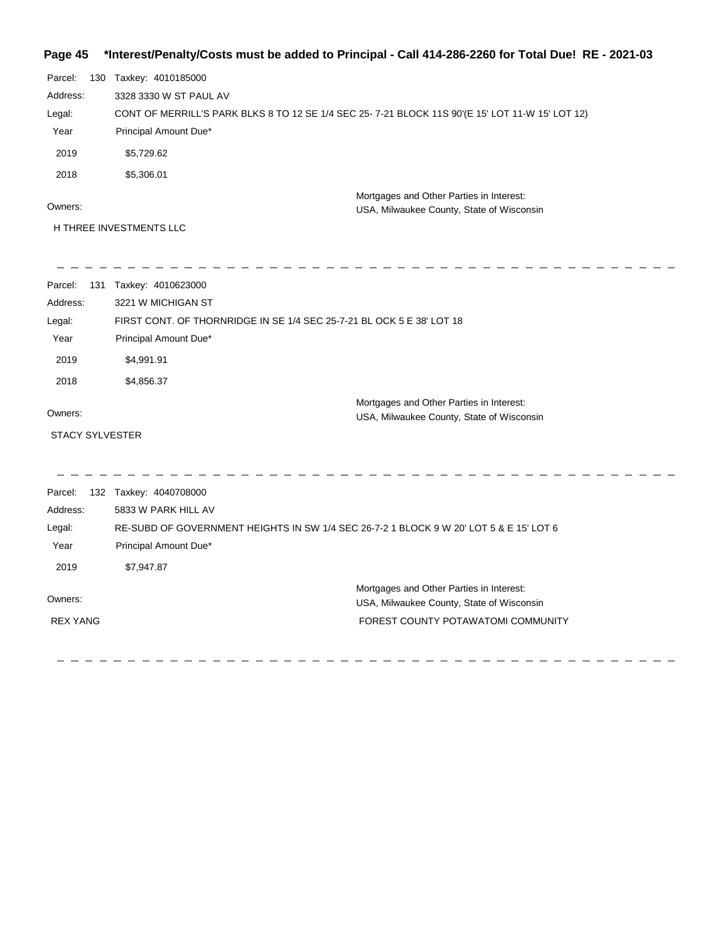# **Page 45 \*Interest/Penalty/Costs must be added to Principal - Call 414-286-2260 for Total Due! RE - 2021-03**

| Parcel:  | 130 | Taxkey: 4010185000                                                                              |
|----------|-----|-------------------------------------------------------------------------------------------------|
| Address: |     | 3328 3330 W ST PAUL AV                                                                          |
| Legal:   |     | CONT OF MERRILL'S PARK BLKS 8 TO 12 SE 1/4 SEC 25-7-21 BLOCK 11S 90'(E 15' LOT 11-W 15' LOT 12) |
| Year     |     | Principal Amount Due*                                                                           |
| 2019     |     | \$5,729.62                                                                                      |
| 2018     |     | \$5,306.01                                                                                      |
| Owners:  |     | Mortgages and Other Parties in Interest:<br>USA, Milwaukee County, State of Wisconsin           |
|          |     | H THREE INVESTMENTS LLC                                                                         |

| Parcel:                | 131 Taxkey: 4010623000                                                                 |
|------------------------|----------------------------------------------------------------------------------------|
| Address:               | 3221 W MICHIGAN ST                                                                     |
| Legal:                 | FIRST CONT. OF THORNRIDGE IN SE 1/4 SEC 25-7-21 BL OCK 5 E 38' LOT 18                  |
| Year                   | Principal Amount Due*                                                                  |
| 2019                   | \$4,991.91                                                                             |
| 2018                   | \$4,856.37                                                                             |
| Owners:                | Mortgages and Other Parties in Interest:<br>USA, Milwaukee County, State of Wisconsin  |
| <b>STACY SYLVESTER</b> |                                                                                        |
|                        |                                                                                        |
| Parcel:                | 132 Taxkey: 4040708000                                                                 |
| Address:               | 5833 W PARK HILL AV                                                                    |
| Legal:                 | RE-SUBD OF GOVERNMENT HEIGHTS IN SW 1/4 SEC 26-7-2 1 BLOCK 9 W 20' LOT 5 & E 15' LOT 6 |
| Year                   | Principal Amount Due*                                                                  |
| 2019                   | \$7,947.87                                                                             |
| Owners:                | Mortgages and Other Parties in Interest:<br>USA, Milwaukee County, State of Wisconsin  |
| <b>REX YANG</b>        | FOREST COUNTY POTAWATOMI COMMUNITY                                                     |
|                        |                                                                                        |

 $\frac{1}{2} \frac{1}{2} \frac{1}{2} \frac{1}{2} \frac{1}{2} \frac{1}{2} \frac{1}{2} \frac{1}{2} \frac{1}{2} \frac{1}{2} \frac{1}{2} \frac{1}{2} \frac{1}{2} \frac{1}{2} \frac{1}{2} \frac{1}{2} \frac{1}{2} \frac{1}{2} \frac{1}{2} \frac{1}{2} \frac{1}{2} \frac{1}{2} \frac{1}{2} \frac{1}{2} \frac{1}{2} \frac{1}{2} \frac{1}{2} \frac{1}{2} \frac{1}{2} \frac{1}{2} \frac{1}{2} \frac{$ 

 $\hspace{0.1cm} \rule{0.7cm}{0.1cm}$   $\hspace{0.1cm} \rule{0.7cm}{0.1cm}$ 

 $\frac{1}{2} \frac{1}{2} \frac{1}{2} \frac{1}{2} \frac{1}{2} \frac{1}{2} \frac{1}{2} \frac{1}{2} \frac{1}{2} \frac{1}{2} \frac{1}{2} \frac{1}{2} \frac{1}{2} \frac{1}{2} \frac{1}{2} \frac{1}{2} \frac{1}{2} \frac{1}{2} \frac{1}{2} \frac{1}{2} \frac{1}{2} \frac{1}{2} \frac{1}{2} \frac{1}{2} \frac{1}{2} \frac{1}{2} \frac{1}{2} \frac{1}{2} \frac{1}{2} \frac{1}{2} \frac{1}{2} \frac{$ 

 $\hspace{0.1cm} \rule{0.7cm}{0.1cm}$   $\hspace{0.1cm} \rule{0.7cm}{0.1cm}$ 

--------------------------------

 $\overline{\phantom{a}}$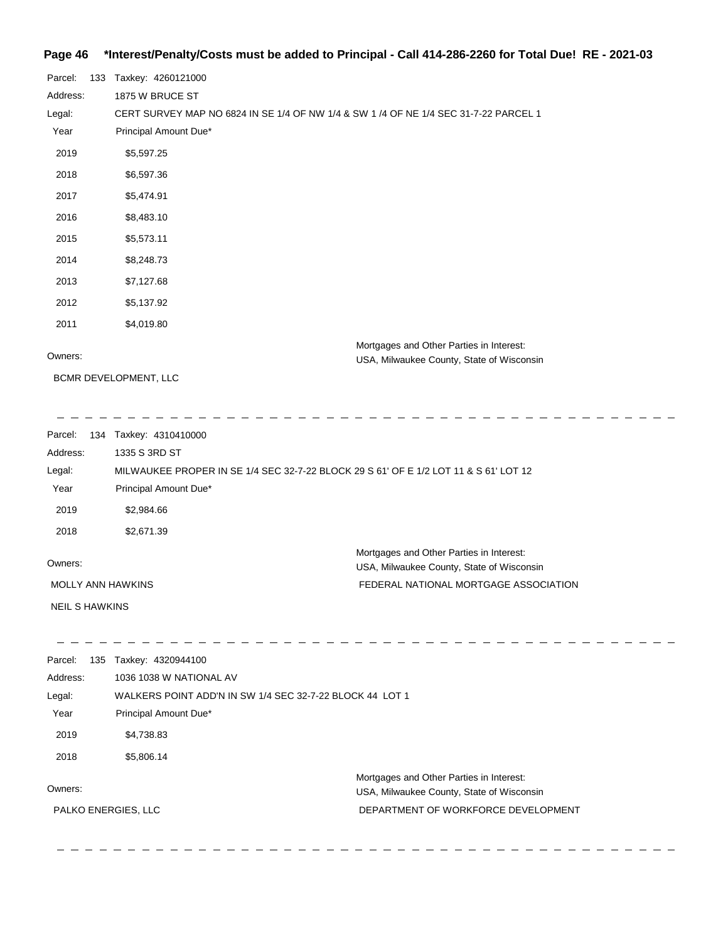#### **Page 46 \*Interest/Penalty/Costs must be added to Principal - Call 414-286-2260 for Total Due! RE - 2021-03**

| Parcel:  | 133 | Taxkey: 4260121000                                                                    |
|----------|-----|---------------------------------------------------------------------------------------|
| Address: |     | 1875 W BRUCE ST                                                                       |
| Legal:   |     | CERT SURVEY MAP NO 6824 IN SE 1/4 OF NW 1/4 & SW 1 /4 OF NE 1/4 SEC 31-7-22 PARCEL 1  |
| Year     |     | Principal Amount Due*                                                                 |
| 2019     |     | \$5,597.25                                                                            |
| 2018     |     | \$6,597.36                                                                            |
| 2017     |     | \$5,474.91                                                                            |
| 2016     |     | \$8,483.10                                                                            |
| 2015     |     | \$5,573.11                                                                            |
| 2014     |     | \$8,248.73                                                                            |
| 2013     |     | \$7,127.68                                                                            |
| 2012     |     | \$5,137.92                                                                            |
| 2011     |     | \$4,019.80                                                                            |
| Owners:  |     | Mortgages and Other Parties in Interest:<br>USA, Milwaukee County, State of Wisconsin |

 $\sim -$ 

BCMR DEVELOPMENT, LLC

\_ \_ \_ \_ \_ \_ \_ \_ \_ \_

USA, Milwaukee County, State of Wisconsin

Parcel: 134 Taxkey: 4310410000 Owners: Mortgages and Other Parties in Interest: Year Principal Amount Due\* USA, Milwaukee County, State of Wisconsin MILWAUKEE PROPER IN SE 1/4 SEC 32-7-22 BLOCK 29 S 61' OF E 1/2 LOT 11 & S 61' LOT 12 1335 S 3RD ST Address: Legal: FEDERAL NATIONAL MORTGAGE ASSOCIATION 2019 \$2,984.66 2018 \$2,671.39 MOLLY ANN HAWKINS

NEIL S HAWKINS

- - - - - - - - - - - - - $\sim$   $-$ Parcel: 135 Taxkey: 4320944100 Address: 1036 1038 W NATIONAL AV Legal: WALKERS POINT ADD'N IN SW 1/4 SEC 32-7-22 BLOCK 44 LOT 1 Year Principal Amount Due\* 2019 \$4,738.83 2018 \$5,806.14 Mortgages and Other Parties in Interest: Owners: USA, Milwaukee County, State of Wisconsin PALKO ENERGIES, LLCDEPARTMENT OF WORKFORCE DEVELOPMENT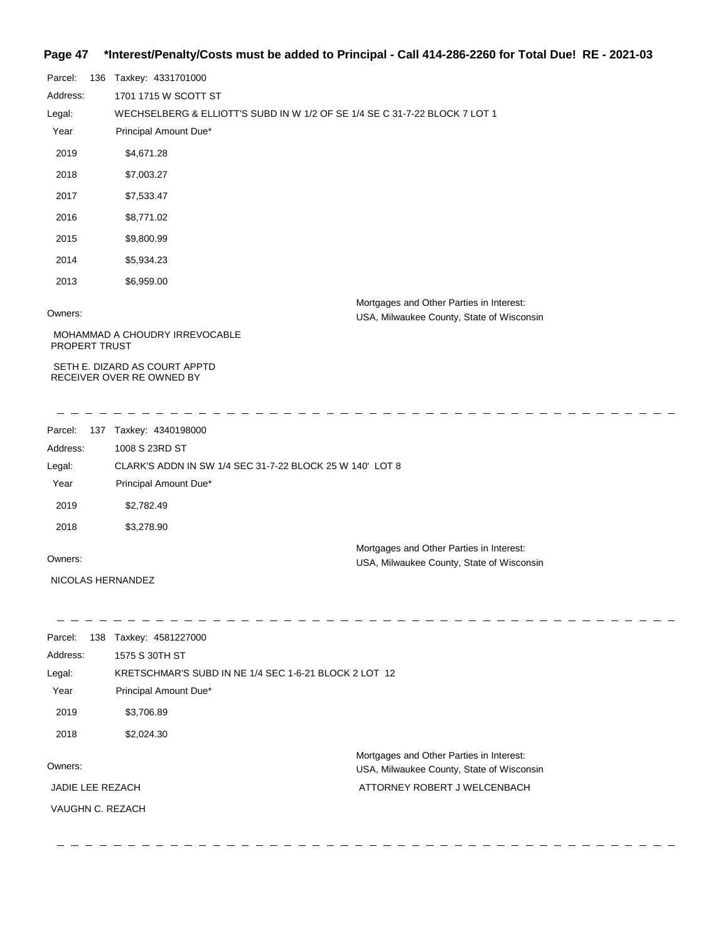## **Page 47 \*Interest/Penalty/Costs must be added to Principal - Call 414-286-2260 for Total Due! RE - 2021-03**

| Parcel:       | 136 | Taxkey: 4331701000                                                         |
|---------------|-----|----------------------------------------------------------------------------|
| Address:      |     | 1701 1715 W SCOTT ST                                                       |
| Legal:        |     | WECHSELBERG & ELLIOTT'S SUBD IN W 1/2 OF SE 1/4 SE C 31-7-22 BLOCK 7 LOT 1 |
| Year          |     | Principal Amount Due*                                                      |
| 2019          |     | \$4,671.28                                                                 |
| 2018          |     | \$7,003.27                                                                 |
| 2017          |     | \$7,533.47                                                                 |
| 2016          |     | \$8,771.02                                                                 |
| 2015          |     | \$9,800.99                                                                 |
| 2014          |     | \$5,934.23                                                                 |
| 2013          |     | \$6,959.00                                                                 |
| $\sim$ $\sim$ |     | Mortgages and Other Parties in Interest:                                   |

 $\frac{1}{2}$ 

Owners:

USA, Milwaukee County, State of Wisconsin

 MOHAMMAD A CHOUDRY IRREVOCABLE PROPERT TRUST

 SETH E. DIZARD AS COURT APPTD RECEIVER OVER RE OWNED BY

<u> - - - - - - - - - - -</u>

Parcel: 137 Taxkey: 4340198000 Owners: Mortgages and Other Parties in Interest: Year Principal Amount Due\* USA, Milwaukee County, State of Wisconsin CLARK'S ADDN IN SW 1/4 SEC 31-7-22 BLOCK 25 W 140' LOT 8 1008 S 23RD ST Address: Legal: 2019 \$2,782.49 2018 \$3,278.90

NICOLAS HERNANDEZ

 $-$  - - - - - - - - - $- - - - - - - - -$ Parcel: 138 Taxkey: 4581227000

| Address:         | 1575 S 30TH ST                                        |                                                                                       |  |
|------------------|-------------------------------------------------------|---------------------------------------------------------------------------------------|--|
| Legal:           | KRETSCHMAR'S SUBD IN NE 1/4 SEC 1-6-21 BLOCK 2 LOT 12 |                                                                                       |  |
| Year             | Principal Amount Due*                                 |                                                                                       |  |
| 2019             | \$3,706.89                                            |                                                                                       |  |
| 2018             | \$2,024.30                                            |                                                                                       |  |
| Owners:          |                                                       | Mortgages and Other Parties in Interest:<br>USA, Milwaukee County, State of Wisconsin |  |
| JADIE LEE REZACH |                                                       | ATTORNEY ROBERT J WELCENBACH                                                          |  |
| VAUGHN C. REZACH |                                                       |                                                                                       |  |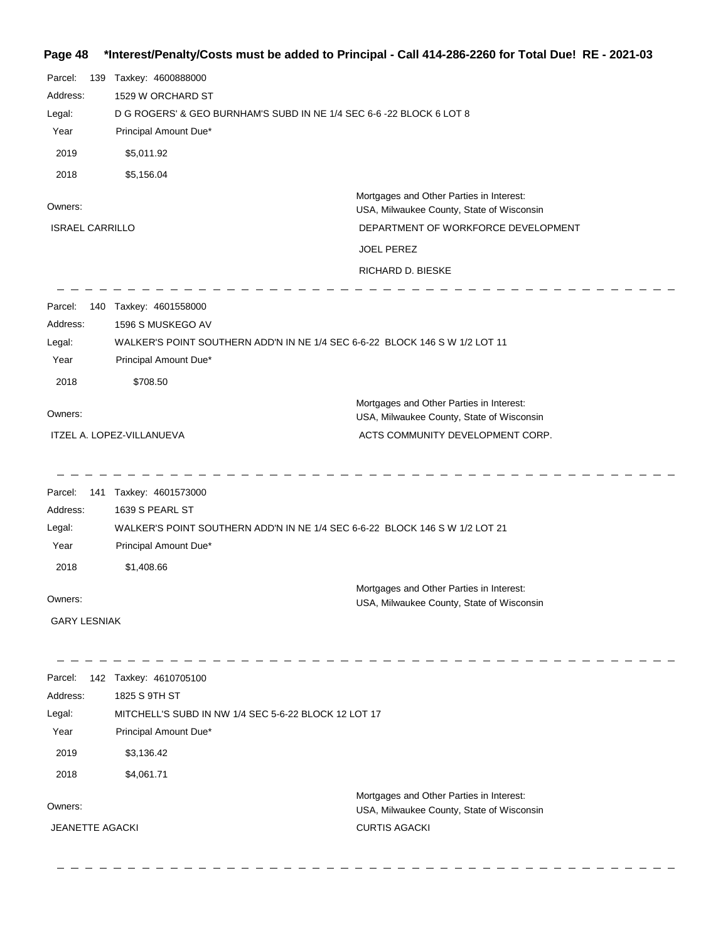# **Page 48 \*Interest/Penalty/Costs must be added to Principal - Call 414-286-2260 for Total Due! RE - 2021-03**

| Parcel:<br>139<br>Address: | Taxkey: 4600888000<br>1529 W ORCHARD ST                                     |                                                                                       |
|----------------------------|-----------------------------------------------------------------------------|---------------------------------------------------------------------------------------|
| Legal:                     | D G ROGERS' & GEO BURNHAM'S SUBD IN NE 1/4 SEC 6-6 -22 BLOCK 6 LOT 8        |                                                                                       |
| Year                       | Principal Amount Due*                                                       |                                                                                       |
| 2019                       | \$5,011.92                                                                  |                                                                                       |
| 2018                       | \$5,156.04                                                                  |                                                                                       |
| Owners:                    |                                                                             | Mortgages and Other Parties in Interest:<br>USA, Milwaukee County, State of Wisconsin |
| <b>ISRAEL CARRILLO</b>     |                                                                             | DEPARTMENT OF WORKFORCE DEVELOPMENT                                                   |
|                            |                                                                             | <b>JOEL PEREZ</b>                                                                     |
|                            |                                                                             | RICHARD D. BIESKE                                                                     |
| Parcel:<br>140             | Taxkey: 4601558000                                                          |                                                                                       |
| Address:                   | 1596 S MUSKEGO AV                                                           |                                                                                       |
| Legal:                     | WALKER'S POINT SOUTHERN ADD'N IN NE 1/4 SEC 6-6-22 BLOCK 146 S W 1/2 LOT 11 |                                                                                       |
| Year                       | Principal Amount Due*                                                       |                                                                                       |
| 2018                       | \$708.50                                                                    |                                                                                       |
| Owners:                    |                                                                             | Mortgages and Other Parties in Interest:                                              |
|                            | ITZEL A. LOPEZ-VILLANUEVA                                                   | USA, Milwaukee County, State of Wisconsin<br>ACTS COMMUNITY DEVELOPMENT CORP.         |
|                            |                                                                             |                                                                                       |
| Parcel:<br>141             | Taxkey: 4601573000                                                          |                                                                                       |
| Address:                   | 1639 S PEARL ST                                                             |                                                                                       |
| Legal:                     | WALKER'S POINT SOUTHERN ADD'N IN NE 1/4 SEC 6-6-22 BLOCK 146 S W 1/2 LOT 21 |                                                                                       |
| Year                       | Principal Amount Due*                                                       |                                                                                       |
| 2018                       | \$1,408.66                                                                  |                                                                                       |
|                            |                                                                             | Mortgages and Other Parties in Interest:                                              |
| Owners:                    |                                                                             | USA, Milwaukee County, State of Wisconsin                                             |
| <b>GARY LESNIAK</b>        |                                                                             |                                                                                       |
| Parcel:                    | 142 Taxkey: 4610705100                                                      |                                                                                       |
| Address:                   | 1825 S 9TH ST                                                               |                                                                                       |
| Legal:                     | MITCHELL'S SUBD IN NW 1/4 SEC 5-6-22 BLOCK 12 LOT 17                        |                                                                                       |
| Year                       | Principal Amount Due*                                                       |                                                                                       |
| 2019                       | \$3,136.42                                                                  |                                                                                       |
| 2018                       | \$4,061.71                                                                  |                                                                                       |
| Owners:                    |                                                                             | Mortgages and Other Parties in Interest:<br>USA, Milwaukee County, State of Wisconsin |
| <b>JEANETTE AGACKI</b>     |                                                                             | <b>CURTIS AGACKI</b>                                                                  |
|                            |                                                                             |                                                                                       |

 $\begin{array}{cccccccccccccc} \Box & \Box & \Box & \Box & \Box & \Box & \Box & \Box \end{array}$ 

 $\frac{1}{2}$ 

 $\overline{a}$  $\frac{1}{2}$  $\frac{1}{2}$  $\overline{\phantom{0}}$  $\overline{\phantom{0}}$  $\frac{1}{2}$  \_ \_ \_ \_ \_ \_ \_ \_ \_ \_ \_ \_ \_ \_ \_ \_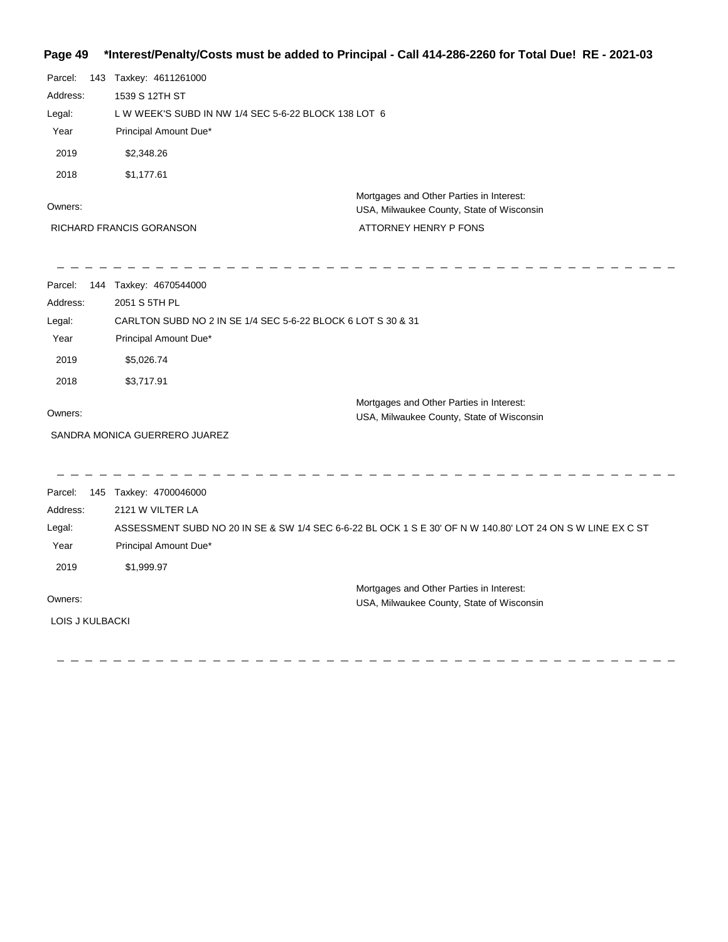# **Page 49 \*Interest/Penalty/Costs must be added to Principal - Call 414-286-2260 for Total Due! RE - 2021-03**

| Parcel:         | 143 Taxkey: 4611261000                                       |                                                                                                            |  |
|-----------------|--------------------------------------------------------------|------------------------------------------------------------------------------------------------------------|--|
| Address:        | 1539 S 12TH ST                                               |                                                                                                            |  |
| Legal:          | L W WEEK'S SUBD IN NW 1/4 SEC 5-6-22 BLOCK 138 LOT 6         |                                                                                                            |  |
| Year            | Principal Amount Due*                                        |                                                                                                            |  |
| 2019            | \$2,348.26                                                   |                                                                                                            |  |
| 2018            | \$1,177.61                                                   |                                                                                                            |  |
|                 |                                                              | Mortgages and Other Parties in Interest:                                                                   |  |
| Owners:         |                                                              | USA, Milwaukee County, State of Wisconsin                                                                  |  |
|                 | RICHARD FRANCIS GORANSON                                     | ATTORNEY HENRY P FONS                                                                                      |  |
| Parcel:         | 144 Taxkey: 4670544000                                       |                                                                                                            |  |
| Address:        | 2051 S 5TH PL                                                |                                                                                                            |  |
| Legal:          | CARLTON SUBD NO 2 IN SE 1/4 SEC 5-6-22 BLOCK 6 LOT S 30 & 31 |                                                                                                            |  |
| Year            | Principal Amount Due*                                        |                                                                                                            |  |
| 2019            | \$5,026.74                                                   |                                                                                                            |  |
| 2018            | \$3,717.91                                                   |                                                                                                            |  |
| Owners:         |                                                              | Mortgages and Other Parties in Interest:                                                                   |  |
|                 | SANDRA MONICA GUERRERO JUAREZ                                | USA, Milwaukee County, State of Wisconsin                                                                  |  |
|                 |                                                              |                                                                                                            |  |
| Parcel:         | 145 Taxkey: 4700046000                                       |                                                                                                            |  |
| Address:        | 2121 W VILTER LA                                             |                                                                                                            |  |
| Legal:          |                                                              | ASSESSMENT SUBD NO 20 IN SE & SW 1/4 SEC 6-6-22 BL OCK 1 S E 30' OF N W 140.80' LOT 24 ON S W LINE EX C ST |  |
| Year            | Principal Amount Due*                                        |                                                                                                            |  |
| 2019            | \$1,999.97                                                   |                                                                                                            |  |
|                 |                                                              | Mortgages and Other Parties in Interest:                                                                   |  |
| Owners:         |                                                              | USA, Milwaukee County, State of Wisconsin                                                                  |  |
| LOIS J KULBACKI |                                                              |                                                                                                            |  |

-----------------

-----------

 $\overline{\phantom{a}}$ 

 $\overline{\phantom{a}}$ 

 $\qquad \qquad - \qquad -$ 

 $\frac{1}{2} \left( \frac{1}{2} \right) \frac{1}{2} \left( \frac{1}{2} \right) \frac{1}{2} \left( \frac{1}{2} \right) \frac{1}{2} \left( \frac{1}{2} \right) \frac{1}{2} \left( \frac{1}{2} \right) \frac{1}{2} \left( \frac{1}{2} \right) \frac{1}{2} \left( \frac{1}{2} \right) \frac{1}{2} \left( \frac{1}{2} \right) \frac{1}{2} \left( \frac{1}{2} \right) \frac{1}{2} \left( \frac{1}{2} \right) \frac{1}{2} \left( \frac{1}{2} \right)$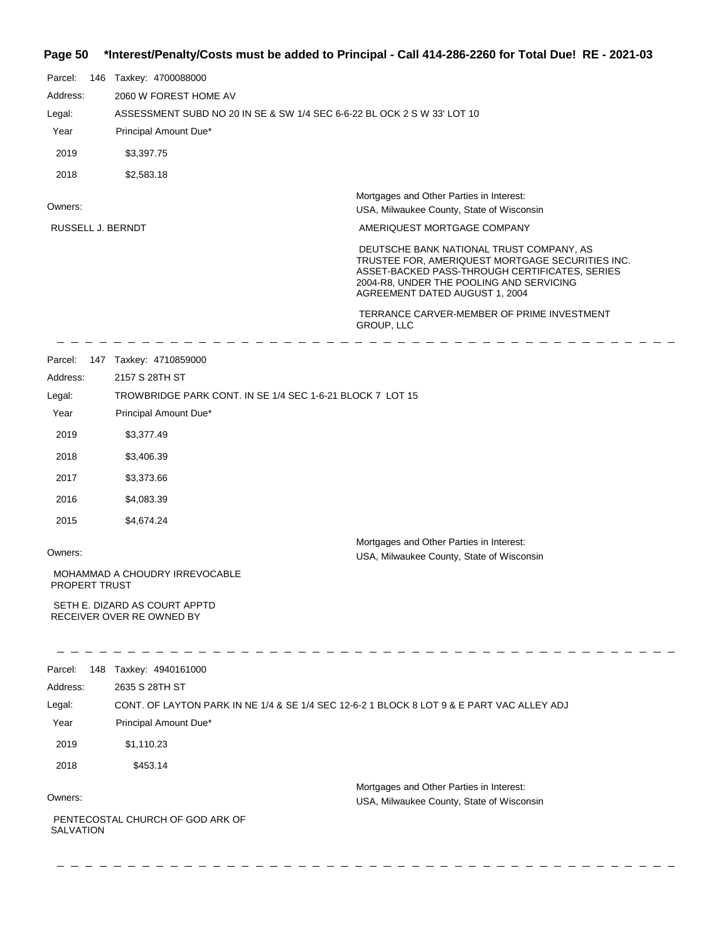## **Page 50 \*Interest/Penalty/Costs must be added to Principal - Call 414-286-2260 for Total Due! RE - 2021-03**

| Parcel:           |                       | 146 Taxkey: 4700088000                                     |                                                                                                                                                                                                                              |
|-------------------|-----------------------|------------------------------------------------------------|------------------------------------------------------------------------------------------------------------------------------------------------------------------------------------------------------------------------------|
| Address:          | 2060 W FOREST HOME AV |                                                            |                                                                                                                                                                                                                              |
| Legal:            |                       |                                                            | ASSESSMENT SUBD NO 20 IN SE & SW 1/4 SEC 6-6-22 BL OCK 2 S W 33' LOT 10                                                                                                                                                      |
| Year              |                       | Principal Amount Due*                                      |                                                                                                                                                                                                                              |
| 2019              |                       | \$3,397.75                                                 |                                                                                                                                                                                                                              |
| 2018              |                       | \$2,583.18                                                 |                                                                                                                                                                                                                              |
|                   |                       |                                                            | Mortgages and Other Parties in Interest:                                                                                                                                                                                     |
| Owners:           |                       |                                                            | USA, Milwaukee County, State of Wisconsin                                                                                                                                                                                    |
| RUSSELL J. BERNDT |                       |                                                            | AMERIQUEST MORTGAGE COMPANY                                                                                                                                                                                                  |
|                   |                       |                                                            | DEUTSCHE BANK NATIONAL TRUST COMPANY, AS<br>TRUSTEE FOR, AMERIQUEST MORTGAGE SECURITIES INC.<br>ASSET-BACKED PASS-THROUGH CERTIFICATES, SERIES<br>2004-R8, UNDER THE POOLING AND SERVICING<br>AGREEMENT DATED AUGUST 1, 2004 |
|                   |                       |                                                            | TERRANCE CARVER-MEMBER OF PRIME INVESTMENT<br>GROUP, LLC                                                                                                                                                                     |
|                   |                       | Parcel: 147 Taxkey: 4710859000                             |                                                                                                                                                                                                                              |
| Address:          |                       | 2157 S 28TH ST                                             |                                                                                                                                                                                                                              |
| Legal:            |                       |                                                            | TROWBRIDGE PARK CONT. IN SE 1/4 SEC 1-6-21 BLOCK 7 LOT 15                                                                                                                                                                    |
| Year              |                       | Principal Amount Due*                                      |                                                                                                                                                                                                                              |
| 2019              |                       | \$3,377.49                                                 |                                                                                                                                                                                                                              |
| 2018              |                       | \$3,406.39                                                 |                                                                                                                                                                                                                              |
| 2017              |                       | \$3,373.66                                                 |                                                                                                                                                                                                                              |
| 2016              |                       | \$4,083.39                                                 |                                                                                                                                                                                                                              |
| 2015              |                       | \$4,674.24                                                 |                                                                                                                                                                                                                              |
| Owners:           |                       |                                                            | Mortgages and Other Parties in Interest:<br>USA, Milwaukee County, State of Wisconsin                                                                                                                                        |
| PROPERT TRUST     |                       | MOHAMMAD A CHOUDRY IRREVOCABLE                             |                                                                                                                                                                                                                              |
|                   |                       | SETH E. DIZARD AS COURT APPTD<br>RECEIVER OVER RE OWNED BY |                                                                                                                                                                                                                              |
| Parcel:           |                       | 148 Taxkey: 4940161000                                     |                                                                                                                                                                                                                              |
| Address:          |                       | 2635 S 28TH ST                                             |                                                                                                                                                                                                                              |
| Legal:            |                       |                                                            | CONT. OF LAYTON PARK IN NE 1/4 & SE 1/4 SEC 12-6-2 1 BLOCK 8 LOT 9 & E PART VAC ALLEY ADJ                                                                                                                                    |
| Year              |                       | Principal Amount Due*                                      |                                                                                                                                                                                                                              |
| 2019              |                       | \$1,110.23                                                 |                                                                                                                                                                                                                              |
| 2018              |                       | \$453.14                                                   |                                                                                                                                                                                                                              |
| Owners:           |                       |                                                            | Mortgages and Other Parties in Interest:<br>USA, Milwaukee County, State of Wisconsin                                                                                                                                        |
|                   |                       | PENTECOSTAL CHURCH OF GOD ARK OF                           |                                                                                                                                                                                                                              |

SALVATION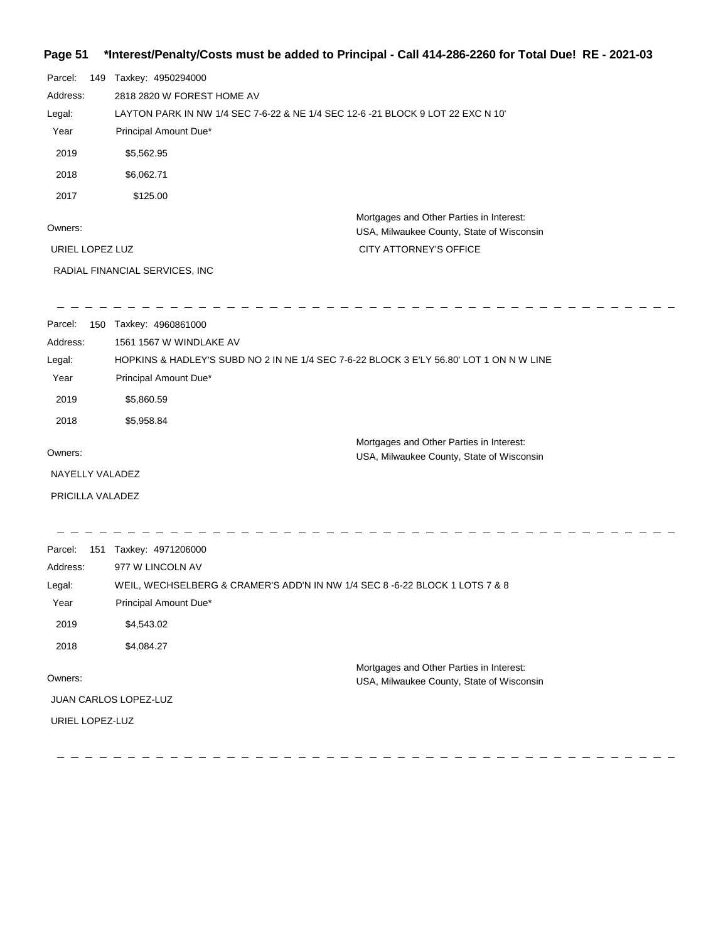# **Page 51 \*Interest/Penalty/Costs must be added to Principal - Call 414-286-2260 for Total Due! RE - 2021-03**

| Parcel:<br>149   | Taxkey: 4950294000                                                                      |                                                                                       |  |
|------------------|-----------------------------------------------------------------------------------------|---------------------------------------------------------------------------------------|--|
| Address:         | 2818 2820 W FOREST HOME AV                                                              |                                                                                       |  |
| Legal:           | LAYTON PARK IN NW 1/4 SEC 7-6-22 & NE 1/4 SEC 12-6 -21 BLOCK 9 LOT 22 EXC N 10'         |                                                                                       |  |
| Year             | Principal Amount Due*                                                                   |                                                                                       |  |
| 2019             | \$5,562.95                                                                              |                                                                                       |  |
| 2018             | \$6,062.71                                                                              |                                                                                       |  |
| 2017             | \$125.00                                                                                |                                                                                       |  |
| Owners:          |                                                                                         | Mortgages and Other Parties in Interest:<br>USA, Milwaukee County, State of Wisconsin |  |
| URIEL LOPEZ LUZ  |                                                                                         | CITY ATTORNEY'S OFFICE                                                                |  |
|                  | RADIAL FINANCIAL SERVICES, INC                                                          |                                                                                       |  |
| Parcel:          | 150 Taxkey: 4960861000                                                                  |                                                                                       |  |
| Address:         | 1561 1567 W WINDLAKE AV                                                                 |                                                                                       |  |
| Legal:           | HOPKINS & HADLEY'S SUBD NO 2 IN NE 1/4 SEC 7-6-22 BLOCK 3 E'LY 56.80' LOT 1 ON N W LINE |                                                                                       |  |
| Year             | Principal Amount Due*                                                                   |                                                                                       |  |
| 2019             | \$5,860.59                                                                              |                                                                                       |  |
| 2018             | \$5,958.84                                                                              |                                                                                       |  |
| Owners:          |                                                                                         | Mortgages and Other Parties in Interest:<br>USA, Milwaukee County, State of Wisconsin |  |
| NAYELLY VALADEZ  |                                                                                         |                                                                                       |  |
| PRICILLA VALADEZ |                                                                                         |                                                                                       |  |
| Parcel:          | 151 Taxkey: 4971206000                                                                  |                                                                                       |  |
| Address:         | 977 W LINCOLN AV                                                                        |                                                                                       |  |
| Legal:           | WEIL, WECHSELBERG & CRAMER'S ADD'N IN NW 1/4 SEC 8 -6-22 BLOCK 1 LOTS 7 & 8             |                                                                                       |  |
| Year             | Principal Amount Due*                                                                   |                                                                                       |  |
| 2019             | \$4,543.02                                                                              |                                                                                       |  |
| 2018             | \$4,084.27                                                                              |                                                                                       |  |
| Owners:          |                                                                                         | Mortgages and Other Parties in Interest:                                              |  |
|                  |                                                                                         | USA, Milwaukee County, State of Wisconsin                                             |  |
|                  | JUAN CARLOS LOPEZ-LUZ                                                                   |                                                                                       |  |
| URIEL LOPEZ-LUZ  |                                                                                         |                                                                                       |  |
|                  |                                                                                         |                                                                                       |  |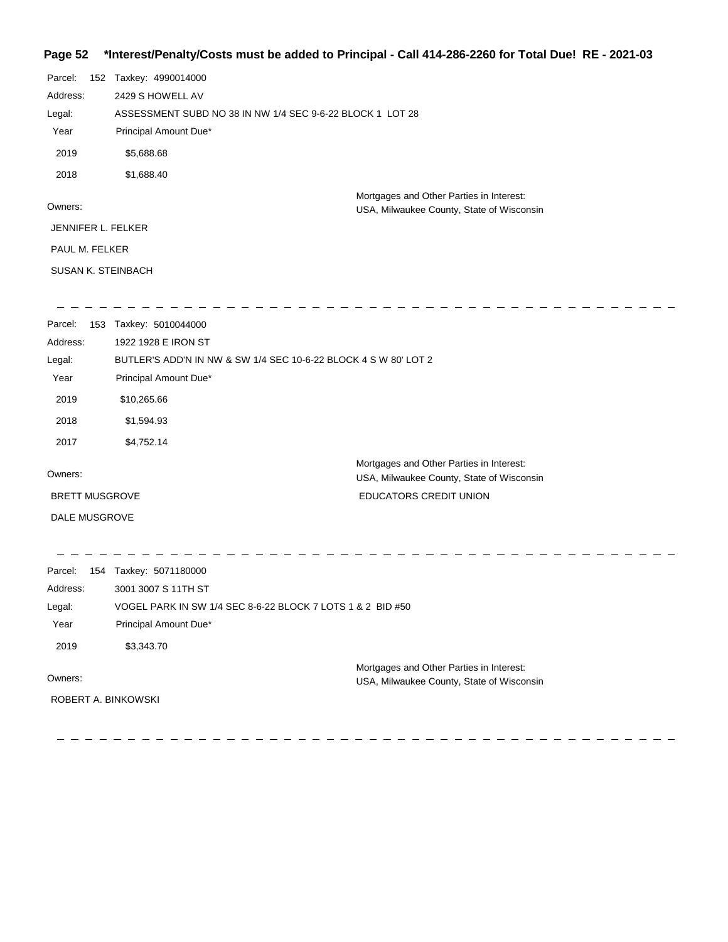# **Page 52 \*Interest/Penalty/Costs must be added to Principal - Call 414-286-2260 for Total Due! RE - 2021-03**

| Parcel:                   | 152 Taxkey: 4990014000                                    |  |
|---------------------------|-----------------------------------------------------------|--|
| Address:                  | 2429 S HOWELL AV                                          |  |
| Legal:                    | ASSESSMENT SUBD NO 38 IN NW 1/4 SEC 9-6-22 BLOCK 1 LOT 28 |  |
| Year                      | Principal Amount Due*                                     |  |
| 2019                      | \$5,688.68                                                |  |
| 2018                      | \$1,688.40                                                |  |
|                           | Mortgages and Other Parties in Interest:                  |  |
| Owners:                   | USA, Milwaukee County, State of Wisconsin                 |  |
| JENNIFER L. FELKER        |                                                           |  |
| PAUL M. FELKER            |                                                           |  |
| <b>SUSAN K. STEINBACH</b> |                                                           |  |
|                           |                                                           |  |

 $\overline{a}$ 

 $\overline{\phantom{a}}$ 

| Parcel:               | 153 | Taxkey: 5010044000                                              |                                                                                       |
|-----------------------|-----|-----------------------------------------------------------------|---------------------------------------------------------------------------------------|
| Address:              |     | 1922 1928 E IRON ST                                             |                                                                                       |
| Legal:                |     | BUTLER'S ADD'N IN NW & SW 1/4 SEC 10-6-22 BLOCK 4 S W 80' LOT 2 |                                                                                       |
| Year                  |     | Principal Amount Due*                                           |                                                                                       |
| 2019                  |     | \$10,265.66                                                     |                                                                                       |
| 2018                  |     | \$1,594.93                                                      |                                                                                       |
| 2017                  |     | \$4,752.14                                                      |                                                                                       |
| Owners:               |     |                                                                 | Mortgages and Other Parties in Interest:<br>USA, Milwaukee County, State of Wisconsin |
| <b>BRETT MUSGROVE</b> |     |                                                                 | <b>EDUCATORS CREDIT UNION</b>                                                         |
| DALE MUSGROVE         |     |                                                                 |                                                                                       |
|                       |     |                                                                 |                                                                                       |
|                       |     |                                                                 |                                                                                       |

| Parcel:             | 154 Taxkey: 5071180000                                     |
|---------------------|------------------------------------------------------------|
| Address:            | 3001 3007 S 11TH ST                                        |
| Legal:              | VOGEL PARK IN SW 1/4 SEC 8-6-22 BLOCK 7 LOTS 1 & 2 BID #50 |
| Year                | Principal Amount Due*                                      |
| 2019                | \$3,343,70                                                 |
|                     | Mortgages and Other Parties in Interest:                   |
| Owners:             | USA, Milwaukee County, State of Wisconsin                  |
| ROBERT A. BINKOWSKI |                                                            |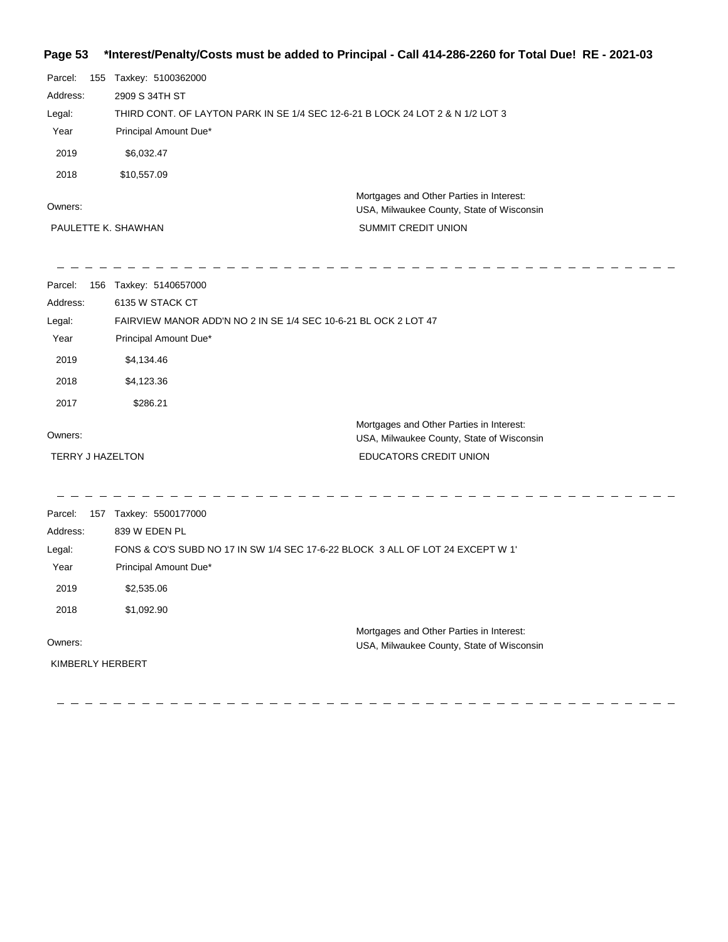# **Page 53 \*Interest/Penalty/Costs must be added to Principal - Call 414-286-2260 for Total Due! RE - 2021-03**

| Parcel:  | 155 | Taxkey: 5100362000                                                             |                                                                                       |  |
|----------|-----|--------------------------------------------------------------------------------|---------------------------------------------------------------------------------------|--|
| Address: |     | 2909 S 34TH ST                                                                 |                                                                                       |  |
| Legal:   |     | THIRD CONT. OF LAYTON PARK IN SE 1/4 SEC 12-6-21 B LOCK 24 LOT 2 & N 1/2 LOT 3 |                                                                                       |  |
| Year     |     | Principal Amount Due*                                                          |                                                                                       |  |
| 2019     |     | \$6.032.47                                                                     |                                                                                       |  |
| 2018     |     | \$10.557.09                                                                    |                                                                                       |  |
| Owners:  |     |                                                                                | Mortgages and Other Parties in Interest:<br>USA, Milwaukee County, State of Wisconsin |  |
|          |     | PAULETTE K. SHAWHAN                                                            | <b>SUMMIT CREDIT UNION</b>                                                            |  |

| Parcel:                 | 156 Taxkey: 5140657000 |                                                                                       |
|-------------------------|------------------------|---------------------------------------------------------------------------------------|
| Address:                | 6135 W STACK CT        |                                                                                       |
| Legal:                  |                        | FAIRVIEW MANOR ADD'N NO 2 IN SE 1/4 SEC 10-6-21 BL OCK 2 LOT 47                       |
| Year                    | Principal Amount Due*  |                                                                                       |
| 2019                    | \$4,134.46             |                                                                                       |
| 2018                    | \$4,123.36             |                                                                                       |
| 2017                    | \$286.21               |                                                                                       |
| Owners:                 |                        | Mortgages and Other Parties in Interest:<br>USA, Milwaukee County, State of Wisconsin |
| <b>TERRY J HAZELTON</b> |                        | <b>EDUCATORS CREDIT UNION</b>                                                         |
|                         |                        |                                                                                       |
| Parcel:                 | 157 Taxkey: 5500177000 |                                                                                       |
| Address:                | 839 W EDEN PL          |                                                                                       |
| Legal:                  |                        | FONS & CO'S SUBD NO 17 IN SW 1/4 SEC 17-6-22 BLOCK 3 ALL OF LOT 24 EXCEPT W 1'        |
| Year                    | Principal Amount Due*  |                                                                                       |
| 2019                    | \$2,535.06             |                                                                                       |
| 2018                    | \$1,092.90             |                                                                                       |
|                         |                        | Mortgages and Other Parties in Interest:                                              |
| Owners:                 |                        | USA, Milwaukee County, State of Wisconsin                                             |
| KIMBERLY HERBERT        |                        |                                                                                       |